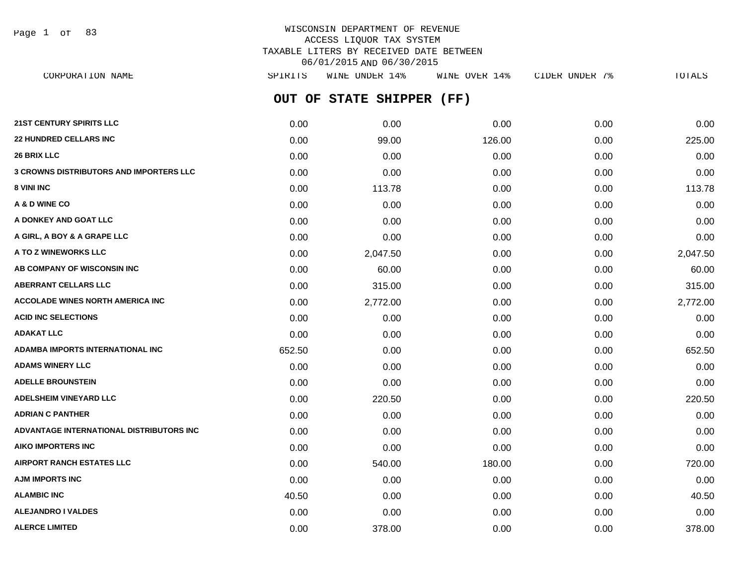Page 1 of 83

# WISCONSIN DEPARTMENT OF REVENUE ACCESS LIQUOR TAX SYSTEM TAXABLE LITERS BY RECEIVED DATE BETWEEN 06/01/2015 AND 06/30/2015

**OUT OF STATE SHIPPER (FF) 21ST CENTURY SPIRITS LLC** 0.00 0.00 0.00 0.00 0.00 **22 HUNDRED CELLARS INC** 0.00 99.00 126.00 0.00 225.00 **26 BRIX LLC** 0.00 0.00 0.00 0.00 0.00 **3 CROWNS DISTRIBUTORS AND IMPORTERS LLC** 0.00 0.00 0.00 0.00 0.00 **8 VINI INC** 0.00 **113.78** 0.00 0.00 **113.78** 0.00 0.00 0.00 0.00 113.78 **A & D WINE CO** 0.00 0.00 0.00 0.00 0.00 **A DONKEY AND GOAT LLC** 0.00 0.00 0.00 0.00 0.00 **A GIRL, A BOY & A GRAPE LLC** 0.00 0.00 0.00 0.00 0.00 **A TO Z WINEWORKS LLC** 0.00 2,047.50 0.00 0.00 2,047.50 **AB COMPANY OF WISCONSIN INC** 0.00 60.00 0.00 0.00 60.00 **ABERRANT CELLARS LLC** 0.00 315.00 0.00 0.00 315.00 **ACCOLADE WINES NORTH AMERICA INC** 0.00 2,772.00 0.00 0.00 2,772.00 **ACID INC SELECTIONS** 0.00 0.00 0.00 0.00 0.00 **ADAKAT LLC** 0.00 0.00 0.00 0.00 0.00 **ADAMBA IMPORTS INTERNATIONAL INC** 652.50 0.00 0.00 0.00 652.50 **ADAMS WINERY LLC** 0.00 0.00 0.00 0.00 0.00 **ADELLE BROUNSTEIN** 0.00 0.00 0.00 0.00 0.00 **ADELSHEIM VINEYARD LLC** 0.00 220.50 0.00 0.00 220.50 **ADRIAN C PANTHER** 0.00 0.00 0.00 0.00 0.00 **ADVANTAGE INTERNATIONAL DISTRIBUTORS INC** 0.00 0.00 0.00 0.00 0.00 **AIKO IMPORTERS INC** 0.00 0.00 0.00 0.00 0.00 **AIRPORT RANCH ESTATES LLC** 0.00 540.00 180.00 0.00 720.00 **AJM IMPORTS INC** 0.00 0.00 0.00 0.00 0.00 **ALAMBIC INC** 6.00 **40.50 40.50 40.50 10.00 0.00 0.00 0.00 0.00 0.00 40.50 ALEJANDRO I VALDES** 0.00 0.00 0.00 0.00 0.00 CORPORATION NAME SPIRITS WINE UNDER 14% WINE OVER 14% CIDER UNDER 7% TOTALS

**ALERCE LIMITED** 0.00 378.00 0.00 0.00 378.00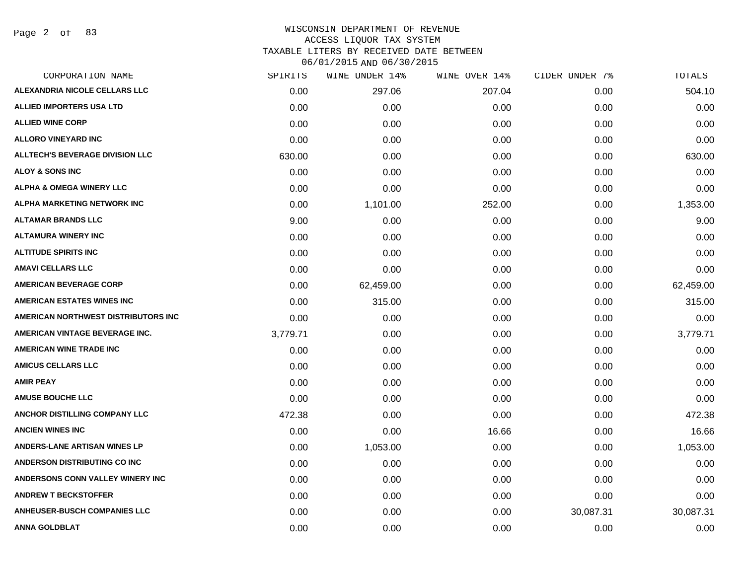Page 2 of 83

### WISCONSIN DEPARTMENT OF REVENUE ACCESS LIQUOR TAX SYSTEM TAXABLE LITERS BY RECEIVED DATE BETWEEN

| CORPORATION NAME                       | SPIRITS  | WINE UNDER 14% | WINE OVER 14% | CIDER UNDER 7% | TOTALS    |
|----------------------------------------|----------|----------------|---------------|----------------|-----------|
| ALEXANDRIA NICOLE CELLARS LLC          | 0.00     | 297.06         | 207.04        | 0.00           | 504.10    |
| <b>ALLIED IMPORTERS USA LTD</b>        | 0.00     | 0.00           | 0.00          | 0.00           | 0.00      |
| <b>ALLIED WINE CORP</b>                | 0.00     | 0.00           | 0.00          | 0.00           | 0.00      |
| <b>ALLORO VINEYARD INC</b>             | 0.00     | 0.00           | 0.00          | 0.00           | 0.00      |
| <b>ALLTECH'S BEVERAGE DIVISION LLC</b> | 630.00   | 0.00           | 0.00          | 0.00           | 630.00    |
| <b>ALOY &amp; SONS INC</b>             | 0.00     | 0.00           | 0.00          | 0.00           | 0.00      |
| <b>ALPHA &amp; OMEGA WINERY LLC</b>    | 0.00     | 0.00           | 0.00          | 0.00           | 0.00      |
| ALPHA MARKETING NETWORK INC            | 0.00     | 1,101.00       | 252.00        | 0.00           | 1,353.00  |
| <b>ALTAMAR BRANDS LLC</b>              | 9.00     | 0.00           | 0.00          | 0.00           | 9.00      |
| <b>ALTAMURA WINERY INC</b>             | 0.00     | 0.00           | 0.00          | 0.00           | 0.00      |
| <b>ALTITUDE SPIRITS INC</b>            | 0.00     | 0.00           | 0.00          | 0.00           | 0.00      |
| <b>AMAVI CELLARS LLC</b>               | 0.00     | 0.00           | 0.00          | 0.00           | 0.00      |
| <b>AMERICAN BEVERAGE CORP</b>          | 0.00     | 62,459.00      | 0.00          | 0.00           | 62,459.00 |
| <b>AMERICAN ESTATES WINES INC</b>      | 0.00     | 315.00         | 0.00          | 0.00           | 315.00    |
| AMERICAN NORTHWEST DISTRIBUTORS INC    | 0.00     | 0.00           | 0.00          | 0.00           | 0.00      |
| AMERICAN VINTAGE BEVERAGE INC.         | 3,779.71 | 0.00           | 0.00          | 0.00           | 3,779.71  |
| <b>AMERICAN WINE TRADE INC</b>         | 0.00     | 0.00           | 0.00          | 0.00           | 0.00      |
| <b>AMICUS CELLARS LLC</b>              | 0.00     | 0.00           | 0.00          | 0.00           | 0.00      |
| <b>AMIR PEAY</b>                       | 0.00     | 0.00           | 0.00          | 0.00           | 0.00      |
| <b>AMUSE BOUCHE LLC</b>                | 0.00     | 0.00           | 0.00          | 0.00           | 0.00      |
| ANCHOR DISTILLING COMPANY LLC          | 472.38   | 0.00           | 0.00          | 0.00           | 472.38    |
| <b>ANCIEN WINES INC</b>                | 0.00     | 0.00           | 16.66         | 0.00           | 16.66     |
| <b>ANDERS-LANE ARTISAN WINES LP</b>    | 0.00     | 1,053.00       | 0.00          | 0.00           | 1,053.00  |
| <b>ANDERSON DISTRIBUTING CO INC</b>    | 0.00     | 0.00           | 0.00          | 0.00           | 0.00      |
| ANDERSONS CONN VALLEY WINERY INC       | 0.00     | 0.00           | 0.00          | 0.00           | 0.00      |
| <b>ANDREW T BECKSTOFFER</b>            | 0.00     | 0.00           | 0.00          | 0.00           | 0.00      |
| <b>ANHEUSER-BUSCH COMPANIES LLC</b>    | 0.00     | 0.00           | 0.00          | 30,087.31      | 30,087.31 |
| ANNA GOLDBLAT                          | 0.00     | 0.00           | 0.00          | 0.00           | 0.00      |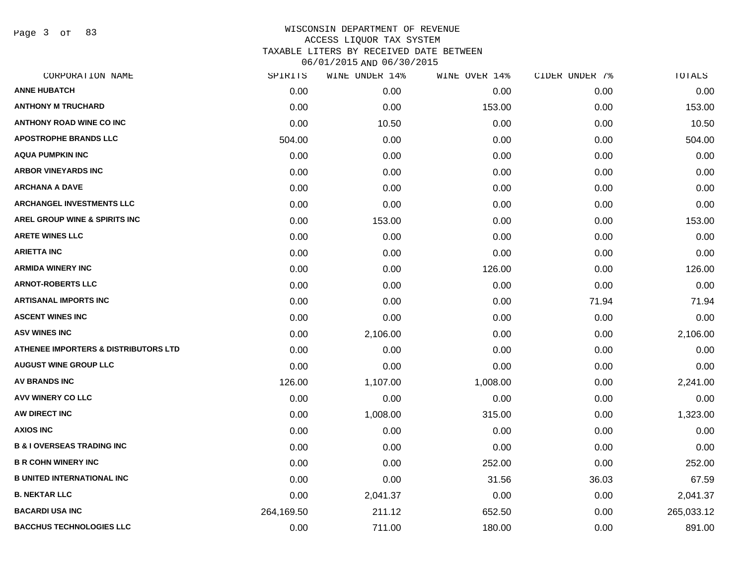Page 3 of 83

|            | WINE UNDER 14% |          | CIDER UNDER 7% | TOTALS     |
|------------|----------------|----------|----------------|------------|
| 0.00       | 0.00           | 0.00     | 0.00           | 0.00       |
| 0.00       | 0.00           | 153.00   | 0.00           | 153.00     |
| 0.00       | 10.50          | 0.00     | 0.00           | 10.50      |
| 504.00     | 0.00           | 0.00     | 0.00           | 504.00     |
| 0.00       | 0.00           | 0.00     | 0.00           | 0.00       |
| 0.00       | 0.00           | 0.00     | 0.00           | 0.00       |
| 0.00       | 0.00           | 0.00     | 0.00           | 0.00       |
| 0.00       | 0.00           | 0.00     | 0.00           | 0.00       |
| 0.00       | 153.00         | 0.00     | 0.00           | 153.00     |
| 0.00       | 0.00           | 0.00     | 0.00           | 0.00       |
| 0.00       | 0.00           | 0.00     | 0.00           | 0.00       |
| 0.00       | 0.00           | 126.00   | 0.00           | 126.00     |
| 0.00       | 0.00           | 0.00     | 0.00           | 0.00       |
| 0.00       | 0.00           | 0.00     | 71.94          | 71.94      |
| 0.00       | 0.00           | 0.00     | 0.00           | 0.00       |
| 0.00       | 2,106.00       | 0.00     | 0.00           | 2,106.00   |
| 0.00       | 0.00           | 0.00     | 0.00           | 0.00       |
| 0.00       | 0.00           | 0.00     | 0.00           | 0.00       |
| 126.00     | 1,107.00       | 1,008.00 | 0.00           | 2,241.00   |
| 0.00       | 0.00           | 0.00     | 0.00           | 0.00       |
| 0.00       | 1,008.00       | 315.00   | 0.00           | 1,323.00   |
| 0.00       | 0.00           | 0.00     | 0.00           | 0.00       |
| 0.00       | 0.00           | 0.00     | 0.00           | 0.00       |
| 0.00       | 0.00           | 252.00   | 0.00           | 252.00     |
| 0.00       | 0.00           | 31.56    | 36.03          | 67.59      |
| 0.00       | 2,041.37       | 0.00     | 0.00           | 2,041.37   |
| 264,169.50 | 211.12         | 652.50   | 0.00           | 265,033.12 |
| 0.00       | 711.00         | 180.00   | 0.00           | 891.00     |
|            | SPIRITS        |          | WINE OVER 14%  |            |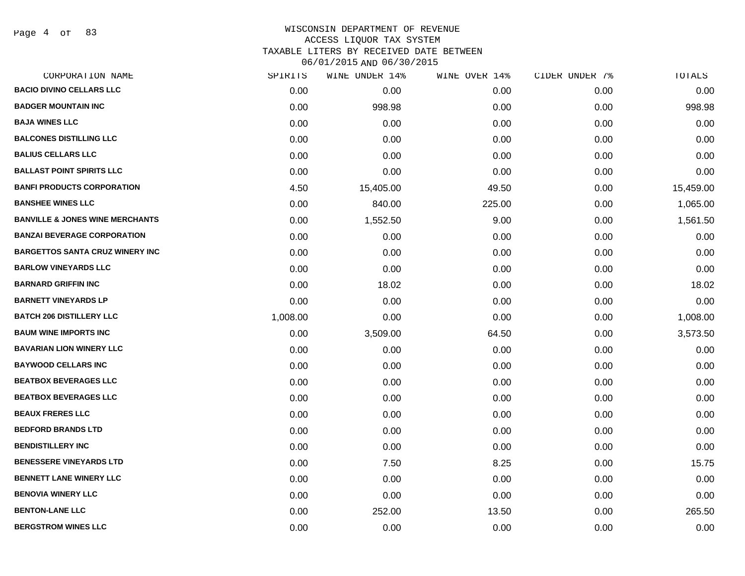Page 4 of 83

# WISCONSIN DEPARTMENT OF REVENUE ACCESS LIQUOR TAX SYSTEM

TAXABLE LITERS BY RECEIVED DATE BETWEEN

| CORPORATION NAME                           | SPIRITS  | WINE UNDER 14% | WINE OVER 14% | CIDER UNDER 7% | TOTALS    |
|--------------------------------------------|----------|----------------|---------------|----------------|-----------|
| <b>BACIO DIVINO CELLARS LLC</b>            | 0.00     | 0.00           | 0.00          | 0.00           | 0.00      |
| <b>BADGER MOUNTAIN INC</b>                 | 0.00     | 998.98         | 0.00          | 0.00           | 998.98    |
| <b>BAJA WINES LLC</b>                      | 0.00     | 0.00           | 0.00          | 0.00           | 0.00      |
| <b>BALCONES DISTILLING LLC</b>             | 0.00     | 0.00           | 0.00          | 0.00           | 0.00      |
| <b>BALIUS CELLARS LLC</b>                  | 0.00     | 0.00           | 0.00          | 0.00           | 0.00      |
| <b>BALLAST POINT SPIRITS LLC</b>           | 0.00     | 0.00           | 0.00          | 0.00           | 0.00      |
| <b>BANFI PRODUCTS CORPORATION</b>          | 4.50     | 15,405.00      | 49.50         | 0.00           | 15,459.00 |
| <b>BANSHEE WINES LLC</b>                   | 0.00     | 840.00         | 225.00        | 0.00           | 1,065.00  |
| <b>BANVILLE &amp; JONES WINE MERCHANTS</b> | 0.00     | 1,552.50       | 9.00          | 0.00           | 1,561.50  |
| <b>BANZAI BEVERAGE CORPORATION</b>         | 0.00     | 0.00           | 0.00          | 0.00           | 0.00      |
| <b>BARGETTOS SANTA CRUZ WINERY INC</b>     | 0.00     | 0.00           | 0.00          | 0.00           | 0.00      |
| <b>BARLOW VINEYARDS LLC</b>                | 0.00     | 0.00           | 0.00          | 0.00           | 0.00      |
| <b>BARNARD GRIFFIN INC</b>                 | 0.00     | 18.02          | 0.00          | 0.00           | 18.02     |
| <b>BARNETT VINEYARDS LP</b>                | 0.00     | 0.00           | 0.00          | 0.00           | 0.00      |
| <b>BATCH 206 DISTILLERY LLC</b>            | 1,008.00 | 0.00           | 0.00          | 0.00           | 1,008.00  |
| <b>BAUM WINE IMPORTS INC</b>               | 0.00     | 3,509.00       | 64.50         | 0.00           | 3,573.50  |
| <b>BAVARIAN LION WINERY LLC</b>            | 0.00     | 0.00           | 0.00          | 0.00           | 0.00      |
| <b>BAYWOOD CELLARS INC</b>                 | 0.00     | 0.00           | 0.00          | 0.00           | 0.00      |
| <b>BEATBOX BEVERAGES LLC</b>               | 0.00     | 0.00           | 0.00          | 0.00           | 0.00      |
| <b>BEATBOX BEVERAGES LLC</b>               | 0.00     | 0.00           | 0.00          | 0.00           | 0.00      |
| <b>BEAUX FRERES LLC</b>                    | 0.00     | 0.00           | 0.00          | 0.00           | 0.00      |
| <b>BEDFORD BRANDS LTD</b>                  | 0.00     | 0.00           | 0.00          | 0.00           | 0.00      |
| <b>BENDISTILLERY INC</b>                   | 0.00     | 0.00           | 0.00          | 0.00           | 0.00      |
| <b>BENESSERE VINEYARDS LTD</b>             | 0.00     | 7.50           | 8.25          | 0.00           | 15.75     |
| <b>BENNETT LANE WINERY LLC</b>             | 0.00     | 0.00           | 0.00          | 0.00           | 0.00      |
| <b>BENOVIA WINERY LLC</b>                  | 0.00     | 0.00           | 0.00          | 0.00           | 0.00      |
| <b>BENTON-LANE LLC</b>                     | 0.00     | 252.00         | 13.50         | 0.00           | 265.50    |
| <b>BERGSTROM WINES LLC</b>                 | 0.00     | 0.00           | 0.00          | 0.00           | 0.00      |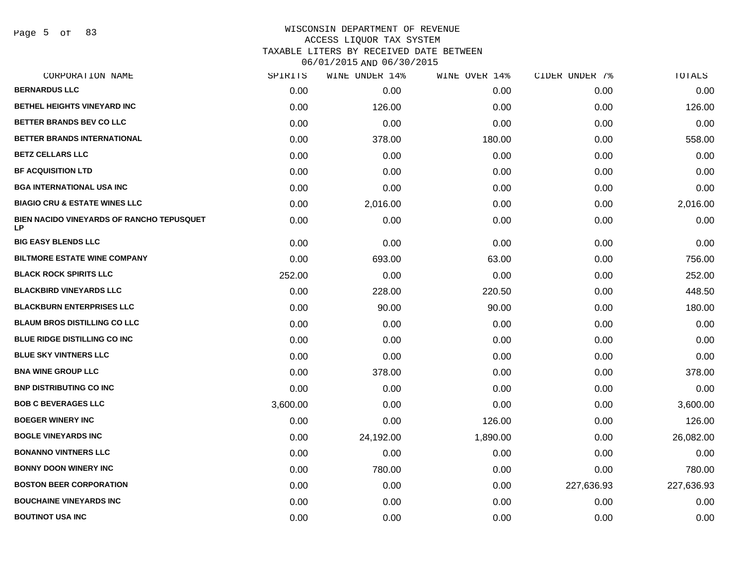Page 5 of 83

### WISCONSIN DEPARTMENT OF REVENUE ACCESS LIQUOR TAX SYSTEM TAXABLE LITERS BY RECEIVED DATE BETWEEN

| CORPORATION NAME                                       | SPIRITS  | WINE UNDER 14% | WINE OVER 14% | CIDER UNDER 7% | TOTALS     |
|--------------------------------------------------------|----------|----------------|---------------|----------------|------------|
| <b>BERNARDUS LLC</b>                                   | 0.00     | 0.00           | 0.00          | 0.00           | 0.00       |
| <b>BETHEL HEIGHTS VINEYARD INC</b>                     | 0.00     | 126.00         | 0.00          | 0.00           | 126.00     |
| BETTER BRANDS BEV CO LLC                               | 0.00     | 0.00           | 0.00          | 0.00           | 0.00       |
| <b>BETTER BRANDS INTERNATIONAL</b>                     | 0.00     | 378.00         | 180.00        | 0.00           | 558.00     |
| <b>BETZ CELLARS LLC</b>                                | 0.00     | 0.00           | 0.00          | 0.00           | 0.00       |
| <b>BF ACQUISITION LTD</b>                              | 0.00     | 0.00           | 0.00          | 0.00           | 0.00       |
| <b>BGA INTERNATIONAL USA INC</b>                       | 0.00     | 0.00           | 0.00          | 0.00           | 0.00       |
| <b>BIAGIO CRU &amp; ESTATE WINES LLC</b>               | 0.00     | 2,016.00       | 0.00          | 0.00           | 2,016.00   |
| <b>BIEN NACIDO VINEYARDS OF RANCHO TEPUSQUET</b><br>LP | 0.00     | 0.00           | 0.00          | 0.00           | 0.00       |
| <b>BIG EASY BLENDS LLC</b>                             | 0.00     | 0.00           | 0.00          | 0.00           | 0.00       |
| <b>BILTMORE ESTATE WINE COMPANY</b>                    | 0.00     | 693.00         | 63.00         | 0.00           | 756.00     |
| <b>BLACK ROCK SPIRITS LLC</b>                          | 252.00   | 0.00           | 0.00          | 0.00           | 252.00     |
| <b>BLACKBIRD VINEYARDS LLC</b>                         | 0.00     | 228.00         | 220.50        | 0.00           | 448.50     |
| <b>BLACKBURN ENTERPRISES LLC</b>                       | 0.00     | 90.00          | 90.00         | 0.00           | 180.00     |
| <b>BLAUM BROS DISTILLING CO LLC</b>                    | 0.00     | 0.00           | 0.00          | 0.00           | 0.00       |
| BLUE RIDGE DISTILLING CO INC                           | 0.00     | 0.00           | 0.00          | 0.00           | 0.00       |
| <b>BLUE SKY VINTNERS LLC</b>                           | 0.00     | 0.00           | 0.00          | 0.00           | 0.00       |
| <b>BNA WINE GROUP LLC</b>                              | 0.00     | 378.00         | 0.00          | 0.00           | 378.00     |
| <b>BNP DISTRIBUTING CO INC</b>                         | 0.00     | 0.00           | 0.00          | 0.00           | 0.00       |
| <b>BOB C BEVERAGES LLC</b>                             | 3,600.00 | 0.00           | 0.00          | 0.00           | 3,600.00   |
| <b>BOEGER WINERY INC</b>                               | 0.00     | 0.00           | 126.00        | 0.00           | 126.00     |
| <b>BOGLE VINEYARDS INC</b>                             | 0.00     | 24,192.00      | 1,890.00      | 0.00           | 26,082.00  |
| <b>BONANNO VINTNERS LLC</b>                            | 0.00     | 0.00           | 0.00          | 0.00           | 0.00       |
| <b>BONNY DOON WINERY INC</b>                           | 0.00     | 780.00         | 0.00          | 0.00           | 780.00     |
| <b>BOSTON BEER CORPORATION</b>                         | 0.00     | 0.00           | 0.00          | 227,636.93     | 227,636.93 |
| <b>BOUCHAINE VINEYARDS INC</b>                         | 0.00     | 0.00           | 0.00          | 0.00           | 0.00       |
| <b>BOUTINOT USA INC</b>                                | 0.00     | 0.00           | 0.00          | 0.00           | 0.00       |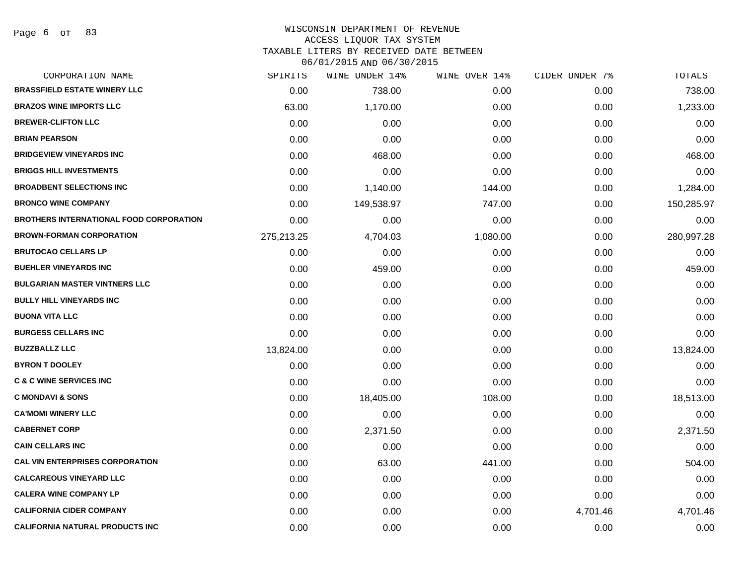Page 6 of 83

# WISCONSIN DEPARTMENT OF REVENUE

ACCESS LIQUOR TAX SYSTEM

TAXABLE LITERS BY RECEIVED DATE BETWEEN

| CORPORATION NAME                               | SPIRITS    | WINE UNDER 14% | WINE OVER 14% | CIDER UNDER 7% | TOTALS     |
|------------------------------------------------|------------|----------------|---------------|----------------|------------|
| <b>BRASSFIELD ESTATE WINERY LLC</b>            | 0.00       | 738.00         | 0.00          | 0.00           | 738.00     |
| <b>BRAZOS WINE IMPORTS LLC</b>                 | 63.00      | 1,170.00       | 0.00          | 0.00           | 1,233.00   |
| <b>BREWER-CLIFTON LLC</b>                      | 0.00       | 0.00           | 0.00          | 0.00           | 0.00       |
| <b>BRIAN PEARSON</b>                           | 0.00       | 0.00           | 0.00          | 0.00           | 0.00       |
| <b>BRIDGEVIEW VINEYARDS INC</b>                | 0.00       | 468.00         | 0.00          | 0.00           | 468.00     |
| <b>BRIGGS HILL INVESTMENTS</b>                 | 0.00       | 0.00           | 0.00          | 0.00           | 0.00       |
| <b>BROADBENT SELECTIONS INC</b>                | 0.00       | 1,140.00       | 144.00        | 0.00           | 1,284.00   |
| <b>BRONCO WINE COMPANY</b>                     | 0.00       | 149,538.97     | 747.00        | 0.00           | 150,285.97 |
| <b>BROTHERS INTERNATIONAL FOOD CORPORATION</b> | 0.00       | 0.00           | 0.00          | 0.00           | 0.00       |
| <b>BROWN-FORMAN CORPORATION</b>                | 275,213.25 | 4,704.03       | 1,080.00      | 0.00           | 280,997.28 |
| <b>BRUTOCAO CELLARS LP</b>                     | 0.00       | 0.00           | 0.00          | 0.00           | 0.00       |
| <b>BUEHLER VINEYARDS INC</b>                   | 0.00       | 459.00         | 0.00          | 0.00           | 459.00     |
| <b>BULGARIAN MASTER VINTNERS LLC</b>           | 0.00       | 0.00           | 0.00          | 0.00           | 0.00       |
| <b>BULLY HILL VINEYARDS INC</b>                | 0.00       | 0.00           | 0.00          | 0.00           | 0.00       |
| <b>BUONA VITA LLC</b>                          | 0.00       | 0.00           | 0.00          | 0.00           | 0.00       |
| <b>BURGESS CELLARS INC</b>                     | 0.00       | 0.00           | 0.00          | 0.00           | 0.00       |
| <b>BUZZBALLZ LLC</b>                           | 13,824.00  | 0.00           | 0.00          | 0.00           | 13,824.00  |
| <b>BYRON T DOOLEY</b>                          | 0.00       | 0.00           | 0.00          | 0.00           | 0.00       |
| <b>C &amp; C WINE SERVICES INC</b>             | 0.00       | 0.00           | 0.00          | 0.00           | 0.00       |
| <b>C MONDAVI &amp; SONS</b>                    | 0.00       | 18,405.00      | 108.00        | 0.00           | 18,513.00  |
| <b>CA'MOMI WINERY LLC</b>                      | 0.00       | 0.00           | 0.00          | 0.00           | 0.00       |
| <b>CABERNET CORP</b>                           | 0.00       | 2,371.50       | 0.00          | 0.00           | 2,371.50   |
| <b>CAIN CELLARS INC</b>                        | 0.00       | 0.00           | 0.00          | 0.00           | 0.00       |
| <b>CAL VIN ENTERPRISES CORPORATION</b>         | 0.00       | 63.00          | 441.00        | 0.00           | 504.00     |
| <b>CALCAREOUS VINEYARD LLC</b>                 | 0.00       | 0.00           | 0.00          | 0.00           | 0.00       |
| <b>CALERA WINE COMPANY LP</b>                  | 0.00       | 0.00           | 0.00          | 0.00           | 0.00       |
| <b>CALIFORNIA CIDER COMPANY</b>                | 0.00       | 0.00           | 0.00          | 4,701.46       | 4,701.46   |
| <b>CALIFORNIA NATURAL PRODUCTS INC</b>         | 0.00       | 0.00           | 0.00          | 0.00           | 0.00       |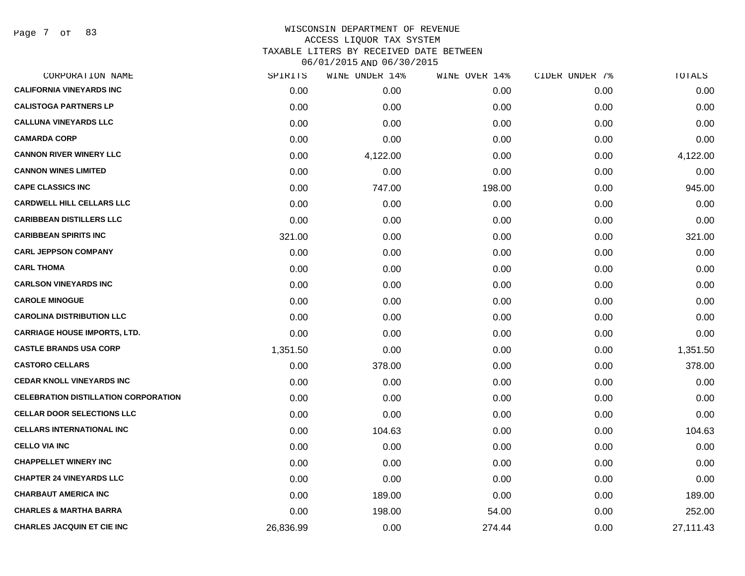Page 7 of 83

| CORPORATION NAME                            | SPIRITS   | WINE UNDER 14% | WINE OVER 14% | CIDER UNDER 7% | TOTALS    |
|---------------------------------------------|-----------|----------------|---------------|----------------|-----------|
| <b>CALIFORNIA VINEYARDS INC</b>             | 0.00      | 0.00           | 0.00          | 0.00           | 0.00      |
| <b>CALISTOGA PARTNERS LP</b>                | 0.00      | 0.00           | 0.00          | 0.00           | 0.00      |
| <b>CALLUNA VINEYARDS LLC</b>                | 0.00      | 0.00           | 0.00          | 0.00           | 0.00      |
| <b>CAMARDA CORP</b>                         | 0.00      | 0.00           | 0.00          | 0.00           | 0.00      |
| <b>CANNON RIVER WINERY LLC</b>              | 0.00      | 4,122.00       | 0.00          | 0.00           | 4,122.00  |
| <b>CANNON WINES LIMITED</b>                 | 0.00      | 0.00           | 0.00          | 0.00           | 0.00      |
| <b>CAPE CLASSICS INC</b>                    | 0.00      | 747.00         | 198.00        | 0.00           | 945.00    |
| <b>CARDWELL HILL CELLARS LLC</b>            | 0.00      | 0.00           | 0.00          | 0.00           | 0.00      |
| <b>CARIBBEAN DISTILLERS LLC</b>             | 0.00      | 0.00           | 0.00          | 0.00           | 0.00      |
| <b>CARIBBEAN SPIRITS INC</b>                | 321.00    | 0.00           | 0.00          | 0.00           | 321.00    |
| <b>CARL JEPPSON COMPANY</b>                 | 0.00      | 0.00           | 0.00          | 0.00           | 0.00      |
| <b>CARL THOMA</b>                           | 0.00      | 0.00           | 0.00          | 0.00           | 0.00      |
| <b>CARLSON VINEYARDS INC</b>                | 0.00      | 0.00           | 0.00          | 0.00           | 0.00      |
| <b>CAROLE MINOGUE</b>                       | 0.00      | 0.00           | 0.00          | 0.00           | 0.00      |
| <b>CAROLINA DISTRIBUTION LLC</b>            | 0.00      | 0.00           | 0.00          | 0.00           | 0.00      |
| <b>CARRIAGE HOUSE IMPORTS, LTD.</b>         | 0.00      | 0.00           | 0.00          | 0.00           | 0.00      |
| <b>CASTLE BRANDS USA CORP</b>               | 1,351.50  | 0.00           | 0.00          | 0.00           | 1,351.50  |
| <b>CASTORO CELLARS</b>                      | 0.00      | 378.00         | 0.00          | 0.00           | 378.00    |
| <b>CEDAR KNOLL VINEYARDS INC</b>            | 0.00      | 0.00           | 0.00          | 0.00           | 0.00      |
| <b>CELEBRATION DISTILLATION CORPORATION</b> | 0.00      | 0.00           | 0.00          | 0.00           | 0.00      |
| <b>CELLAR DOOR SELECTIONS LLC</b>           | 0.00      | 0.00           | 0.00          | 0.00           | 0.00      |
| <b>CELLARS INTERNATIONAL INC</b>            | 0.00      | 104.63         | 0.00          | 0.00           | 104.63    |
| <b>CELLO VIA INC</b>                        | 0.00      | 0.00           | 0.00          | 0.00           | 0.00      |
| <b>CHAPPELLET WINERY INC</b>                | 0.00      | 0.00           | 0.00          | 0.00           | 0.00      |
| <b>CHAPTER 24 VINEYARDS LLC</b>             | 0.00      | 0.00           | 0.00          | 0.00           | 0.00      |
| <b>CHARBAUT AMERICA INC</b>                 | 0.00      | 189.00         | 0.00          | 0.00           | 189.00    |
| <b>CHARLES &amp; MARTHA BARRA</b>           | 0.00      | 198.00         | 54.00         | 0.00           | 252.00    |
| <b>CHARLES JACQUIN ET CIE INC</b>           | 26,836.99 | 0.00           | 274.44        | 0.00           | 27,111.43 |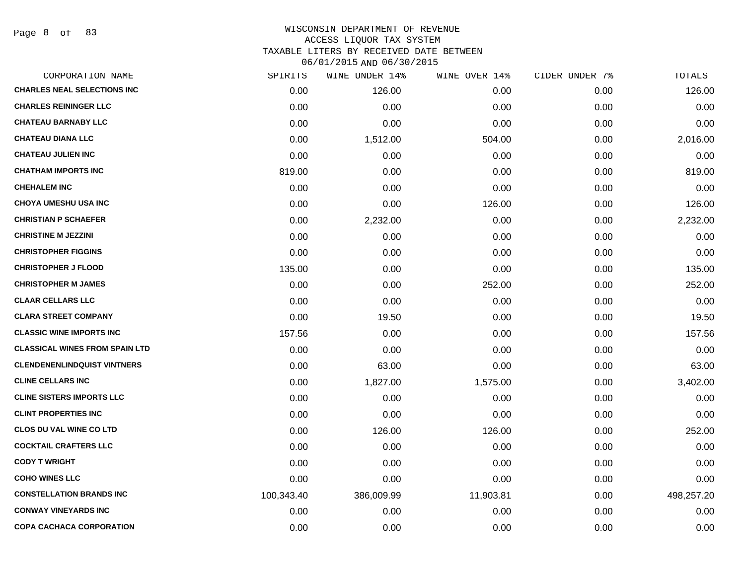Page 8 of 83

### WISCONSIN DEPARTMENT OF REVENUE ACCESS LIQUOR TAX SYSTEM TAXABLE LITERS BY RECEIVED DATE BETWEEN

| CORPORATION NAME                      | SPIRITS    | WINE UNDER 14% | WINE OVER 14% | CIDER UNDER 7% | TOTALS     |
|---------------------------------------|------------|----------------|---------------|----------------|------------|
| <b>CHARLES NEAL SELECTIONS INC</b>    | 0.00       | 126.00         | 0.00          | 0.00           | 126.00     |
| <b>CHARLES REININGER LLC</b>          | 0.00       | 0.00           | 0.00          | 0.00           | 0.00       |
| <b>CHATEAU BARNABY LLC</b>            | 0.00       | 0.00           | 0.00          | 0.00           | 0.00       |
| <b>CHATEAU DIANA LLC</b>              | 0.00       | 1,512.00       | 504.00        | 0.00           | 2,016.00   |
| <b>CHATEAU JULIEN INC</b>             | 0.00       | 0.00           | 0.00          | 0.00           | 0.00       |
| <b>CHATHAM IMPORTS INC</b>            | 819.00     | 0.00           | 0.00          | 0.00           | 819.00     |
| <b>CHEHALEM INC</b>                   | 0.00       | 0.00           | 0.00          | 0.00           | 0.00       |
| <b>CHOYA UMESHU USA INC</b>           | 0.00       | 0.00           | 126.00        | 0.00           | 126.00     |
| <b>CHRISTIAN P SCHAEFER</b>           | 0.00       | 2,232.00       | 0.00          | 0.00           | 2,232.00   |
| <b>CHRISTINE M JEZZINI</b>            | 0.00       | 0.00           | 0.00          | 0.00           | 0.00       |
| <b>CHRISTOPHER FIGGINS</b>            | 0.00       | 0.00           | 0.00          | 0.00           | 0.00       |
| <b>CHRISTOPHER J FLOOD</b>            | 135.00     | 0.00           | 0.00          | 0.00           | 135.00     |
| <b>CHRISTOPHER M JAMES</b>            | 0.00       | 0.00           | 252.00        | 0.00           | 252.00     |
| <b>CLAAR CELLARS LLC</b>              | 0.00       | 0.00           | 0.00          | 0.00           | 0.00       |
| <b>CLARA STREET COMPANY</b>           | 0.00       | 19.50          | 0.00          | 0.00           | 19.50      |
| <b>CLASSIC WINE IMPORTS INC</b>       | 157.56     | 0.00           | 0.00          | 0.00           | 157.56     |
| <b>CLASSICAL WINES FROM SPAIN LTD</b> | 0.00       | 0.00           | 0.00          | 0.00           | 0.00       |
| <b>CLENDENENLINDQUIST VINTNERS</b>    | 0.00       | 63.00          | 0.00          | 0.00           | 63.00      |
| <b>CLINE CELLARS INC</b>              | 0.00       | 1,827.00       | 1,575.00      | 0.00           | 3,402.00   |
| <b>CLINE SISTERS IMPORTS LLC</b>      | 0.00       | 0.00           | 0.00          | 0.00           | 0.00       |
| <b>CLINT PROPERTIES INC</b>           | 0.00       | 0.00           | 0.00          | 0.00           | 0.00       |
| <b>CLOS DU VAL WINE CO LTD</b>        | 0.00       | 126.00         | 126.00        | 0.00           | 252.00     |
| <b>COCKTAIL CRAFTERS LLC</b>          | 0.00       | 0.00           | 0.00          | 0.00           | 0.00       |
| <b>CODY T WRIGHT</b>                  | 0.00       | 0.00           | 0.00          | 0.00           | 0.00       |
| <b>COHO WINES LLC</b>                 | 0.00       | 0.00           | 0.00          | 0.00           | 0.00       |
| <b>CONSTELLATION BRANDS INC</b>       | 100,343.40 | 386,009.99     | 11,903.81     | 0.00           | 498,257.20 |
| <b>CONWAY VINEYARDS INC</b>           | 0.00       | 0.00           | 0.00          | 0.00           | 0.00       |
| COPA CACHACA CORPORATION              | 0.00       | 0.00           | 0.00          | 0.00           | 0.00       |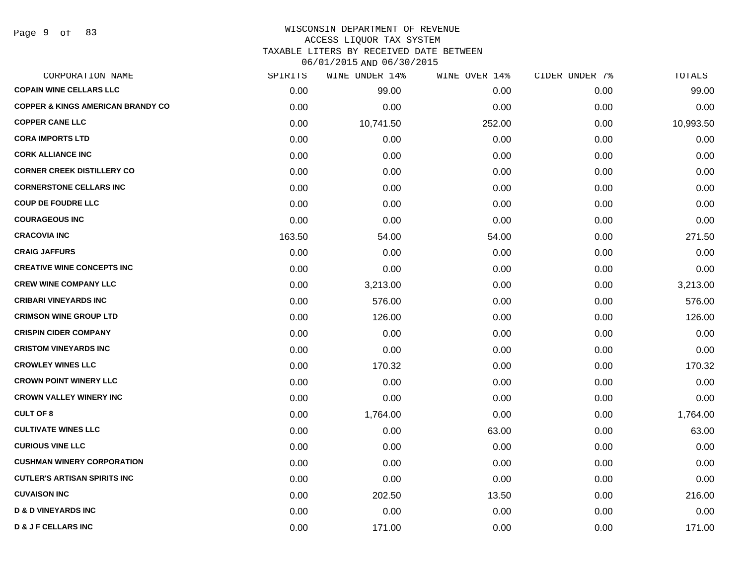Page 9 of 83

## WISCONSIN DEPARTMENT OF REVENUE ACCESS LIQUOR TAX SYSTEM

TAXABLE LITERS BY RECEIVED DATE BETWEEN

| CORPORATION NAME                             | SPIRITS | WINE UNDER 14% | WINE OVER 14% | CIDER UNDER 7% | TOTALS    |
|----------------------------------------------|---------|----------------|---------------|----------------|-----------|
| <b>COPAIN WINE CELLARS LLC</b>               | 0.00    | 99.00          | 0.00          | 0.00           | 99.00     |
| <b>COPPER &amp; KINGS AMERICAN BRANDY CO</b> | 0.00    | 0.00           | 0.00          | 0.00           | 0.00      |
| <b>COPPER CANE LLC</b>                       | 0.00    | 10,741.50      | 252.00        | 0.00           | 10,993.50 |
| <b>CORA IMPORTS LTD</b>                      | 0.00    | 0.00           | 0.00          | 0.00           | 0.00      |
| <b>CORK ALLIANCE INC</b>                     | 0.00    | 0.00           | 0.00          | 0.00           | 0.00      |
| <b>CORNER CREEK DISTILLERY CO</b>            | 0.00    | 0.00           | 0.00          | 0.00           | 0.00      |
| <b>CORNERSTONE CELLARS INC</b>               | 0.00    | 0.00           | 0.00          | 0.00           | 0.00      |
| <b>COUP DE FOUDRE LLC</b>                    | 0.00    | 0.00           | 0.00          | 0.00           | 0.00      |
| <b>COURAGEOUS INC</b>                        | 0.00    | 0.00           | 0.00          | 0.00           | 0.00      |
| <b>CRACOVIA INC</b>                          | 163.50  | 54.00          | 54.00         | 0.00           | 271.50    |
| <b>CRAIG JAFFURS</b>                         | 0.00    | 0.00           | 0.00          | 0.00           | 0.00      |
| <b>CREATIVE WINE CONCEPTS INC</b>            | 0.00    | 0.00           | 0.00          | 0.00           | 0.00      |
| <b>CREW WINE COMPANY LLC</b>                 | 0.00    | 3,213.00       | 0.00          | 0.00           | 3,213.00  |
| <b>CRIBARI VINEYARDS INC</b>                 | 0.00    | 576.00         | 0.00          | 0.00           | 576.00    |
| <b>CRIMSON WINE GROUP LTD</b>                | 0.00    | 126.00         | 0.00          | 0.00           | 126.00    |
| <b>CRISPIN CIDER COMPANY</b>                 | 0.00    | 0.00           | 0.00          | 0.00           | 0.00      |
| <b>CRISTOM VINEYARDS INC</b>                 | 0.00    | 0.00           | 0.00          | 0.00           | 0.00      |
| <b>CROWLEY WINES LLC</b>                     | 0.00    | 170.32         | 0.00          | 0.00           | 170.32    |
| <b>CROWN POINT WINERY LLC</b>                | 0.00    | 0.00           | 0.00          | 0.00           | 0.00      |
| <b>CROWN VALLEY WINERY INC</b>               | 0.00    | 0.00           | 0.00          | 0.00           | 0.00      |
| <b>CULT OF 8</b>                             | 0.00    | 1,764.00       | 0.00          | 0.00           | 1,764.00  |
| <b>CULTIVATE WINES LLC</b>                   | 0.00    | 0.00           | 63.00         | 0.00           | 63.00     |
| <b>CURIOUS VINE LLC</b>                      | 0.00    | 0.00           | 0.00          | 0.00           | 0.00      |
| <b>CUSHMAN WINERY CORPORATION</b>            | 0.00    | 0.00           | 0.00          | 0.00           | 0.00      |
| <b>CUTLER'S ARTISAN SPIRITS INC</b>          | 0.00    | 0.00           | 0.00          | 0.00           | 0.00      |
| <b>CUVAISON INC</b>                          | 0.00    | 202.50         | 13.50         | 0.00           | 216.00    |
| <b>D &amp; D VINEYARDS INC</b>               | 0.00    | 0.00           | 0.00          | 0.00           | 0.00      |
| <b>D &amp; J F CELLARS INC</b>               | 0.00    | 171.00         | 0.00          | 0.00           | 171.00    |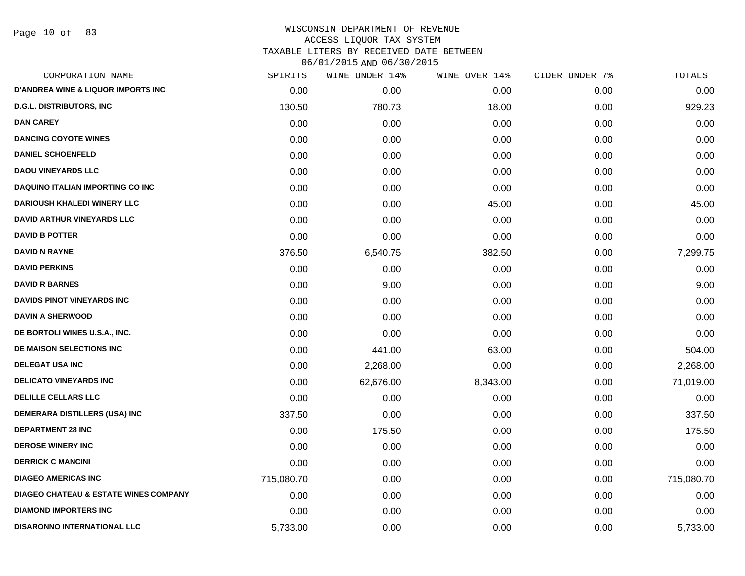Page 10 of 83

| CORPORATION NAME                                 | SPIRITS    | WINE UNDER 14% | WINE OVER 14% | CIDER UNDER 7% | TOTALS     |
|--------------------------------------------------|------------|----------------|---------------|----------------|------------|
| <b>D'ANDREA WINE &amp; LIQUOR IMPORTS INC</b>    | 0.00       | 0.00           | 0.00          | 0.00           | 0.00       |
| <b>D.G.L. DISTRIBUTORS, INC.</b>                 | 130.50     | 780.73         | 18.00         | 0.00           | 929.23     |
| <b>DAN CAREY</b>                                 | 0.00       | 0.00           | 0.00          | 0.00           | 0.00       |
| <b>DANCING COYOTE WINES</b>                      | 0.00       | 0.00           | 0.00          | 0.00           | 0.00       |
| <b>DANIEL SCHOENFELD</b>                         | 0.00       | 0.00           | 0.00          | 0.00           | 0.00       |
| <b>DAOU VINEYARDS LLC</b>                        | 0.00       | 0.00           | 0.00          | 0.00           | 0.00       |
| <b>DAQUINO ITALIAN IMPORTING CO INC</b>          | 0.00       | 0.00           | 0.00          | 0.00           | 0.00       |
| <b>DARIOUSH KHALEDI WINERY LLC</b>               | 0.00       | 0.00           | 45.00         | 0.00           | 45.00      |
| <b>DAVID ARTHUR VINEYARDS LLC</b>                | 0.00       | 0.00           | 0.00          | 0.00           | 0.00       |
| <b>DAVID B POTTER</b>                            | 0.00       | 0.00           | 0.00          | 0.00           | 0.00       |
| <b>DAVID N RAYNE</b>                             | 376.50     | 6,540.75       | 382.50        | 0.00           | 7,299.75   |
| <b>DAVID PERKINS</b>                             | 0.00       | 0.00           | 0.00          | 0.00           | 0.00       |
| <b>DAVID R BARNES</b>                            | 0.00       | 9.00           | 0.00          | 0.00           | 9.00       |
| DAVIDS PINOT VINEYARDS INC                       | 0.00       | 0.00           | 0.00          | 0.00           | 0.00       |
| <b>DAVIN A SHERWOOD</b>                          | 0.00       | 0.00           | 0.00          | 0.00           | 0.00       |
| DE BORTOLI WINES U.S.A., INC.                    | 0.00       | 0.00           | 0.00          | 0.00           | 0.00       |
| DE MAISON SELECTIONS INC                         | 0.00       | 441.00         | 63.00         | 0.00           | 504.00     |
| <b>DELEGAT USA INC</b>                           | 0.00       | 2,268.00       | 0.00          | 0.00           | 2,268.00   |
| <b>DELICATO VINEYARDS INC</b>                    | 0.00       | 62,676.00      | 8,343.00      | 0.00           | 71,019.00  |
| <b>DELILLE CELLARS LLC</b>                       | 0.00       | 0.00           | 0.00          | 0.00           | 0.00       |
| DEMERARA DISTILLERS (USA) INC                    | 337.50     | 0.00           | 0.00          | 0.00           | 337.50     |
| <b>DEPARTMENT 28 INC</b>                         | 0.00       | 175.50         | 0.00          | 0.00           | 175.50     |
| <b>DEROSE WINERY INC</b>                         | 0.00       | 0.00           | 0.00          | 0.00           | 0.00       |
| <b>DERRICK C MANCINI</b>                         | 0.00       | 0.00           | 0.00          | 0.00           | 0.00       |
| <b>DIAGEO AMERICAS INC</b>                       | 715,080.70 | 0.00           | 0.00          | 0.00           | 715,080.70 |
| <b>DIAGEO CHATEAU &amp; ESTATE WINES COMPANY</b> | 0.00       | 0.00           | 0.00          | 0.00           | 0.00       |
| <b>DIAMOND IMPORTERS INC</b>                     | 0.00       | 0.00           | 0.00          | 0.00           | 0.00       |
| <b>DISARONNO INTERNATIONAL LLC</b>               | 5,733.00   | 0.00           | 0.00          | 0.00           | 5,733.00   |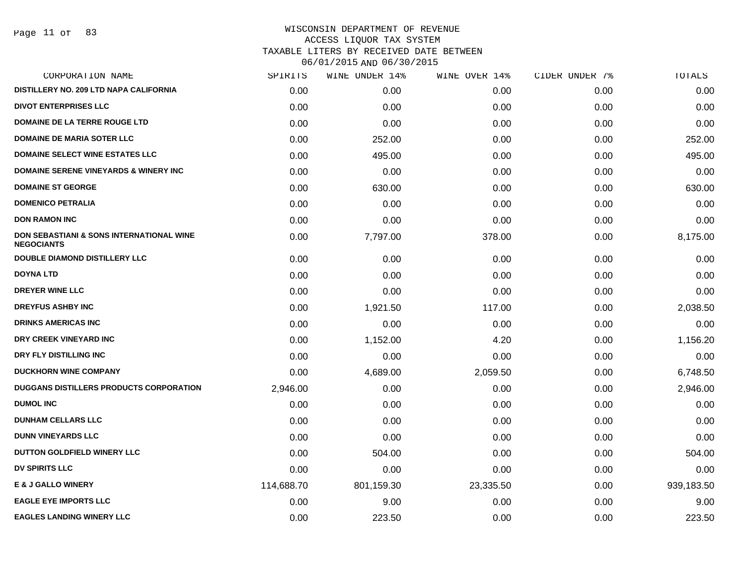Page 11 of 83

| CORPORATION NAME                                              | SPIRITS    | WINE UNDER 14% | WINE OVER 14% | CIDER UNDER 7% | TOTALS     |
|---------------------------------------------------------------|------------|----------------|---------------|----------------|------------|
| DISTILLERY NO. 209 LTD NAPA CALIFORNIA                        | 0.00       | 0.00           | 0.00          | 0.00           | 0.00       |
| <b>DIVOT ENTERPRISES LLC</b>                                  | 0.00       | 0.00           | 0.00          | 0.00           | 0.00       |
| <b>DOMAINE DE LA TERRE ROUGE LTD</b>                          | 0.00       | 0.00           | 0.00          | 0.00           | 0.00       |
| <b>DOMAINE DE MARIA SOTER LLC</b>                             | 0.00       | 252.00         | 0.00          | 0.00           | 252.00     |
| <b>DOMAINE SELECT WINE ESTATES LLC</b>                        | 0.00       | 495.00         | 0.00          | 0.00           | 495.00     |
| <b>DOMAINE SERENE VINEYARDS &amp; WINERY INC</b>              | 0.00       | 0.00           | 0.00          | 0.00           | 0.00       |
| <b>DOMAINE ST GEORGE</b>                                      | 0.00       | 630.00         | 0.00          | 0.00           | 630.00     |
| <b>DOMENICO PETRALIA</b>                                      | 0.00       | 0.00           | 0.00          | 0.00           | 0.00       |
| <b>DON RAMON INC</b>                                          | 0.00       | 0.00           | 0.00          | 0.00           | 0.00       |
| DON SEBASTIANI & SONS INTERNATIONAL WINE<br><b>NEGOCIANTS</b> | 0.00       | 7,797.00       | 378.00        | 0.00           | 8,175.00   |
| <b>DOUBLE DIAMOND DISTILLERY LLC</b>                          | 0.00       | 0.00           | 0.00          | 0.00           | 0.00       |
| <b>DOYNA LTD</b>                                              | 0.00       | 0.00           | 0.00          | 0.00           | 0.00       |
| <b>DREYER WINE LLC</b>                                        | 0.00       | 0.00           | 0.00          | 0.00           | 0.00       |
| <b>DREYFUS ASHBY INC</b>                                      | 0.00       | 1,921.50       | 117.00        | 0.00           | 2,038.50   |
| <b>DRINKS AMERICAS INC</b>                                    | 0.00       | 0.00           | 0.00          | 0.00           | 0.00       |
| DRY CREEK VINEYARD INC                                        | 0.00       | 1,152.00       | 4.20          | 0.00           | 1,156.20   |
| DRY FLY DISTILLING INC                                        | 0.00       | 0.00           | 0.00          | 0.00           | 0.00       |
| <b>DUCKHORN WINE COMPANY</b>                                  | 0.00       | 4,689.00       | 2,059.50      | 0.00           | 6,748.50   |
| DUGGANS DISTILLERS PRODUCTS CORPORATION                       | 2,946.00   | 0.00           | 0.00          | 0.00           | 2,946.00   |
| <b>DUMOL INC</b>                                              | 0.00       | 0.00           | 0.00          | 0.00           | 0.00       |
| <b>DUNHAM CELLARS LLC</b>                                     | 0.00       | 0.00           | 0.00          | 0.00           | 0.00       |
| <b>DUNN VINEYARDS LLC</b>                                     | 0.00       | 0.00           | 0.00          | 0.00           | 0.00       |
| DUTTON GOLDFIELD WINERY LLC                                   | 0.00       | 504.00         | 0.00          | 0.00           | 504.00     |
| <b>DV SPIRITS LLC</b>                                         | 0.00       | 0.00           | 0.00          | 0.00           | 0.00       |
| E & J GALLO WINERY                                            | 114,688.70 | 801,159.30     | 23,335.50     | 0.00           | 939,183.50 |
| <b>EAGLE EYE IMPORTS LLC</b>                                  | 0.00       | 9.00           | 0.00          | 0.00           | 9.00       |
| <b>EAGLES LANDING WINERY LLC</b>                              | 0.00       | 223.50         | 0.00          | 0.00           | 223.50     |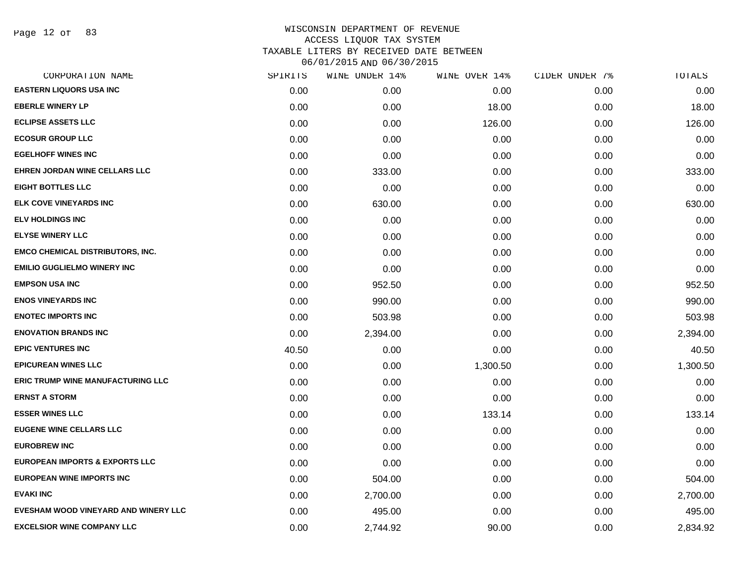Page 12 of 83

| CORPORATION NAME                          | SPIRITS | WINE UNDER 14% | WINE OVER 14% | CIDER UNDER 7% | TOTALS   |
|-------------------------------------------|---------|----------------|---------------|----------------|----------|
| <b>EASTERN LIQUORS USA INC</b>            | 0.00    | 0.00           | 0.00          | 0.00           | 0.00     |
| <b>EBERLE WINERY LP</b>                   | 0.00    | 0.00           | 18.00         | 0.00           | 18.00    |
| <b>ECLIPSE ASSETS LLC</b>                 | 0.00    | 0.00           | 126.00        | 0.00           | 126.00   |
| <b>ECOSUR GROUP LLC</b>                   | 0.00    | 0.00           | 0.00          | 0.00           | 0.00     |
| <b>EGELHOFF WINES INC</b>                 | 0.00    | 0.00           | 0.00          | 0.00           | 0.00     |
| EHREN JORDAN WINE CELLARS LLC             | 0.00    | 333.00         | 0.00          | 0.00           | 333.00   |
| <b>EIGHT BOTTLES LLC</b>                  | 0.00    | 0.00           | 0.00          | 0.00           | 0.00     |
| <b>ELK COVE VINEYARDS INC</b>             | 0.00    | 630.00         | 0.00          | 0.00           | 630.00   |
| <b>ELV HOLDINGS INC</b>                   | 0.00    | 0.00           | 0.00          | 0.00           | 0.00     |
| <b>ELYSE WINERY LLC</b>                   | 0.00    | 0.00           | 0.00          | 0.00           | 0.00     |
| <b>EMCO CHEMICAL DISTRIBUTORS, INC.</b>   | 0.00    | 0.00           | 0.00          | 0.00           | 0.00     |
| <b>EMILIO GUGLIELMO WINERY INC</b>        | 0.00    | 0.00           | 0.00          | 0.00           | 0.00     |
| <b>EMPSON USA INC</b>                     | 0.00    | 952.50         | 0.00          | 0.00           | 952.50   |
| <b>ENOS VINEYARDS INC</b>                 | 0.00    | 990.00         | 0.00          | 0.00           | 990.00   |
| <b>ENOTEC IMPORTS INC</b>                 | 0.00    | 503.98         | 0.00          | 0.00           | 503.98   |
| <b>ENOVATION BRANDS INC</b>               | 0.00    | 2,394.00       | 0.00          | 0.00           | 2,394.00 |
| <b>EPIC VENTURES INC</b>                  | 40.50   | 0.00           | 0.00          | 0.00           | 40.50    |
| <b>EPICUREAN WINES LLC</b>                | 0.00    | 0.00           | 1,300.50      | 0.00           | 1,300.50 |
| ERIC TRUMP WINE MANUFACTURING LLC         | 0.00    | 0.00           | 0.00          | 0.00           | 0.00     |
| <b>ERNST A STORM</b>                      | 0.00    | 0.00           | 0.00          | 0.00           | 0.00     |
| <b>ESSER WINES LLC</b>                    | 0.00    | 0.00           | 133.14        | 0.00           | 133.14   |
| <b>EUGENE WINE CELLARS LLC</b>            | 0.00    | 0.00           | 0.00          | 0.00           | 0.00     |
| <b>EUROBREW INC</b>                       | 0.00    | 0.00           | 0.00          | 0.00           | 0.00     |
| <b>EUROPEAN IMPORTS &amp; EXPORTS LLC</b> | 0.00    | 0.00           | 0.00          | 0.00           | 0.00     |
| <b>EUROPEAN WINE IMPORTS INC</b>          | 0.00    | 504.00         | 0.00          | 0.00           | 504.00   |
| <b>EVAKI INC</b>                          | 0.00    | 2,700.00       | 0.00          | 0.00           | 2,700.00 |
| EVESHAM WOOD VINEYARD AND WINERY LLC      | 0.00    | 495.00         | 0.00          | 0.00           | 495.00   |
| <b>EXCELSIOR WINE COMPANY LLC</b>         | 0.00    | 2,744.92       | 90.00         | 0.00           | 2,834.92 |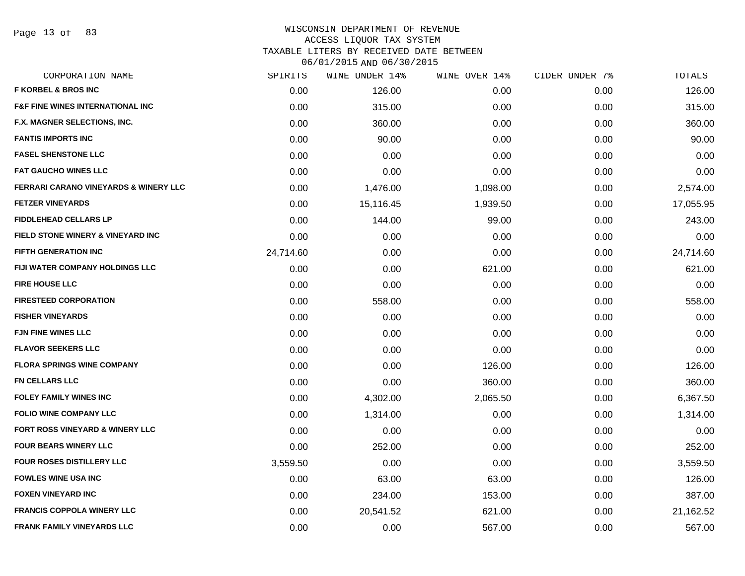Page 13 of 83

#### WISCONSIN DEPARTMENT OF REVENUE ACCESS LIQUOR TAX SYSTEM

TAXABLE LITERS BY RECEIVED DATE BETWEEN

| CORPORATION NAME                                 | SPIRITS   | WINE UNDER 14% | WINE OVER 14% | CIDER UNDER 7% | TOTALS    |
|--------------------------------------------------|-----------|----------------|---------------|----------------|-----------|
| <b>F KORBEL &amp; BROS INC</b>                   | 0.00      | 126.00         | 0.00          | 0.00           | 126.00    |
| <b>F&amp;F FINE WINES INTERNATIONAL INC</b>      | 0.00      | 315.00         | 0.00          | 0.00           | 315.00    |
| F.X. MAGNER SELECTIONS, INC.                     | 0.00      | 360.00         | 0.00          | 0.00           | 360.00    |
| <b>FANTIS IMPORTS INC</b>                        | 0.00      | 90.00          | 0.00          | 0.00           | 90.00     |
| <b>FASEL SHENSTONE LLC</b>                       | 0.00      | 0.00           | 0.00          | 0.00           | 0.00      |
| <b>FAT GAUCHO WINES LLC</b>                      | 0.00      | 0.00           | 0.00          | 0.00           | 0.00      |
| <b>FERRARI CARANO VINEYARDS &amp; WINERY LLC</b> | 0.00      | 1,476.00       | 1,098.00      | 0.00           | 2,574.00  |
| <b>FETZER VINEYARDS</b>                          | 0.00      | 15,116.45      | 1,939.50      | 0.00           | 17,055.95 |
| <b>FIDDLEHEAD CELLARS LP</b>                     | 0.00      | 144.00         | 99.00         | 0.00           | 243.00    |
| <b>FIELD STONE WINERY &amp; VINEYARD INC</b>     | 0.00      | 0.00           | 0.00          | 0.00           | 0.00      |
| <b>FIFTH GENERATION INC</b>                      | 24,714.60 | 0.00           | 0.00          | 0.00           | 24,714.60 |
| FIJI WATER COMPANY HOLDINGS LLC                  | 0.00      | 0.00           | 621.00        | 0.00           | 621.00    |
| <b>FIRE HOUSE LLC</b>                            | 0.00      | 0.00           | 0.00          | 0.00           | 0.00      |
| <b>FIRESTEED CORPORATION</b>                     | 0.00      | 558.00         | 0.00          | 0.00           | 558.00    |
| <b>FISHER VINEYARDS</b>                          | 0.00      | 0.00           | 0.00          | 0.00           | 0.00      |
| <b>FJN FINE WINES LLC</b>                        | 0.00      | 0.00           | 0.00          | 0.00           | 0.00      |
| <b>FLAVOR SEEKERS LLC</b>                        | 0.00      | 0.00           | 0.00          | 0.00           | 0.00      |
| <b>FLORA SPRINGS WINE COMPANY</b>                | 0.00      | 0.00           | 126.00        | 0.00           | 126.00    |
| <b>FN CELLARS LLC</b>                            | 0.00      | 0.00           | 360.00        | 0.00           | 360.00    |
| FOLEY FAMILY WINES INC                           | 0.00      | 4,302.00       | 2,065.50      | 0.00           | 6,367.50  |
| <b>FOLIO WINE COMPANY LLC</b>                    | 0.00      | 1,314.00       | 0.00          | 0.00           | 1,314.00  |
| FORT ROSS VINEYARD & WINERY LLC                  | 0.00      | 0.00           | 0.00          | 0.00           | 0.00      |
| <b>FOUR BEARS WINERY LLC</b>                     | 0.00      | 252.00         | 0.00          | 0.00           | 252.00    |
| <b>FOUR ROSES DISTILLERY LLC</b>                 | 3,559.50  | 0.00           | 0.00          | 0.00           | 3,559.50  |
| <b>FOWLES WINE USA INC</b>                       | 0.00      | 63.00          | 63.00         | 0.00           | 126.00    |
| <b>FOXEN VINEYARD INC</b>                        | 0.00      | 234.00         | 153.00        | 0.00           | 387.00    |
| <b>FRANCIS COPPOLA WINERY LLC</b>                | 0.00      | 20,541.52      | 621.00        | 0.00           | 21,162.52 |
| <b>FRANK FAMILY VINEYARDS LLC</b>                | 0.00      | 0.00           | 567.00        | 0.00           | 567.00    |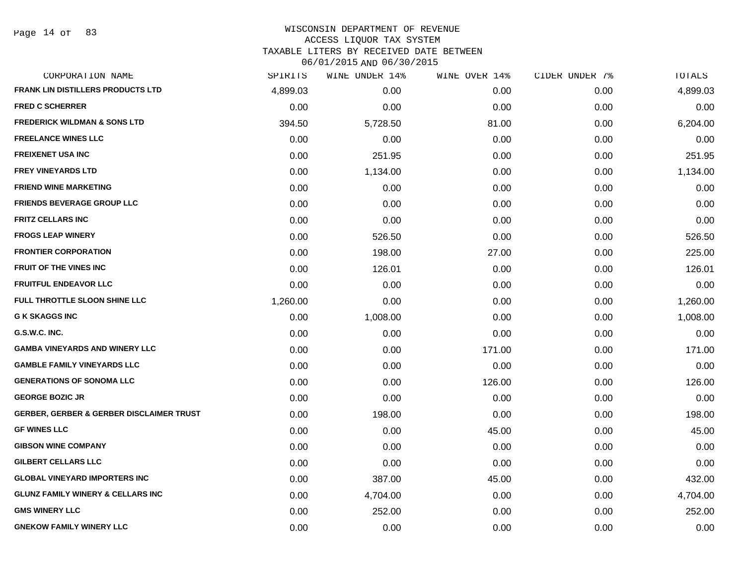Page 14 of 83

# WISCONSIN DEPARTMENT OF REVENUE ACCESS LIQUOR TAX SYSTEM TAXABLE LITERS BY RECEIVED DATE BETWEEN

| CORPORATION NAME                                    | SPIRITS  | WINE UNDER 14% | WINE OVER 14% | CIDER UNDER 7% | TOTALS   |
|-----------------------------------------------------|----------|----------------|---------------|----------------|----------|
| <b>FRANK LIN DISTILLERS PRODUCTS LTD</b>            | 4,899.03 | 0.00           | 0.00          | 0.00           | 4,899.03 |
| <b>FRED C SCHERRER</b>                              | 0.00     | 0.00           | 0.00          | 0.00           | 0.00     |
| <b>FREDERICK WILDMAN &amp; SONS LTD</b>             | 394.50   | 5,728.50       | 81.00         | 0.00           | 6,204.00 |
| <b>FREELANCE WINES LLC</b>                          | 0.00     | 0.00           | 0.00          | 0.00           | 0.00     |
| <b>FREIXENET USA INC</b>                            | 0.00     | 251.95         | 0.00          | 0.00           | 251.95   |
| <b>FREY VINEYARDS LTD</b>                           | 0.00     | 1,134.00       | 0.00          | 0.00           | 1,134.00 |
| <b>FRIEND WINE MARKETING</b>                        | 0.00     | 0.00           | 0.00          | 0.00           | 0.00     |
| <b>FRIENDS BEVERAGE GROUP LLC</b>                   | 0.00     | 0.00           | 0.00          | 0.00           | 0.00     |
| <b>FRITZ CELLARS INC</b>                            | 0.00     | 0.00           | 0.00          | 0.00           | 0.00     |
| <b>FROGS LEAP WINERY</b>                            | 0.00     | 526.50         | 0.00          | 0.00           | 526.50   |
| <b>FRONTIER CORPORATION</b>                         | 0.00     | 198.00         | 27.00         | 0.00           | 225.00   |
| FRUIT OF THE VINES INC                              | 0.00     | 126.01         | 0.00          | 0.00           | 126.01   |
| <b>FRUITFUL ENDEAVOR LLC</b>                        | 0.00     | 0.00           | 0.00          | 0.00           | 0.00     |
| FULL THROTTLE SLOON SHINE LLC                       | 1,260.00 | 0.00           | 0.00          | 0.00           | 1,260.00 |
| <b>G K SKAGGS INC</b>                               | 0.00     | 1,008.00       | 0.00          | 0.00           | 1,008.00 |
| G.S.W.C. INC.                                       | 0.00     | 0.00           | 0.00          | 0.00           | 0.00     |
| <b>GAMBA VINEYARDS AND WINERY LLC</b>               | 0.00     | 0.00           | 171.00        | 0.00           | 171.00   |
| <b>GAMBLE FAMILY VINEYARDS LLC</b>                  | 0.00     | 0.00           | 0.00          | 0.00           | 0.00     |
| <b>GENERATIONS OF SONOMA LLC</b>                    | 0.00     | 0.00           | 126.00        | 0.00           | 126.00   |
| <b>GEORGE BOZIC JR</b>                              | 0.00     | 0.00           | 0.00          | 0.00           | 0.00     |
| <b>GERBER, GERBER &amp; GERBER DISCLAIMER TRUST</b> | 0.00     | 198.00         | 0.00          | 0.00           | 198.00   |
| <b>GF WINES LLC</b>                                 | 0.00     | 0.00           | 45.00         | 0.00           | 45.00    |
| <b>GIBSON WINE COMPANY</b>                          | 0.00     | 0.00           | 0.00          | 0.00           | 0.00     |
| <b>GILBERT CELLARS LLC</b>                          | 0.00     | 0.00           | 0.00          | 0.00           | 0.00     |
| <b>GLOBAL VINEYARD IMPORTERS INC</b>                | 0.00     | 387.00         | 45.00         | 0.00           | 432.00   |
| <b>GLUNZ FAMILY WINERY &amp; CELLARS INC</b>        | 0.00     | 4,704.00       | 0.00          | 0.00           | 4,704.00 |
| <b>GMS WINERY LLC</b>                               | 0.00     | 252.00         | 0.00          | 0.00           | 252.00   |
| <b>GNEKOW FAMILY WINERY LLC</b>                     | 0.00     | 0.00           | 0.00          | 0.00           | 0.00     |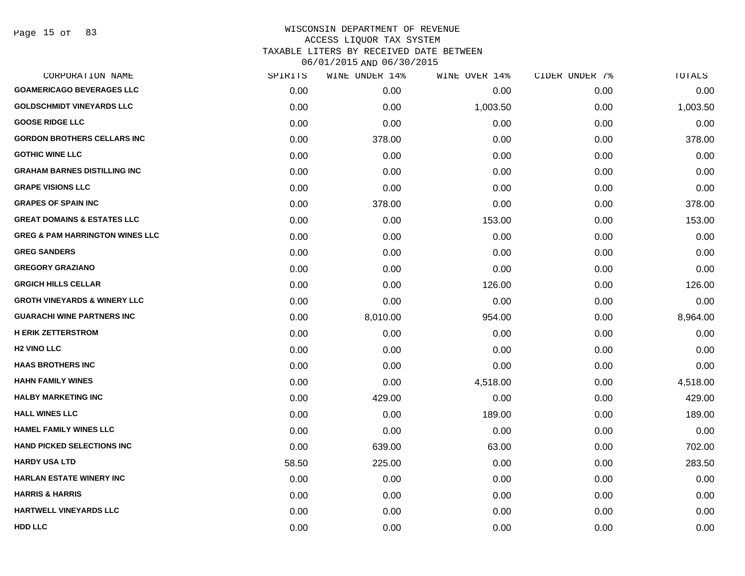# WISCONSIN DEPARTMENT OF REVENUE ACCESS LIQUOR TAX SYSTEM TAXABLE LITERS BY RECEIVED DATE BETWEEN

| CORPORATION NAME                           | SPIRITS | WINE UNDER 14% | WINE OVER 14% | CIDER UNDER 7% | TOTALS   |
|--------------------------------------------|---------|----------------|---------------|----------------|----------|
| <b>GOAMERICAGO BEVERAGES LLC</b>           | 0.00    | 0.00           | 0.00          | 0.00           | 0.00     |
| <b>GOLDSCHMIDT VINEYARDS LLC</b>           | 0.00    | 0.00           | 1,003.50      | 0.00           | 1,003.50 |
| <b>GOOSE RIDGE LLC</b>                     | 0.00    | 0.00           | 0.00          | 0.00           | 0.00     |
| <b>GORDON BROTHERS CELLARS INC</b>         | 0.00    | 378.00         | 0.00          | 0.00           | 378.00   |
| <b>GOTHIC WINE LLC</b>                     | 0.00    | 0.00           | 0.00          | 0.00           | 0.00     |
| <b>GRAHAM BARNES DISTILLING INC</b>        | 0.00    | 0.00           | 0.00          | 0.00           | 0.00     |
| <b>GRAPE VISIONS LLC</b>                   | 0.00    | 0.00           | 0.00          | 0.00           | 0.00     |
| <b>GRAPES OF SPAIN INC</b>                 | 0.00    | 378.00         | 0.00          | 0.00           | 378.00   |
| <b>GREAT DOMAINS &amp; ESTATES LLC</b>     | 0.00    | 0.00           | 153.00        | 0.00           | 153.00   |
| <b>GREG &amp; PAM HARRINGTON WINES LLC</b> | 0.00    | 0.00           | 0.00          | 0.00           | 0.00     |
| <b>GREG SANDERS</b>                        | 0.00    | 0.00           | 0.00          | 0.00           | 0.00     |
| <b>GREGORY GRAZIANO</b>                    | 0.00    | 0.00           | 0.00          | 0.00           | 0.00     |
| <b>GRGICH HILLS CELLAR</b>                 | 0.00    | 0.00           | 126.00        | 0.00           | 126.00   |
| <b>GROTH VINEYARDS &amp; WINERY LLC</b>    | 0.00    | 0.00           | 0.00          | 0.00           | 0.00     |
| <b>GUARACHI WINE PARTNERS INC</b>          | 0.00    | 8,010.00       | 954.00        | 0.00           | 8,964.00 |
| <b>H ERIK ZETTERSTROM</b>                  | 0.00    | 0.00           | 0.00          | 0.00           | 0.00     |
| <b>H2 VINO LLC</b>                         | 0.00    | 0.00           | 0.00          | 0.00           | 0.00     |
| <b>HAAS BROTHERS INC</b>                   | 0.00    | 0.00           | 0.00          | 0.00           | 0.00     |
| <b>HAHN FAMILY WINES</b>                   | 0.00    | 0.00           | 4,518.00      | 0.00           | 4,518.00 |
| <b>HALBY MARKETING INC</b>                 | 0.00    | 429.00         | 0.00          | 0.00           | 429.00   |
| <b>HALL WINES LLC</b>                      | 0.00    | 0.00           | 189.00        | 0.00           | 189.00   |
| <b>HAMEL FAMILY WINES LLC</b>              | 0.00    | 0.00           | 0.00          | 0.00           | 0.00     |
| <b>HAND PICKED SELECTIONS INC</b>          | 0.00    | 639.00         | 63.00         | 0.00           | 702.00   |
| <b>HARDY USA LTD</b>                       | 58.50   | 225.00         | 0.00          | 0.00           | 283.50   |
| <b>HARLAN ESTATE WINERY INC</b>            | 0.00    | 0.00           | 0.00          | 0.00           | 0.00     |
| <b>HARRIS &amp; HARRIS</b>                 | 0.00    | 0.00           | 0.00          | 0.00           | 0.00     |
| HARTWELL VINEYARDS LLC                     | 0.00    | 0.00           | 0.00          | 0.00           | 0.00     |
| <b>HDD LLC</b>                             | 0.00    | 0.00           | 0.00          | 0.00           | 0.00     |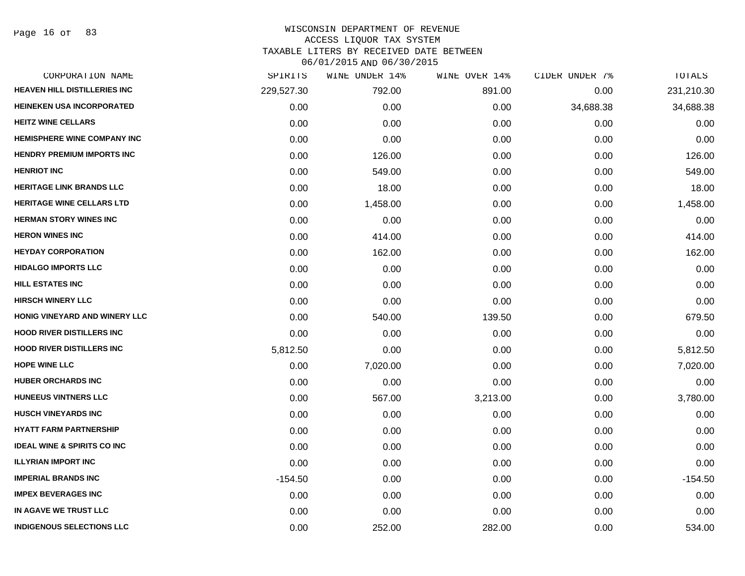## WISCONSIN DEPARTMENT OF REVENUE ACCESS LIQUOR TAX SYSTEM

TAXABLE LITERS BY RECEIVED DATE BETWEEN

| CORPORATION NAME                       | SPIRITS    | WINE UNDER 14% | WINE OVER 14% | CIDER UNDER 7% | TOTALS     |
|----------------------------------------|------------|----------------|---------------|----------------|------------|
| HEAVEN HILL DISTILLERIES INC           | 229,527.30 | 792.00         | 891.00        | 0.00           | 231,210.30 |
| <b>HEINEKEN USA INCORPORATED</b>       | 0.00       | 0.00           | 0.00          | 34,688.38      | 34,688.38  |
| <b>HEITZ WINE CELLARS</b>              | 0.00       | 0.00           | 0.00          | 0.00           | 0.00       |
| HEMISPHERE WINE COMPANY INC            | 0.00       | 0.00           | 0.00          | 0.00           | 0.00       |
| <b>HENDRY PREMIUM IMPORTS INC</b>      | 0.00       | 126.00         | 0.00          | 0.00           | 126.00     |
| <b>HENRIOT INC</b>                     | 0.00       | 549.00         | 0.00          | 0.00           | 549.00     |
| <b>HERITAGE LINK BRANDS LLC</b>        | 0.00       | 18.00          | 0.00          | 0.00           | 18.00      |
| <b>HERITAGE WINE CELLARS LTD</b>       | 0.00       | 1,458.00       | 0.00          | 0.00           | 1,458.00   |
| <b>HERMAN STORY WINES INC</b>          | 0.00       | 0.00           | 0.00          | 0.00           | 0.00       |
| <b>HERON WINES INC</b>                 | 0.00       | 414.00         | 0.00          | 0.00           | 414.00     |
| <b>HEYDAY CORPORATION</b>              | 0.00       | 162.00         | 0.00          | 0.00           | 162.00     |
| <b>HIDALGO IMPORTS LLC</b>             | 0.00       | 0.00           | 0.00          | 0.00           | 0.00       |
| <b>HILL ESTATES INC</b>                | 0.00       | 0.00           | 0.00          | 0.00           | 0.00       |
| <b>HIRSCH WINERY LLC</b>               | 0.00       | 0.00           | 0.00          | 0.00           | 0.00       |
| HONIG VINEYARD AND WINERY LLC          | 0.00       | 540.00         | 139.50        | 0.00           | 679.50     |
| <b>HOOD RIVER DISTILLERS INC</b>       | 0.00       | 0.00           | 0.00          | 0.00           | 0.00       |
| <b>HOOD RIVER DISTILLERS INC</b>       | 5,812.50   | 0.00           | 0.00          | 0.00           | 5,812.50   |
| <b>HOPE WINE LLC</b>                   | 0.00       | 7,020.00       | 0.00          | 0.00           | 7,020.00   |
| <b>HUBER ORCHARDS INC</b>              | 0.00       | 0.00           | 0.00          | 0.00           | 0.00       |
| <b>HUNEEUS VINTNERS LLC</b>            | 0.00       | 567.00         | 3,213.00      | 0.00           | 3,780.00   |
| <b>HUSCH VINEYARDS INC</b>             | 0.00       | 0.00           | 0.00          | 0.00           | 0.00       |
| <b>HYATT FARM PARTNERSHIP</b>          | 0.00       | 0.00           | 0.00          | 0.00           | 0.00       |
| <b>IDEAL WINE &amp; SPIRITS CO INC</b> | 0.00       | 0.00           | 0.00          | 0.00           | 0.00       |
| <b>ILLYRIAN IMPORT INC</b>             | 0.00       | 0.00           | 0.00          | 0.00           | 0.00       |
| <b>IMPERIAL BRANDS INC</b>             | $-154.50$  | 0.00           | 0.00          | 0.00           | $-154.50$  |
| <b>IMPEX BEVERAGES INC</b>             | 0.00       | 0.00           | 0.00          | 0.00           | 0.00       |
| IN AGAVE WE TRUST LLC                  | 0.00       | 0.00           | 0.00          | 0.00           | 0.00       |
| <b>INDIGENOUS SELECTIONS LLC</b>       | 0.00       | 252.00         | 282.00        | 0.00           | 534.00     |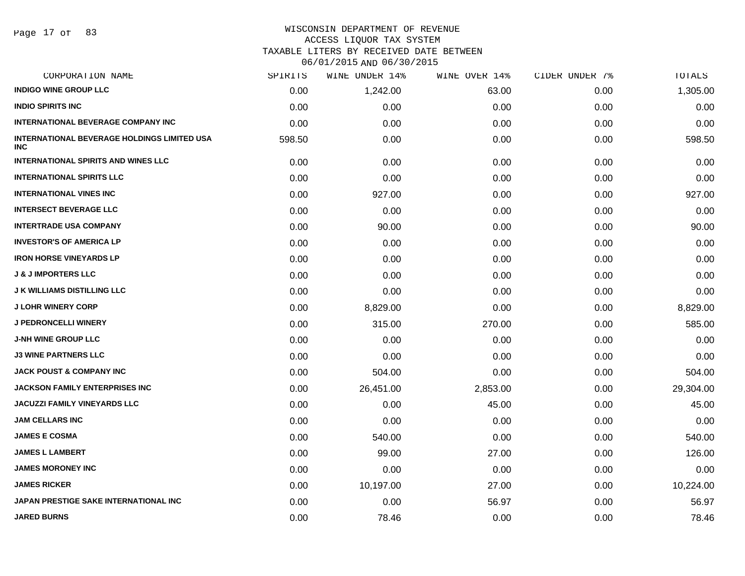# WISCONSIN DEPARTMENT OF REVENUE ACCESS LIQUOR TAX SYSTEM

TAXABLE LITERS BY RECEIVED DATE BETWEEN

| CORPORATION NAME                                                 | SPIRITS | WINE UNDER 14% | WINE OVER 14% | CIDER UNDER 7% | TOTALS    |
|------------------------------------------------------------------|---------|----------------|---------------|----------------|-----------|
| <b>INDIGO WINE GROUP LLC</b>                                     | 0.00    | 1,242.00       | 63.00         | 0.00           | 1,305.00  |
| <b>INDIO SPIRITS INC</b>                                         | 0.00    | 0.00           | 0.00          | 0.00           | 0.00      |
| <b>INTERNATIONAL BEVERAGE COMPANY INC</b>                        | 0.00    | 0.00           | 0.00          | 0.00           | 0.00      |
| <b>INTERNATIONAL BEVERAGE HOLDINGS LIMITED USA</b><br><b>INC</b> | 598.50  | 0.00           | 0.00          | 0.00           | 598.50    |
| <b>INTERNATIONAL SPIRITS AND WINES LLC</b>                       | 0.00    | 0.00           | 0.00          | 0.00           | 0.00      |
| <b>INTERNATIONAL SPIRITS LLC</b>                                 | 0.00    | 0.00           | 0.00          | 0.00           | 0.00      |
| <b>INTERNATIONAL VINES INC</b>                                   | 0.00    | 927.00         | 0.00          | 0.00           | 927.00    |
| <b>INTERSECT BEVERAGE LLC</b>                                    | 0.00    | 0.00           | 0.00          | 0.00           | 0.00      |
| <b>INTERTRADE USA COMPANY</b>                                    | 0.00    | 90.00          | 0.00          | 0.00           | 90.00     |
| <b>INVESTOR'S OF AMERICA LP</b>                                  | 0.00    | 0.00           | 0.00          | 0.00           | 0.00      |
| <b>IRON HORSE VINEYARDS LP</b>                                   | 0.00    | 0.00           | 0.00          | 0.00           | 0.00      |
| <b>J &amp; J IMPORTERS LLC</b>                                   | 0.00    | 0.00           | 0.00          | 0.00           | 0.00      |
| <b>J K WILLIAMS DISTILLING LLC</b>                               | 0.00    | 0.00           | 0.00          | 0.00           | 0.00      |
| <b>J LOHR WINERY CORP</b>                                        | 0.00    | 8,829.00       | 0.00          | 0.00           | 8,829.00  |
| <b>J PEDRONCELLI WINERY</b>                                      | 0.00    | 315.00         | 270.00        | 0.00           | 585.00    |
| <b>J-NH WINE GROUP LLC</b>                                       | 0.00    | 0.00           | 0.00          | 0.00           | 0.00      |
| <b>J3 WINE PARTNERS LLC</b>                                      | 0.00    | 0.00           | 0.00          | 0.00           | 0.00      |
| <b>JACK POUST &amp; COMPANY INC</b>                              | 0.00    | 504.00         | 0.00          | 0.00           | 504.00    |
| <b>JACKSON FAMILY ENTERPRISES INC</b>                            | 0.00    | 26,451.00      | 2,853.00      | 0.00           | 29,304.00 |
| JACUZZI FAMILY VINEYARDS LLC                                     | 0.00    | 0.00           | 45.00         | 0.00           | 45.00     |
| <b>JAM CELLARS INC</b>                                           | 0.00    | 0.00           | 0.00          | 0.00           | 0.00      |
| <b>JAMES E COSMA</b>                                             | 0.00    | 540.00         | 0.00          | 0.00           | 540.00    |
| <b>JAMES L LAMBERT</b>                                           | 0.00    | 99.00          | 27.00         | 0.00           | 126.00    |
| <b>JAMES MORONEY INC</b>                                         | 0.00    | 0.00           | 0.00          | 0.00           | 0.00      |
| <b>JAMES RICKER</b>                                              | 0.00    | 10,197.00      | 27.00         | 0.00           | 10,224.00 |
| JAPAN PRESTIGE SAKE INTERNATIONAL INC                            | 0.00    | 0.00           | 56.97         | 0.00           | 56.97     |
| <b>JARED BURNS</b>                                               | 0.00    | 78.46          | 0.00          | 0.00           | 78.46     |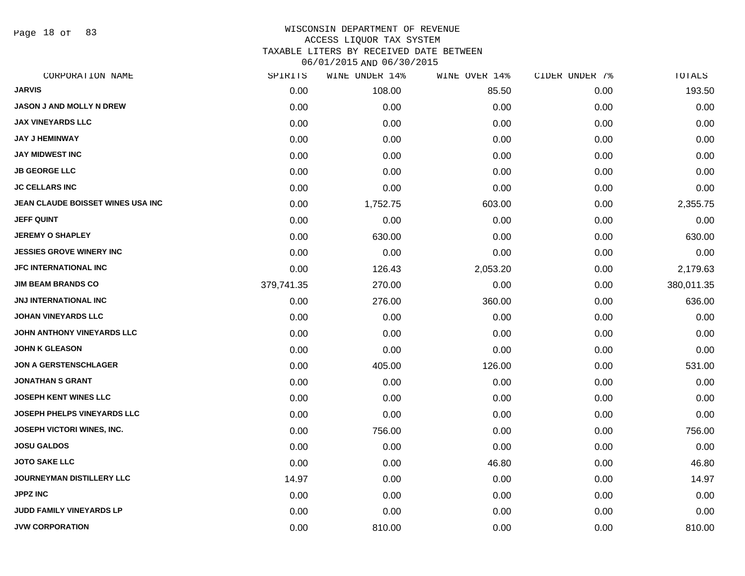Page 18 of 83

# WISCONSIN DEPARTMENT OF REVENUE ACCESS LIQUOR TAX SYSTEM

TAXABLE LITERS BY RECEIVED DATE BETWEEN

| CORPORATION NAME                   | SPIRITS    | WINE UNDER 14% | WINE OVER 14% | CIDER UNDER 7% | TOTALS     |
|------------------------------------|------------|----------------|---------------|----------------|------------|
| <b>JARVIS</b>                      | 0.00       | 108.00         | 85.50         | 0.00           | 193.50     |
| <b>JASON J AND MOLLY N DREW</b>    | 0.00       | 0.00           | 0.00          | 0.00           | 0.00       |
| <b>JAX VINEYARDS LLC</b>           | 0.00       | 0.00           | 0.00          | 0.00           | 0.00       |
| <b>JAY J HEMINWAY</b>              | 0.00       | 0.00           | 0.00          | 0.00           | 0.00       |
| <b>JAY MIDWEST INC</b>             | 0.00       | 0.00           | 0.00          | 0.00           | 0.00       |
| <b>JB GEORGE LLC</b>               | 0.00       | 0.00           | 0.00          | 0.00           | 0.00       |
| <b>JC CELLARS INC</b>              | 0.00       | 0.00           | 0.00          | 0.00           | 0.00       |
| JEAN CLAUDE BOISSET WINES USA INC  | 0.00       | 1,752.75       | 603.00        | 0.00           | 2,355.75   |
| <b>JEFF QUINT</b>                  | 0.00       | 0.00           | 0.00          | 0.00           | 0.00       |
| <b>JEREMY O SHAPLEY</b>            | 0.00       | 630.00         | 0.00          | 0.00           | 630.00     |
| <b>JESSIES GROVE WINERY INC</b>    | 0.00       | 0.00           | 0.00          | 0.00           | 0.00       |
| <b>JFC INTERNATIONAL INC</b>       | 0.00       | 126.43         | 2,053.20      | 0.00           | 2,179.63   |
| <b>JIM BEAM BRANDS CO</b>          | 379,741.35 | 270.00         | 0.00          | 0.00           | 380,011.35 |
| <b>JNJ INTERNATIONAL INC</b>       | 0.00       | 276.00         | 360.00        | 0.00           | 636.00     |
| <b>JOHAN VINEYARDS LLC</b>         | 0.00       | 0.00           | 0.00          | 0.00           | 0.00       |
| JOHN ANTHONY VINEYARDS LLC         | 0.00       | 0.00           | 0.00          | 0.00           | 0.00       |
| <b>JOHN K GLEASON</b>              | 0.00       | 0.00           | 0.00          | 0.00           | 0.00       |
| <b>JON A GERSTENSCHLAGER</b>       | 0.00       | 405.00         | 126.00        | 0.00           | 531.00     |
| <b>JONATHAN S GRANT</b>            | 0.00       | 0.00           | 0.00          | 0.00           | 0.00       |
| <b>JOSEPH KENT WINES LLC</b>       | 0.00       | 0.00           | 0.00          | 0.00           | 0.00       |
| <b>JOSEPH PHELPS VINEYARDS LLC</b> | 0.00       | 0.00           | 0.00          | 0.00           | 0.00       |
| <b>JOSEPH VICTORI WINES, INC.</b>  | 0.00       | 756.00         | 0.00          | 0.00           | 756.00     |
| <b>JOSU GALDOS</b>                 | 0.00       | 0.00           | 0.00          | 0.00           | 0.00       |
| <b>JOTO SAKE LLC</b>               | 0.00       | 0.00           | 46.80         | 0.00           | 46.80      |
| <b>JOURNEYMAN DISTILLERY LLC</b>   | 14.97      | 0.00           | 0.00          | 0.00           | 14.97      |
| <b>JPPZ INC</b>                    | 0.00       | 0.00           | 0.00          | 0.00           | 0.00       |
| JUDD FAMILY VINEYARDS LP           | 0.00       | 0.00           | 0.00          | 0.00           | 0.00       |
| <b>JVW CORPORATION</b>             | 0.00       | 810.00         | 0.00          | 0.00           | 810.00     |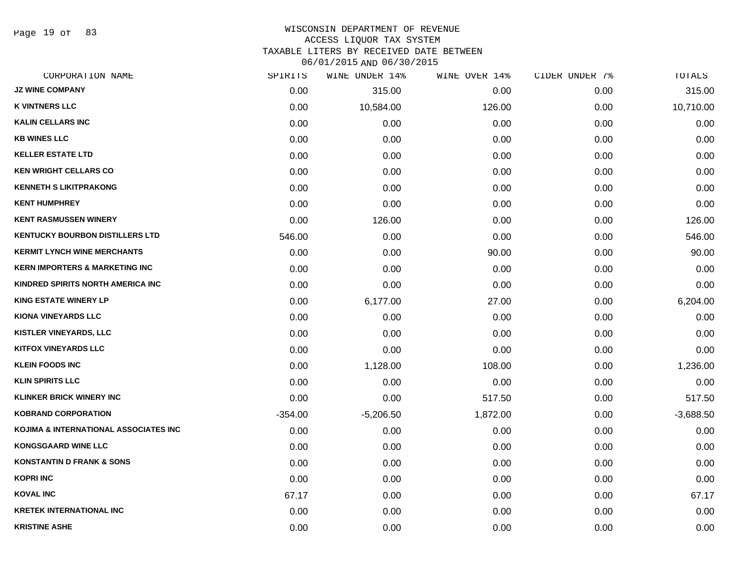Page 19 of 83

# WISCONSIN DEPARTMENT OF REVENUE ACCESS LIQUOR TAX SYSTEM

TAXABLE LITERS BY RECEIVED DATE BETWEEN

| CORPORATION NAME                          | SPIRITS   | WINE UNDER 14% | WINE OVER 14% | CIDER UNDER 7% | TOTALS      |
|-------------------------------------------|-----------|----------------|---------------|----------------|-------------|
| <b>JZ WINE COMPANY</b>                    | 0.00      | 315.00         | 0.00          | 0.00           | 315.00      |
| <b>K VINTNERS LLC</b>                     | 0.00      | 10,584.00      | 126.00        | 0.00           | 10,710.00   |
| <b>KALIN CELLARS INC</b>                  | 0.00      | 0.00           | 0.00          | 0.00           | 0.00        |
| <b>KB WINES LLC</b>                       | 0.00      | 0.00           | 0.00          | 0.00           | 0.00        |
| <b>KELLER ESTATE LTD</b>                  | 0.00      | 0.00           | 0.00          | 0.00           | 0.00        |
| <b>KEN WRIGHT CELLARS CO</b>              | 0.00      | 0.00           | 0.00          | 0.00           | 0.00        |
| <b>KENNETH S LIKITPRAKONG</b>             | 0.00      | 0.00           | 0.00          | 0.00           | 0.00        |
| <b>KENT HUMPHREY</b>                      | 0.00      | 0.00           | 0.00          | 0.00           | 0.00        |
| <b>KENT RASMUSSEN WINERY</b>              | 0.00      | 126.00         | 0.00          | 0.00           | 126.00      |
| <b>KENTUCKY BOURBON DISTILLERS LTD</b>    | 546.00    | 0.00           | 0.00          | 0.00           | 546.00      |
| <b>KERMIT LYNCH WINE MERCHANTS</b>        | 0.00      | 0.00           | 90.00         | 0.00           | 90.00       |
| <b>KERN IMPORTERS &amp; MARKETING INC</b> | 0.00      | 0.00           | 0.00          | 0.00           | 0.00        |
| KINDRED SPIRITS NORTH AMERICA INC         | 0.00      | 0.00           | 0.00          | 0.00           | 0.00        |
| <b>KING ESTATE WINERY LP</b>              | 0.00      | 6,177.00       | 27.00         | 0.00           | 6,204.00    |
| <b>KIONA VINEYARDS LLC</b>                | 0.00      | 0.00           | 0.00          | 0.00           | 0.00        |
| <b>KISTLER VINEYARDS, LLC</b>             | 0.00      | 0.00           | 0.00          | 0.00           | 0.00        |
| <b>KITFOX VINEYARDS LLC</b>               | 0.00      | 0.00           | 0.00          | 0.00           | 0.00        |
| <b>KLEIN FOODS INC</b>                    | 0.00      | 1,128.00       | 108.00        | 0.00           | 1,236.00    |
| <b>KLIN SPIRITS LLC</b>                   | 0.00      | 0.00           | 0.00          | 0.00           | 0.00        |
| <b>KLINKER BRICK WINERY INC</b>           | 0.00      | 0.00           | 517.50        | 0.00           | 517.50      |
| <b>KOBRAND CORPORATION</b>                | $-354.00$ | $-5,206.50$    | 1,872.00      | 0.00           | $-3,688.50$ |
| KOJIMA & INTERNATIONAL ASSOCIATES INC     | 0.00      | 0.00           | 0.00          | 0.00           | 0.00        |
| <b>KONGSGAARD WINE LLC</b>                | 0.00      | 0.00           | 0.00          | 0.00           | 0.00        |
| <b>KONSTANTIN D FRANK &amp; SONS</b>      | 0.00      | 0.00           | 0.00          | 0.00           | 0.00        |
| <b>KOPRI INC</b>                          | 0.00      | 0.00           | 0.00          | 0.00           | 0.00        |
| <b>KOVAL INC</b>                          | 67.17     | 0.00           | 0.00          | 0.00           | 67.17       |
| <b>KRETEK INTERNATIONAL INC</b>           | 0.00      | 0.00           | 0.00          | 0.00           | 0.00        |
| <b>KRISTINE ASHE</b>                      | 0.00      | 0.00           | 0.00          | 0.00           | 0.00        |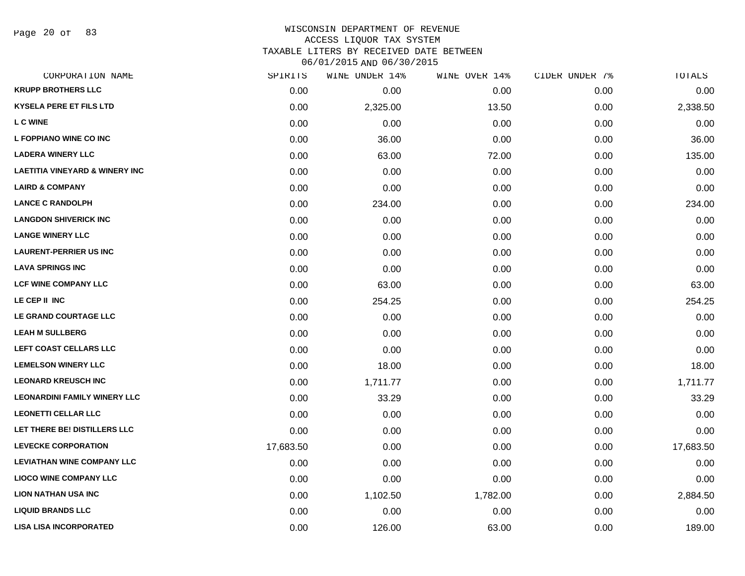Page 20 of 83

#### WISCONSIN DEPARTMENT OF REVENUE ACCESS LIQUOR TAX SYSTEM

TAXABLE LITERS BY RECEIVED DATE BETWEEN

| CORPORATION NAME                          | SPIRITS   | WINE UNDER 14% | WINE OVER 14% | CIDER UNDER 7% | TOTALS    |
|-------------------------------------------|-----------|----------------|---------------|----------------|-----------|
| <b>KRUPP BROTHERS LLC</b>                 | 0.00      | 0.00           | 0.00          | 0.00           | 0.00      |
| <b>KYSELA PERE ET FILS LTD</b>            | 0.00      | 2,325.00       | 13.50         | 0.00           | 2,338.50  |
| <b>LC WINE</b>                            | 0.00      | 0.00           | 0.00          | 0.00           | 0.00      |
| L FOPPIANO WINE CO INC                    | 0.00      | 36.00          | 0.00          | 0.00           | 36.00     |
| <b>LADERA WINERY LLC</b>                  | 0.00      | 63.00          | 72.00         | 0.00           | 135.00    |
| <b>LAETITIA VINEYARD &amp; WINERY INC</b> | 0.00      | 0.00           | 0.00          | 0.00           | 0.00      |
| <b>LAIRD &amp; COMPANY</b>                | 0.00      | 0.00           | 0.00          | 0.00           | 0.00      |
| <b>LANCE C RANDOLPH</b>                   | 0.00      | 234.00         | 0.00          | 0.00           | 234.00    |
| <b>LANGDON SHIVERICK INC</b>              | 0.00      | 0.00           | 0.00          | 0.00           | 0.00      |
| <b>LANGE WINERY LLC</b>                   | 0.00      | 0.00           | 0.00          | 0.00           | 0.00      |
| <b>LAURENT-PERRIER US INC</b>             | 0.00      | 0.00           | 0.00          | 0.00           | 0.00      |
| <b>LAVA SPRINGS INC</b>                   | 0.00      | 0.00           | 0.00          | 0.00           | 0.00      |
| <b>LCF WINE COMPANY LLC</b>               | 0.00      | 63.00          | 0.00          | 0.00           | 63.00     |
| LE CEP II INC                             | 0.00      | 254.25         | 0.00          | 0.00           | 254.25    |
| LE GRAND COURTAGE LLC                     | 0.00      | 0.00           | 0.00          | 0.00           | 0.00      |
| <b>LEAH M SULLBERG</b>                    | 0.00      | 0.00           | 0.00          | 0.00           | 0.00      |
| LEFT COAST CELLARS LLC                    | 0.00      | 0.00           | 0.00          | 0.00           | 0.00      |
| <b>LEMELSON WINERY LLC</b>                | 0.00      | 18.00          | 0.00          | 0.00           | 18.00     |
| <b>LEONARD KREUSCH INC</b>                | 0.00      | 1,711.77       | 0.00          | 0.00           | 1,711.77  |
| <b>LEONARDINI FAMILY WINERY LLC</b>       | 0.00      | 33.29          | 0.00          | 0.00           | 33.29     |
| <b>LEONETTI CELLAR LLC</b>                | 0.00      | 0.00           | 0.00          | 0.00           | 0.00      |
| LET THERE BE! DISTILLERS LLC              | 0.00      | 0.00           | 0.00          | 0.00           | 0.00      |
| <b>LEVECKE CORPORATION</b>                | 17,683.50 | 0.00           | 0.00          | 0.00           | 17,683.50 |
| <b>LEVIATHAN WINE COMPANY LLC</b>         | 0.00      | 0.00           | 0.00          | 0.00           | 0.00      |
| <b>LIOCO WINE COMPANY LLC</b>             | 0.00      | 0.00           | 0.00          | 0.00           | 0.00      |
| <b>LION NATHAN USA INC</b>                | 0.00      | 1,102.50       | 1,782.00      | 0.00           | 2,884.50  |
| <b>LIQUID BRANDS LLC</b>                  | 0.00      | 0.00           | 0.00          | 0.00           | 0.00      |
| <b>LISA LISA INCORPORATED</b>             | 0.00      | 126.00         | 63.00         | 0.00           | 189.00    |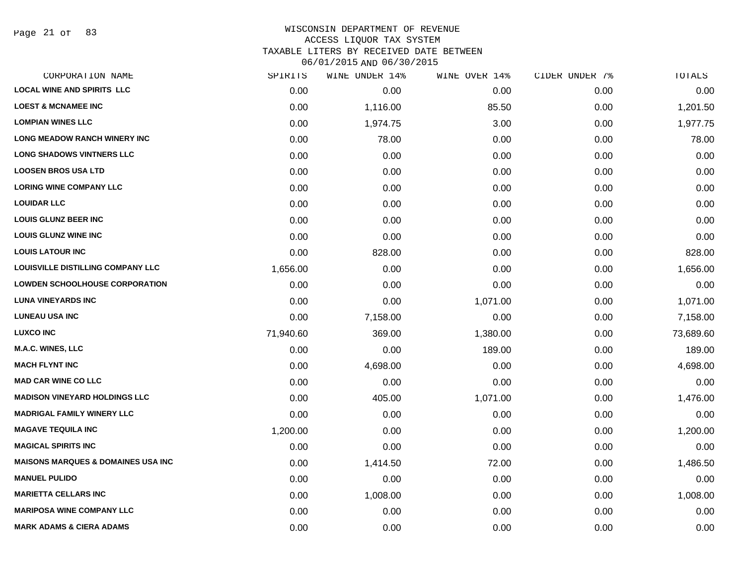Page 21 of 83

#### WISCONSIN DEPARTMENT OF REVENUE ACCESS LIQUOR TAX SYSTEM

TAXABLE LITERS BY RECEIVED DATE BETWEEN

| CORPORATION NAME                               | SPIRITS   | WINE UNDER 14% | WINE OVER 14% | CIDER UNDER 7% | TOTALS    |
|------------------------------------------------|-----------|----------------|---------------|----------------|-----------|
| <b>LOCAL WINE AND SPIRITS LLC</b>              | 0.00      | 0.00           | 0.00          | 0.00           | 0.00      |
| <b>LOEST &amp; MCNAMEE INC</b>                 | 0.00      | 1,116.00       | 85.50         | 0.00           | 1,201.50  |
| <b>LOMPIAN WINES LLC</b>                       | 0.00      | 1,974.75       | 3.00          | 0.00           | 1,977.75  |
| <b>LONG MEADOW RANCH WINERY INC</b>            | 0.00      | 78.00          | 0.00          | 0.00           | 78.00     |
| <b>LONG SHADOWS VINTNERS LLC</b>               | 0.00      | 0.00           | 0.00          | 0.00           | 0.00      |
| <b>LOOSEN BROS USA LTD</b>                     | 0.00      | 0.00           | 0.00          | 0.00           | 0.00      |
| <b>LORING WINE COMPANY LLC</b>                 | 0.00      | 0.00           | 0.00          | 0.00           | 0.00      |
| <b>LOUIDAR LLC</b>                             | 0.00      | 0.00           | 0.00          | 0.00           | 0.00      |
| <b>LOUIS GLUNZ BEER INC</b>                    | 0.00      | 0.00           | 0.00          | 0.00           | 0.00      |
| <b>LOUIS GLUNZ WINE INC</b>                    | 0.00      | 0.00           | 0.00          | 0.00           | 0.00      |
| <b>LOUIS LATOUR INC</b>                        | 0.00      | 828.00         | 0.00          | 0.00           | 828.00    |
| LOUISVILLE DISTILLING COMPANY LLC              | 1,656.00  | 0.00           | 0.00          | 0.00           | 1,656.00  |
| <b>LOWDEN SCHOOLHOUSE CORPORATION</b>          | 0.00      | 0.00           | 0.00          | 0.00           | 0.00      |
| <b>LUNA VINEYARDS INC</b>                      | 0.00      | 0.00           | 1,071.00      | 0.00           | 1,071.00  |
| <b>LUNEAU USA INC</b>                          | 0.00      | 7,158.00       | 0.00          | 0.00           | 7,158.00  |
| <b>LUXCO INC</b>                               | 71,940.60 | 369.00         | 1,380.00      | 0.00           | 73,689.60 |
| <b>M.A.C. WINES, LLC</b>                       | 0.00      | 0.00           | 189.00        | 0.00           | 189.00    |
| <b>MACH FLYNT INC</b>                          | 0.00      | 4,698.00       | 0.00          | 0.00           | 4,698.00  |
| <b>MAD CAR WINE CO LLC</b>                     | 0.00      | 0.00           | 0.00          | 0.00           | 0.00      |
| <b>MADISON VINEYARD HOLDINGS LLC</b>           | 0.00      | 405.00         | 1,071.00      | 0.00           | 1,476.00  |
| <b>MADRIGAL FAMILY WINERY LLC</b>              | 0.00      | 0.00           | 0.00          | 0.00           | 0.00      |
| <b>MAGAVE TEQUILA INC</b>                      | 1,200.00  | 0.00           | 0.00          | 0.00           | 1,200.00  |
| <b>MAGICAL SPIRITS INC</b>                     | 0.00      | 0.00           | 0.00          | 0.00           | 0.00      |
| <b>MAISONS MARQUES &amp; DOMAINES USA INC.</b> | 0.00      | 1,414.50       | 72.00         | 0.00           | 1,486.50  |
| <b>MANUEL PULIDO</b>                           | 0.00      | 0.00           | 0.00          | 0.00           | 0.00      |
| <b>MARIETTA CELLARS INC</b>                    | 0.00      | 1,008.00       | 0.00          | 0.00           | 1,008.00  |
| <b>MARIPOSA WINE COMPANY LLC</b>               | 0.00      | 0.00           | 0.00          | 0.00           | 0.00      |
| <b>MARK ADAMS &amp; CIERA ADAMS</b>            | 0.00      | 0.00           | 0.00          | 0.00           | 0.00      |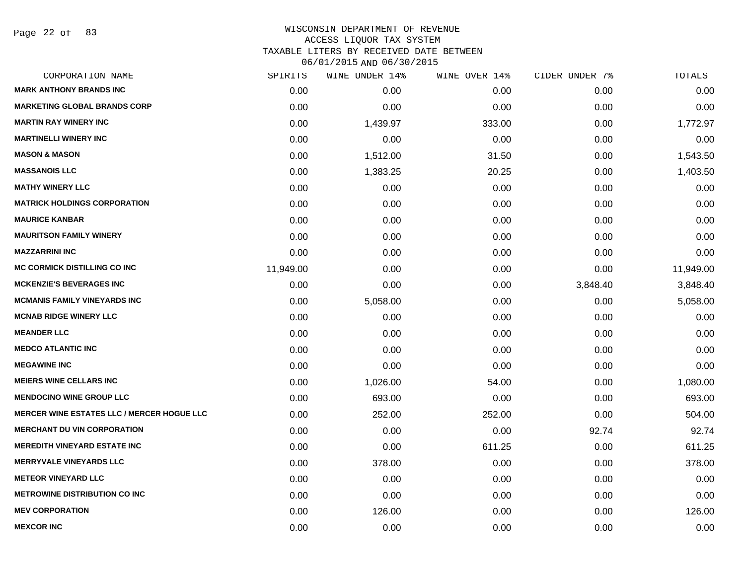Page 22 of 83

| CORPORATION NAME                                  | SPIRITS   | WINE UNDER 14% | WINE OVER 14% | CIDER UNDER 7% | TOTALS    |
|---------------------------------------------------|-----------|----------------|---------------|----------------|-----------|
| <b>MARK ANTHONY BRANDS INC</b>                    | 0.00      | 0.00           | 0.00          | 0.00           | 0.00      |
| <b>MARKETING GLOBAL BRANDS CORP</b>               | 0.00      | 0.00           | 0.00          | 0.00           | 0.00      |
| <b>MARTIN RAY WINERY INC</b>                      | 0.00      | 1,439.97       | 333.00        | 0.00           | 1,772.97  |
| <b>MARTINELLI WINERY INC</b>                      | 0.00      | 0.00           | 0.00          | 0.00           | 0.00      |
| <b>MASON &amp; MASON</b>                          | 0.00      | 1,512.00       | 31.50         | 0.00           | 1,543.50  |
| <b>MASSANOIS LLC</b>                              | 0.00      | 1,383.25       | 20.25         | 0.00           | 1,403.50  |
| <b>MATHY WINERY LLC</b>                           | 0.00      | 0.00           | 0.00          | 0.00           | 0.00      |
| <b>MATRICK HOLDINGS CORPORATION</b>               | 0.00      | 0.00           | 0.00          | 0.00           | 0.00      |
| <b>MAURICE KANBAR</b>                             | 0.00      | 0.00           | 0.00          | 0.00           | 0.00      |
| <b>MAURITSON FAMILY WINERY</b>                    | 0.00      | 0.00           | 0.00          | 0.00           | 0.00      |
| <b>MAZZARRINI INC</b>                             | 0.00      | 0.00           | 0.00          | 0.00           | 0.00      |
| <b>MC CORMICK DISTILLING CO INC</b>               | 11,949.00 | 0.00           | 0.00          | 0.00           | 11,949.00 |
| <b>MCKENZIE'S BEVERAGES INC</b>                   | 0.00      | 0.00           | 0.00          | 3,848.40       | 3,848.40  |
| <b>MCMANIS FAMILY VINEYARDS INC</b>               | 0.00      | 5,058.00       | 0.00          | 0.00           | 5,058.00  |
| <b>MCNAB RIDGE WINERY LLC</b>                     | 0.00      | 0.00           | 0.00          | 0.00           | 0.00      |
| <b>MEANDER LLC</b>                                | 0.00      | 0.00           | 0.00          | 0.00           | 0.00      |
| <b>MEDCO ATLANTIC INC</b>                         | 0.00      | 0.00           | 0.00          | 0.00           | 0.00      |
| <b>MEGAWINE INC</b>                               | 0.00      | 0.00           | 0.00          | 0.00           | 0.00      |
| <b>MEIERS WINE CELLARS INC</b>                    | 0.00      | 1,026.00       | 54.00         | 0.00           | 1,080.00  |
| <b>MENDOCINO WINE GROUP LLC</b>                   | 0.00      | 693.00         | 0.00          | 0.00           | 693.00    |
| <b>MERCER WINE ESTATES LLC / MERCER HOGUE LLC</b> | 0.00      | 252.00         | 252.00        | 0.00           | 504.00    |
| <b>MERCHANT DU VIN CORPORATION</b>                | 0.00      | 0.00           | 0.00          | 92.74          | 92.74     |
| <b>MEREDITH VINEYARD ESTATE INC</b>               | 0.00      | 0.00           | 611.25        | 0.00           | 611.25    |
| <b>MERRYVALE VINEYARDS LLC</b>                    | 0.00      | 378.00         | 0.00          | 0.00           | 378.00    |
| <b>METEOR VINEYARD LLC</b>                        | 0.00      | 0.00           | 0.00          | 0.00           | 0.00      |
| <b>METROWINE DISTRIBUTION CO INC</b>              | 0.00      | 0.00           | 0.00          | 0.00           | 0.00      |
| <b>MEV CORPORATION</b>                            | 0.00      | 126.00         | 0.00          | 0.00           | 126.00    |
| <b>MEXCOR INC</b>                                 | 0.00      | 0.00           | 0.00          | 0.00           | 0.00      |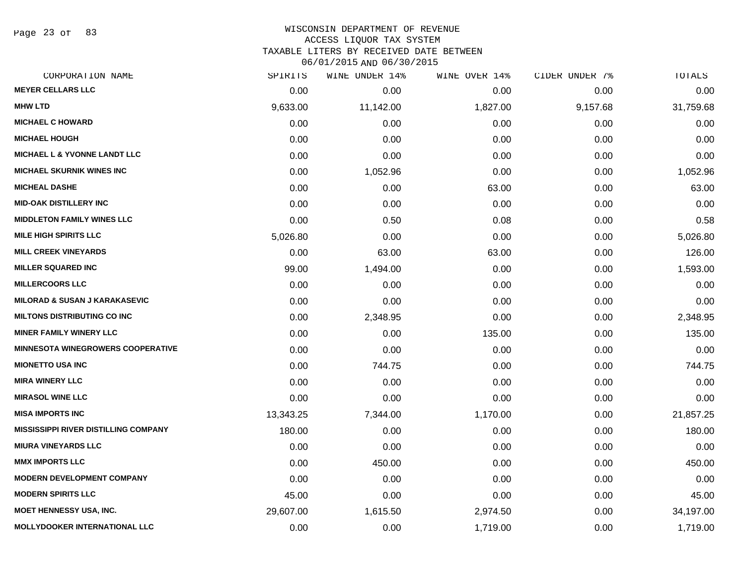Page 23 of 83

### WISCONSIN DEPARTMENT OF REVENUE ACCESS LIQUOR TAX SYSTEM TAXABLE LITERS BY RECEIVED DATE BETWEEN

| CORPORATION NAME                            | SPIRITS   | WINE UNDER 14% | WINE OVER 14% | CIDER UNDER 7% | TOTALS    |
|---------------------------------------------|-----------|----------------|---------------|----------------|-----------|
| <b>MEYER CELLARS LLC</b>                    | 0.00      | 0.00           | 0.00          | 0.00           | 0.00      |
| <b>MHW LTD</b>                              | 9,633.00  | 11,142.00      | 1,827.00      | 9,157.68       | 31,759.68 |
| <b>MICHAEL C HOWARD</b>                     | 0.00      | 0.00           | 0.00          | 0.00           | 0.00      |
| <b>MICHAEL HOUGH</b>                        | 0.00      | 0.00           | 0.00          | 0.00           | 0.00      |
| <b>MICHAEL L &amp; YVONNE LANDT LLC</b>     | 0.00      | 0.00           | 0.00          | 0.00           | 0.00      |
| <b>MICHAEL SKURNIK WINES INC</b>            | 0.00      | 1,052.96       | 0.00          | 0.00           | 1,052.96  |
| <b>MICHEAL DASHE</b>                        | 0.00      | 0.00           | 63.00         | 0.00           | 63.00     |
| <b>MID-OAK DISTILLERY INC</b>               | 0.00      | 0.00           | 0.00          | 0.00           | 0.00      |
| <b>MIDDLETON FAMILY WINES LLC</b>           | 0.00      | 0.50           | 0.08          | 0.00           | 0.58      |
| <b>MILE HIGH SPIRITS LLC</b>                | 5,026.80  | 0.00           | 0.00          | 0.00           | 5,026.80  |
| <b>MILL CREEK VINEYARDS</b>                 | 0.00      | 63.00          | 63.00         | 0.00           | 126.00    |
| <b>MILLER SQUARED INC</b>                   | 99.00     | 1,494.00       | 0.00          | 0.00           | 1,593.00  |
| <b>MILLERCOORS LLC</b>                      | 0.00      | 0.00           | 0.00          | 0.00           | 0.00      |
| <b>MILORAD &amp; SUSAN J KARAKASEVIC</b>    | 0.00      | 0.00           | 0.00          | 0.00           | 0.00      |
| <b>MILTONS DISTRIBUTING CO INC</b>          | 0.00      | 2,348.95       | 0.00          | 0.00           | 2,348.95  |
| <b>MINER FAMILY WINERY LLC</b>              | 0.00      | 0.00           | 135.00        | 0.00           | 135.00    |
| <b>MINNESOTA WINEGROWERS COOPERATIVE</b>    | 0.00      | 0.00           | 0.00          | 0.00           | 0.00      |
| <b>MIONETTO USA INC</b>                     | 0.00      | 744.75         | 0.00          | 0.00           | 744.75    |
| <b>MIRA WINERY LLC</b>                      | 0.00      | 0.00           | 0.00          | 0.00           | 0.00      |
| <b>MIRASOL WINE LLC</b>                     | 0.00      | 0.00           | 0.00          | 0.00           | 0.00      |
| <b>MISA IMPORTS INC</b>                     | 13,343.25 | 7,344.00       | 1,170.00      | 0.00           | 21,857.25 |
| <b>MISSISSIPPI RIVER DISTILLING COMPANY</b> | 180.00    | 0.00           | 0.00          | 0.00           | 180.00    |
| <b>MIURA VINEYARDS LLC</b>                  | 0.00      | 0.00           | 0.00          | 0.00           | 0.00      |
| <b>MMX IMPORTS LLC</b>                      | 0.00      | 450.00         | 0.00          | 0.00           | 450.00    |
| <b>MODERN DEVELOPMENT COMPANY</b>           | 0.00      | 0.00           | 0.00          | 0.00           | 0.00      |
| <b>MODERN SPIRITS LLC</b>                   | 45.00     | 0.00           | 0.00          | 0.00           | 45.00     |
| <b>MOET HENNESSY USA, INC.</b>              | 29,607.00 | 1,615.50       | 2,974.50      | 0.00           | 34,197.00 |
| <b>MOLLYDOOKER INTERNATIONAL LLC</b>        | 0.00      | 0.00           | 1,719.00      | 0.00           | 1,719.00  |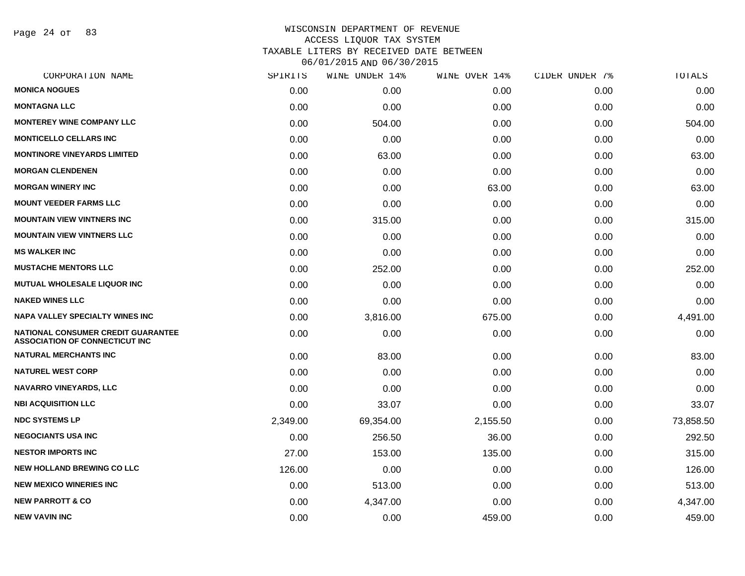Page 24 of 83

| CORPORATION NAME                                                                   | SPIRITS  | WINE UNDER 14% | WINE OVER 14% | CIDER UNDER 7% | TOTALS    |
|------------------------------------------------------------------------------------|----------|----------------|---------------|----------------|-----------|
| <b>MONICA NOGUES</b>                                                               | 0.00     | 0.00           | 0.00          | 0.00           | 0.00      |
| <b>MONTAGNA LLC</b>                                                                | 0.00     | 0.00           | 0.00          | 0.00           | 0.00      |
| <b>MONTEREY WINE COMPANY LLC</b>                                                   | 0.00     | 504.00         | 0.00          | 0.00           | 504.00    |
| <b>MONTICELLO CELLARS INC</b>                                                      | 0.00     | 0.00           | 0.00          | 0.00           | 0.00      |
| <b>MONTINORE VINEYARDS LIMITED</b>                                                 | 0.00     | 63.00          | 0.00          | 0.00           | 63.00     |
| <b>MORGAN CLENDENEN</b>                                                            | 0.00     | 0.00           | 0.00          | 0.00           | 0.00      |
| <b>MORGAN WINERY INC</b>                                                           | 0.00     | 0.00           | 63.00         | 0.00           | 63.00     |
| <b>MOUNT VEEDER FARMS LLC</b>                                                      | 0.00     | 0.00           | 0.00          | 0.00           | 0.00      |
| <b>MOUNTAIN VIEW VINTNERS INC.</b>                                                 | 0.00     | 315.00         | 0.00          | 0.00           | 315.00    |
| <b>MOUNTAIN VIEW VINTNERS LLC</b>                                                  | 0.00     | 0.00           | 0.00          | 0.00           | 0.00      |
| <b>MS WALKER INC</b>                                                               | 0.00     | 0.00           | 0.00          | 0.00           | 0.00      |
| <b>MUSTACHE MENTORS LLC</b>                                                        | 0.00     | 252.00         | 0.00          | 0.00           | 252.00    |
| <b>MUTUAL WHOLESALE LIQUOR INC</b>                                                 | 0.00     | 0.00           | 0.00          | 0.00           | 0.00      |
| <b>NAKED WINES LLC</b>                                                             | 0.00     | 0.00           | 0.00          | 0.00           | 0.00      |
| <b>NAPA VALLEY SPECIALTY WINES INC</b>                                             | 0.00     | 3,816.00       | 675.00        | 0.00           | 4,491.00  |
| <b>NATIONAL CONSUMER CREDIT GUARANTEE</b><br><b>ASSOCIATION OF CONNECTICUT INC</b> | 0.00     | 0.00           | 0.00          | 0.00           | 0.00      |
| <b>NATURAL MERCHANTS INC</b>                                                       | 0.00     | 83.00          | 0.00          | 0.00           | 83.00     |
| <b>NATUREL WEST CORP</b>                                                           | 0.00     | 0.00           | 0.00          | 0.00           | 0.00      |
| <b>NAVARRO VINEYARDS, LLC</b>                                                      | 0.00     | 0.00           | 0.00          | 0.00           | 0.00      |
| <b>NBI ACQUISITION LLC</b>                                                         | 0.00     | 33.07          | 0.00          | 0.00           | 33.07     |
| <b>NDC SYSTEMS LP</b>                                                              | 2,349.00 | 69,354.00      | 2,155.50      | 0.00           | 73,858.50 |
| <b>NEGOCIANTS USA INC</b>                                                          | 0.00     | 256.50         | 36.00         | 0.00           | 292.50    |
| <b>NESTOR IMPORTS INC</b>                                                          | 27.00    | 153.00         | 135.00        | 0.00           | 315.00    |
| <b>NEW HOLLAND BREWING CO LLC</b>                                                  | 126.00   | 0.00           | 0.00          | 0.00           | 126.00    |
| <b>NEW MEXICO WINERIES INC</b>                                                     | 0.00     | 513.00         | 0.00          | 0.00           | 513.00    |
| <b>NEW PARROTT &amp; CO</b>                                                        | 0.00     | 4,347.00       | 0.00          | 0.00           | 4,347.00  |
| <b>NEW VAVIN INC</b>                                                               | 0.00     | 0.00           | 459.00        | 0.00           | 459.00    |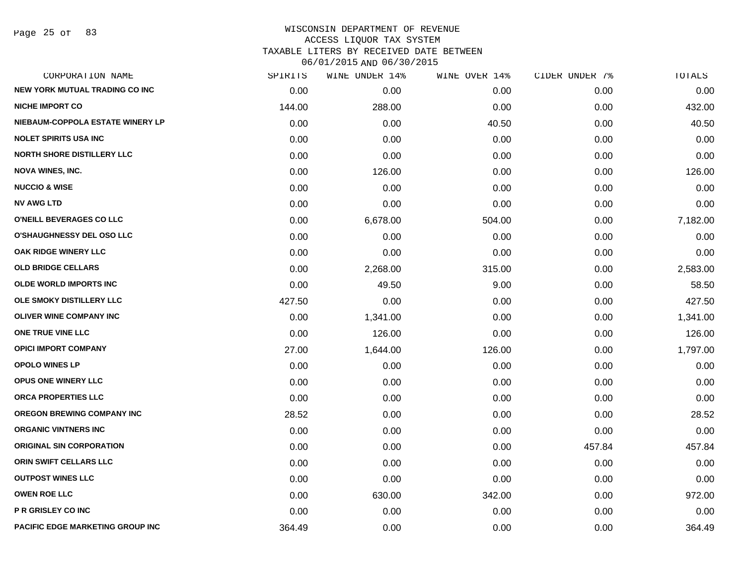Page 25 of 83

| CORPORATION NAME                        | SPIRITS | WINE UNDER 14% | WINE OVER 14% | CIDER UNDER 7% | TOTALS   |
|-----------------------------------------|---------|----------------|---------------|----------------|----------|
| <b>NEW YORK MUTUAL TRADING CO INC</b>   | 0.00    | 0.00           | 0.00          | 0.00           | 0.00     |
| <b>NICHE IMPORT CO</b>                  | 144.00  | 288.00         | 0.00          | 0.00           | 432.00   |
| NIEBAUM-COPPOLA ESTATE WINERY LP        | 0.00    | 0.00           | 40.50         | 0.00           | 40.50    |
| <b>NOLET SPIRITS USA INC</b>            | 0.00    | 0.00           | 0.00          | 0.00           | 0.00     |
| <b>NORTH SHORE DISTILLERY LLC</b>       | 0.00    | 0.00           | 0.00          | 0.00           | 0.00     |
| <b>NOVA WINES, INC.</b>                 | 0.00    | 126.00         | 0.00          | 0.00           | 126.00   |
| <b>NUCCIO &amp; WISE</b>                | 0.00    | 0.00           | 0.00          | 0.00           | 0.00     |
| <b>NV AWG LTD</b>                       | 0.00    | 0.00           | 0.00          | 0.00           | 0.00     |
| O'NEILL BEVERAGES CO LLC                | 0.00    | 6,678.00       | 504.00        | 0.00           | 7,182.00 |
| <b>O'SHAUGHNESSY DEL OSO LLC</b>        | 0.00    | 0.00           | 0.00          | 0.00           | 0.00     |
| OAK RIDGE WINERY LLC                    | 0.00    | 0.00           | 0.00          | 0.00           | 0.00     |
| <b>OLD BRIDGE CELLARS</b>               | 0.00    | 2,268.00       | 315.00        | 0.00           | 2,583.00 |
| <b>OLDE WORLD IMPORTS INC</b>           | 0.00    | 49.50          | 9.00          | 0.00           | 58.50    |
| OLE SMOKY DISTILLERY LLC                | 427.50  | 0.00           | 0.00          | 0.00           | 427.50   |
| <b>OLIVER WINE COMPANY INC</b>          | 0.00    | 1,341.00       | 0.00          | 0.00           | 1,341.00 |
| ONE TRUE VINE LLC                       | 0.00    | 126.00         | 0.00          | 0.00           | 126.00   |
| <b>OPICI IMPORT COMPANY</b>             | 27.00   | 1,644.00       | 126.00        | 0.00           | 1,797.00 |
| <b>OPOLO WINES LP</b>                   | 0.00    | 0.00           | 0.00          | 0.00           | 0.00     |
| <b>OPUS ONE WINERY LLC</b>              | 0.00    | 0.00           | 0.00          | 0.00           | 0.00     |
| ORCA PROPERTIES LLC                     | 0.00    | 0.00           | 0.00          | 0.00           | 0.00     |
| <b>OREGON BREWING COMPANY INC</b>       | 28.52   | 0.00           | 0.00          | 0.00           | 28.52    |
| <b>ORGANIC VINTNERS INC</b>             | 0.00    | 0.00           | 0.00          | 0.00           | 0.00     |
| <b>ORIGINAL SIN CORPORATION</b>         | 0.00    | 0.00           | 0.00          | 457.84         | 457.84   |
| ORIN SWIFT CELLARS LLC                  | 0.00    | 0.00           | 0.00          | 0.00           | 0.00     |
| <b>OUTPOST WINES LLC</b>                | 0.00    | 0.00           | 0.00          | 0.00           | 0.00     |
| <b>OWEN ROE LLC</b>                     | 0.00    | 630.00         | 342.00        | 0.00           | 972.00   |
| P R GRISLEY CO INC                      | 0.00    | 0.00           | 0.00          | 0.00           | 0.00     |
| <b>PACIFIC EDGE MARKETING GROUP INC</b> | 364.49  | 0.00           | 0.00          | 0.00           | 364.49   |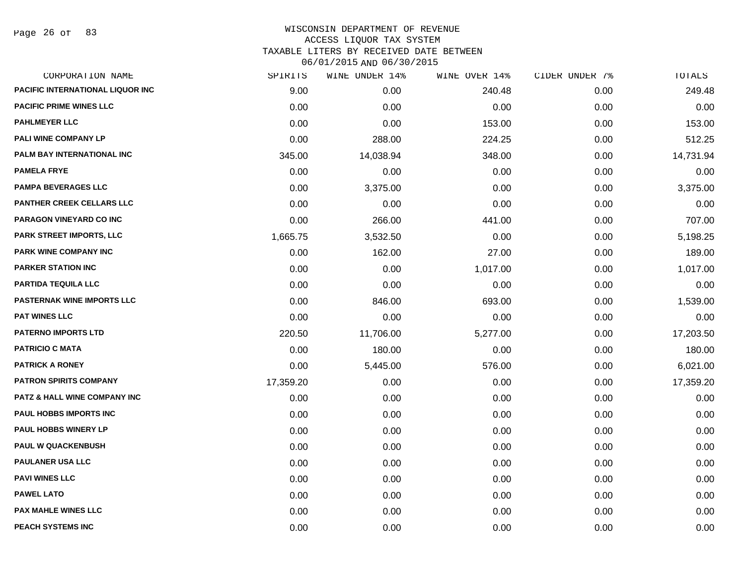Page 26 of 83

| CORPORATION NAME                        | SPIRITS   | WINE UNDER 14% | WINE OVER 14% | CIDER UNDER 7% | TOTALS    |
|-----------------------------------------|-----------|----------------|---------------|----------------|-----------|
| <b>PACIFIC INTERNATIONAL LIQUOR INC</b> | 9.00      | 0.00           | 240.48        | 0.00           | 249.48    |
| <b>PACIFIC PRIME WINES LLC</b>          | 0.00      | 0.00           | 0.00          | 0.00           | 0.00      |
| <b>PAHLMEYER LLC</b>                    | 0.00      | 0.00           | 153.00        | 0.00           | 153.00    |
| <b>PALI WINE COMPANY LP</b>             | 0.00      | 288.00         | 224.25        | 0.00           | 512.25    |
| PALM BAY INTERNATIONAL INC              | 345.00    | 14,038.94      | 348.00        | 0.00           | 14,731.94 |
| <b>PAMELA FRYE</b>                      | 0.00      | 0.00           | 0.00          | 0.00           | 0.00      |
| <b>PAMPA BEVERAGES LLC</b>              | 0.00      | 3,375.00       | 0.00          | 0.00           | 3,375.00  |
| <b>PANTHER CREEK CELLARS LLC</b>        | 0.00      | 0.00           | 0.00          | 0.00           | 0.00      |
| PARAGON VINEYARD CO INC                 | 0.00      | 266.00         | 441.00        | 0.00           | 707.00    |
| <b>PARK STREET IMPORTS, LLC</b>         | 1,665.75  | 3,532.50       | 0.00          | 0.00           | 5,198.25  |
| <b>PARK WINE COMPANY INC</b>            | 0.00      | 162.00         | 27.00         | 0.00           | 189.00    |
| <b>PARKER STATION INC</b>               | 0.00      | 0.00           | 1,017.00      | 0.00           | 1,017.00  |
| PARTIDA TEQUILA LLC                     | 0.00      | 0.00           | 0.00          | 0.00           | 0.00      |
| <b>PASTERNAK WINE IMPORTS LLC</b>       | 0.00      | 846.00         | 693.00        | 0.00           | 1,539.00  |
| <b>PAT WINES LLC</b>                    | 0.00      | 0.00           | 0.00          | 0.00           | 0.00      |
| <b>PATERNO IMPORTS LTD</b>              | 220.50    | 11,706.00      | 5,277.00      | 0.00           | 17,203.50 |
| <b>PATRICIO C MATA</b>                  | 0.00      | 180.00         | 0.00          | 0.00           | 180.00    |
| <b>PATRICK A RONEY</b>                  | 0.00      | 5,445.00       | 576.00        | 0.00           | 6,021.00  |
| <b>PATRON SPIRITS COMPANY</b>           | 17,359.20 | 0.00           | 0.00          | 0.00           | 17,359.20 |
| PATZ & HALL WINE COMPANY INC            | 0.00      | 0.00           | 0.00          | 0.00           | 0.00      |
| <b>PAUL HOBBS IMPORTS INC</b>           | 0.00      | 0.00           | 0.00          | 0.00           | 0.00      |
| <b>PAUL HOBBS WINERY LP</b>             | 0.00      | 0.00           | 0.00          | 0.00           | 0.00      |
| <b>PAUL W QUACKENBUSH</b>               | 0.00      | 0.00           | 0.00          | 0.00           | 0.00      |
| <b>PAULANER USA LLC</b>                 | 0.00      | 0.00           | 0.00          | 0.00           | 0.00      |
| <b>PAVI WINES LLC</b>                   | 0.00      | 0.00           | 0.00          | 0.00           | 0.00      |
| <b>PAWEL LATO</b>                       | 0.00      | 0.00           | 0.00          | 0.00           | 0.00      |
| <b>PAX MAHLE WINES LLC</b>              | 0.00      | 0.00           | 0.00          | 0.00           | 0.00      |
| <b>PEACH SYSTEMS INC</b>                | 0.00      | 0.00           | 0.00          | 0.00           | 0.00      |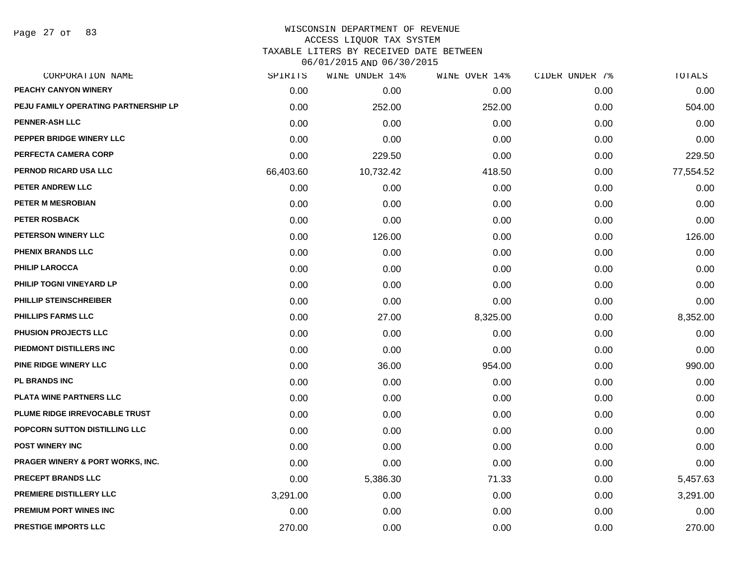Page 27 of 83

| CORPORATION NAME                            | SPIRITS   | WINE UNDER 14% | WINE OVER 14% | CIDER UNDER 7% | TOTALS    |
|---------------------------------------------|-----------|----------------|---------------|----------------|-----------|
| PEACHY CANYON WINERY                        | 0.00      | 0.00           | 0.00          | 0.00           | 0.00      |
| PEJU FAMILY OPERATING PARTNERSHIP LP        | 0.00      | 252.00         | 252.00        | 0.00           | 504.00    |
| <b>PENNER-ASH LLC</b>                       | 0.00      | 0.00           | 0.00          | 0.00           | 0.00      |
| PEPPER BRIDGE WINERY LLC                    | 0.00      | 0.00           | 0.00          | 0.00           | 0.00      |
| PERFECTA CAMERA CORP                        | 0.00      | 229.50         | 0.00          | 0.00           | 229.50    |
| PERNOD RICARD USA LLC                       | 66,403.60 | 10,732.42      | 418.50        | 0.00           | 77,554.52 |
| PETER ANDREW LLC                            | 0.00      | 0.00           | 0.00          | 0.00           | 0.00      |
| PETER M MESROBIAN                           | 0.00      | 0.00           | 0.00          | 0.00           | 0.00      |
| <b>PETER ROSBACK</b>                        | 0.00      | 0.00           | 0.00          | 0.00           | 0.00      |
| <b>PETERSON WINERY LLC</b>                  | 0.00      | 126.00         | 0.00          | 0.00           | 126.00    |
| <b>PHENIX BRANDS LLC</b>                    | 0.00      | 0.00           | 0.00          | 0.00           | 0.00      |
| <b>PHILIP LAROCCA</b>                       | 0.00      | 0.00           | 0.00          | 0.00           | 0.00      |
| PHILIP TOGNI VINEYARD LP                    | 0.00      | 0.00           | 0.00          | 0.00           | 0.00      |
| PHILLIP STEINSCHREIBER                      | 0.00      | 0.00           | 0.00          | 0.00           | 0.00      |
| <b>PHILLIPS FARMS LLC</b>                   | 0.00      | 27.00          | 8,325.00      | 0.00           | 8,352.00  |
| PHUSION PROJECTS LLC                        | 0.00      | 0.00           | 0.00          | 0.00           | 0.00      |
| PIEDMONT DISTILLERS INC                     | 0.00      | 0.00           | 0.00          | 0.00           | 0.00      |
| PINE RIDGE WINERY LLC                       | 0.00      | 36.00          | 954.00        | 0.00           | 990.00    |
| PL BRANDS INC                               | 0.00      | 0.00           | 0.00          | 0.00           | 0.00      |
| PLATA WINE PARTNERS LLC                     | 0.00      | 0.00           | 0.00          | 0.00           | 0.00      |
| PLUME RIDGE IRREVOCABLE TRUST               | 0.00      | 0.00           | 0.00          | 0.00           | 0.00      |
| POPCORN SUTTON DISTILLING LLC               | 0.00      | 0.00           | 0.00          | 0.00           | 0.00      |
| <b>POST WINERY INC</b>                      | 0.00      | 0.00           | 0.00          | 0.00           | 0.00      |
| <b>PRAGER WINERY &amp; PORT WORKS, INC.</b> | 0.00      | 0.00           | 0.00          | 0.00           | 0.00      |
| PRECEPT BRANDS LLC                          | 0.00      | 5,386.30       | 71.33         | 0.00           | 5,457.63  |
| PREMIERE DISTILLERY LLC                     | 3,291.00  | 0.00           | 0.00          | 0.00           | 3,291.00  |
| PREMIUM PORT WINES INC                      | 0.00      | 0.00           | 0.00          | 0.00           | 0.00      |
| <b>PRESTIGE IMPORTS LLC</b>                 | 270.00    | 0.00           | 0.00          | 0.00           | 270.00    |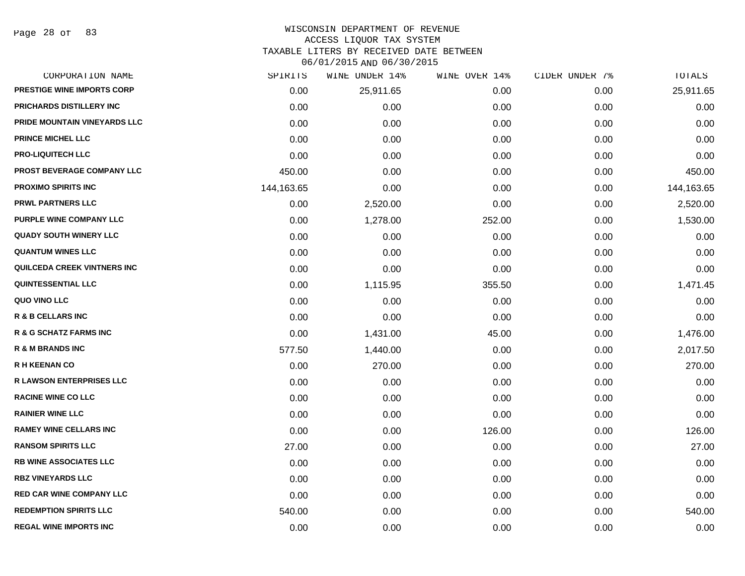Page 28 of 83

# WISCONSIN DEPARTMENT OF REVENUE

### ACCESS LIQUOR TAX SYSTEM

TAXABLE LITERS BY RECEIVED DATE BETWEEN

| CORPORATION NAME                   | SPIRITS    | WINE UNDER 14% | WINE OVER 14% | CIDER UNDER 7% | TOTALS     |
|------------------------------------|------------|----------------|---------------|----------------|------------|
| <b>PRESTIGE WINE IMPORTS CORP</b>  | 0.00       | 25,911.65      | 0.00          | 0.00           | 25,911.65  |
| PRICHARDS DISTILLERY INC           | 0.00       | 0.00           | 0.00          | 0.00           | 0.00       |
| PRIDE MOUNTAIN VINEYARDS LLC       | 0.00       | 0.00           | 0.00          | 0.00           | 0.00       |
| <b>PRINCE MICHEL LLC</b>           | 0.00       | 0.00           | 0.00          | 0.00           | 0.00       |
| <b>PRO-LIQUITECH LLC</b>           | 0.00       | 0.00           | 0.00          | 0.00           | 0.00       |
| PROST BEVERAGE COMPANY LLC         | 450.00     | 0.00           | 0.00          | 0.00           | 450.00     |
| <b>PROXIMO SPIRITS INC</b>         | 144,163.65 | 0.00           | 0.00          | 0.00           | 144,163.65 |
| <b>PRWL PARTNERS LLC</b>           | 0.00       | 2,520.00       | 0.00          | 0.00           | 2,520.00   |
| PURPLE WINE COMPANY LLC            | 0.00       | 1,278.00       | 252.00        | 0.00           | 1,530.00   |
| <b>QUADY SOUTH WINERY LLC</b>      | 0.00       | 0.00           | 0.00          | 0.00           | 0.00       |
| <b>QUANTUM WINES LLC</b>           | 0.00       | 0.00           | 0.00          | 0.00           | 0.00       |
| <b>QUILCEDA CREEK VINTNERS INC</b> | 0.00       | 0.00           | 0.00          | 0.00           | 0.00       |
| <b>QUINTESSENTIAL LLC</b>          | 0.00       | 1,115.95       | 355.50        | 0.00           | 1,471.45   |
| QUO VINO LLC                       | 0.00       | 0.00           | 0.00          | 0.00           | 0.00       |
| R & B CELLARS INC                  | 0.00       | 0.00           | 0.00          | 0.00           | 0.00       |
| <b>R &amp; G SCHATZ FARMS INC</b>  | 0.00       | 1,431.00       | 45.00         | 0.00           | 1,476.00   |
| <b>R &amp; M BRANDS INC</b>        | 577.50     | 1,440.00       | 0.00          | 0.00           | 2,017.50   |
| <b>R H KEENAN CO</b>               | 0.00       | 270.00         | 0.00          | 0.00           | 270.00     |
| <b>R LAWSON ENTERPRISES LLC</b>    | 0.00       | 0.00           | 0.00          | 0.00           | 0.00       |
| <b>RACINE WINE CO LLC</b>          | 0.00       | 0.00           | 0.00          | 0.00           | 0.00       |
| <b>RAINIER WINE LLC</b>            | 0.00       | 0.00           | 0.00          | 0.00           | 0.00       |
| <b>RAMEY WINE CELLARS INC</b>      | 0.00       | 0.00           | 126.00        | 0.00           | 126.00     |
| <b>RANSOM SPIRITS LLC</b>          | 27.00      | 0.00           | 0.00          | 0.00           | 27.00      |
| <b>RB WINE ASSOCIATES LLC</b>      | 0.00       | 0.00           | 0.00          | 0.00           | 0.00       |
| <b>RBZ VINEYARDS LLC</b>           | 0.00       | 0.00           | 0.00          | 0.00           | 0.00       |
| <b>RED CAR WINE COMPANY LLC</b>    | 0.00       | 0.00           | 0.00          | 0.00           | 0.00       |
| <b>REDEMPTION SPIRITS LLC</b>      | 540.00     | 0.00           | 0.00          | 0.00           | 540.00     |
| <b>REGAL WINE IMPORTS INC</b>      | 0.00       | 0.00           | 0.00          | 0.00           | 0.00       |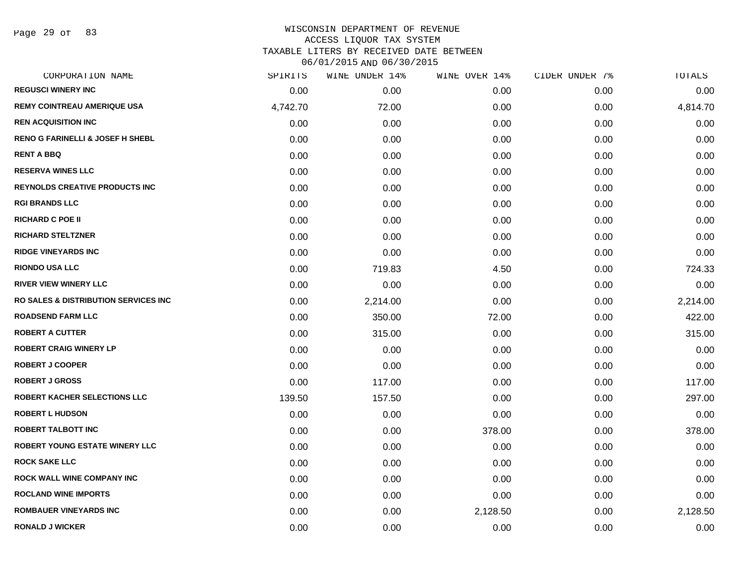Page 29 of 83

| CORPORATION NAME                                 | SPIRITS  | <b>WINE UNDER 14%</b> | WINE OVER 14% | CIDER UNDER 7% | <b>TOTALS</b> |
|--------------------------------------------------|----------|-----------------------|---------------|----------------|---------------|
| <b>REGUSCI WINERY INC</b>                        | 0.00     | 0.00                  | 0.00          | 0.00           | 0.00          |
| <b>REMY COINTREAU AMERIQUE USA</b>               | 4,742.70 | 72.00                 | 0.00          | 0.00           | 4,814.70      |
| <b>REN ACQUISITION INC</b>                       | 0.00     | 0.00                  | 0.00          | 0.00           | 0.00          |
| <b>RENO G FARINELLI &amp; JOSEF H SHEBL</b>      | 0.00     | 0.00                  | 0.00          | 0.00           | 0.00          |
| <b>RENT A BBQ</b>                                | 0.00     | 0.00                  | 0.00          | 0.00           | 0.00          |
| <b>RESERVA WINES LLC</b>                         | 0.00     | 0.00                  | 0.00          | 0.00           | 0.00          |
| <b>REYNOLDS CREATIVE PRODUCTS INC</b>            | 0.00     | 0.00                  | 0.00          | 0.00           | 0.00          |
| <b>RGI BRANDS LLC</b>                            | 0.00     | 0.00                  | 0.00          | 0.00           | 0.00          |
| <b>RICHARD C POE II</b>                          | 0.00     | 0.00                  | 0.00          | 0.00           | 0.00          |
| <b>RICHARD STELTZNER</b>                         | 0.00     | 0.00                  | 0.00          | 0.00           | 0.00          |
| <b>RIDGE VINEYARDS INC</b>                       | 0.00     | 0.00                  | 0.00          | 0.00           | 0.00          |
| <b>RIONDO USA LLC</b>                            | 0.00     | 719.83                | 4.50          | 0.00           | 724.33        |
| <b>RIVER VIEW WINERY LLC</b>                     | 0.00     | 0.00                  | 0.00          | 0.00           | 0.00          |
| <b>RO SALES &amp; DISTRIBUTION SERVICES INC.</b> | 0.00     | 2,214.00              | 0.00          | 0.00           | 2,214.00      |
| <b>ROADSEND FARM LLC</b>                         | 0.00     | 350.00                | 72.00         | 0.00           | 422.00        |
| <b>ROBERT A CUTTER</b>                           | 0.00     | 315.00                | 0.00          | 0.00           | 315.00        |
| <b>ROBERT CRAIG WINERY LP</b>                    | 0.00     | 0.00                  | 0.00          | 0.00           | 0.00          |
| <b>ROBERT J COOPER</b>                           | 0.00     | 0.00                  | 0.00          | 0.00           | 0.00          |
| <b>ROBERT J GROSS</b>                            | 0.00     | 117.00                | 0.00          | 0.00           | 117.00        |
| <b>ROBERT KACHER SELECTIONS LLC</b>              | 139.50   | 157.50                | 0.00          | 0.00           | 297.00        |
| <b>ROBERT L HUDSON</b>                           | 0.00     | 0.00                  | 0.00          | 0.00           | 0.00          |
| <b>ROBERT TALBOTT INC</b>                        | 0.00     | 0.00                  | 378.00        | 0.00           | 378.00        |
| <b>ROBERT YOUNG ESTATE WINERY LLC</b>            | 0.00     | 0.00                  | 0.00          | 0.00           | 0.00          |
| <b>ROCK SAKE LLC</b>                             | 0.00     | 0.00                  | 0.00          | 0.00           | 0.00          |
| ROCK WALL WINE COMPANY INC                       | 0.00     | 0.00                  | 0.00          | 0.00           | 0.00          |
| <b>ROCLAND WINE IMPORTS</b>                      | 0.00     | 0.00                  | 0.00          | 0.00           | 0.00          |
| <b>ROMBAUER VINEYARDS INC</b>                    | 0.00     | 0.00                  | 2,128.50      | 0.00           | 2,128.50      |
| <b>RONALD J WICKER</b>                           | 0.00     | 0.00                  | 0.00          | 0.00           | 0.00          |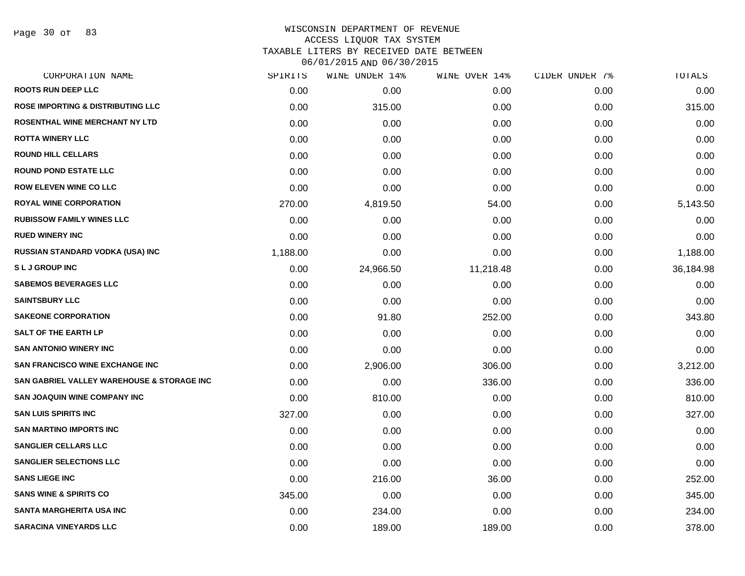Page 30 of 83

## WISCONSIN DEPARTMENT OF REVENUE ACCESS LIQUOR TAX SYSTEM TAXABLE LITERS BY RECEIVED DATE BETWEEN

| CORPORATION NAME                             | SPIRITS  | WINE UNDER 14% | WINE OVER 14% | CIDER UNDER 7% | TOTALS    |
|----------------------------------------------|----------|----------------|---------------|----------------|-----------|
| <b>ROOTS RUN DEEP LLC</b>                    | 0.00     | 0.00           | 0.00          | 0.00           | 0.00      |
| <b>ROSE IMPORTING &amp; DISTRIBUTING LLC</b> | 0.00     | 315.00         | 0.00          | 0.00           | 315.00    |
| ROSENTHAL WINE MERCHANT NY LTD               | 0.00     | 0.00           | 0.00          | 0.00           | 0.00      |
| <b>ROTTA WINERY LLC</b>                      | 0.00     | 0.00           | 0.00          | 0.00           | 0.00      |
| <b>ROUND HILL CELLARS</b>                    | 0.00     | 0.00           | 0.00          | 0.00           | 0.00      |
| <b>ROUND POND ESTATE LLC</b>                 | 0.00     | 0.00           | 0.00          | 0.00           | 0.00      |
| <b>ROW ELEVEN WINE CO LLC</b>                | 0.00     | 0.00           | 0.00          | 0.00           | 0.00      |
| <b>ROYAL WINE CORPORATION</b>                | 270.00   | 4,819.50       | 54.00         | 0.00           | 5,143.50  |
| <b>RUBISSOW FAMILY WINES LLC</b>             | 0.00     | 0.00           | 0.00          | 0.00           | 0.00      |
| <b>RUED WINERY INC</b>                       | 0.00     | 0.00           | 0.00          | 0.00           | 0.00      |
| RUSSIAN STANDARD VODKA (USA) INC             | 1,188.00 | 0.00           | 0.00          | 0.00           | 1,188.00  |
| <b>SLJGROUPINC</b>                           | 0.00     | 24,966.50      | 11,218.48     | 0.00           | 36,184.98 |
| <b>SABEMOS BEVERAGES LLC</b>                 | 0.00     | 0.00           | 0.00          | 0.00           | 0.00      |
| <b>SAINTSBURY LLC</b>                        | 0.00     | 0.00           | 0.00          | 0.00           | 0.00      |
| <b>SAKEONE CORPORATION</b>                   | 0.00     | 91.80          | 252.00        | 0.00           | 343.80    |
| <b>SALT OF THE EARTH LP</b>                  | 0.00     | 0.00           | 0.00          | 0.00           | 0.00      |
| <b>SAN ANTONIO WINERY INC</b>                | 0.00     | 0.00           | 0.00          | 0.00           | 0.00      |
| <b>SAN FRANCISCO WINE EXCHANGE INC.</b>      | 0.00     | 2,906.00       | 306.00        | 0.00           | 3,212.00  |
| SAN GABRIEL VALLEY WAREHOUSE & STORAGE INC   | 0.00     | 0.00           | 336.00        | 0.00           | 336.00    |
| <b>SAN JOAQUIN WINE COMPANY INC</b>          | 0.00     | 810.00         | 0.00          | 0.00           | 810.00    |
| <b>SAN LUIS SPIRITS INC</b>                  | 327.00   | 0.00           | 0.00          | 0.00           | 327.00    |
| <b>SAN MARTINO IMPORTS INC</b>               | 0.00     | 0.00           | 0.00          | 0.00           | 0.00      |
| <b>SANGLIER CELLARS LLC</b>                  | 0.00     | 0.00           | 0.00          | 0.00           | 0.00      |
| <b>SANGLIER SELECTIONS LLC</b>               | 0.00     | 0.00           | 0.00          | 0.00           | 0.00      |
| <b>SANS LIEGE INC</b>                        | 0.00     | 216.00         | 36.00         | 0.00           | 252.00    |
| <b>SANS WINE &amp; SPIRITS CO</b>            | 345.00   | 0.00           | 0.00          | 0.00           | 345.00    |
| <b>SANTA MARGHERITA USA INC</b>              | 0.00     | 234.00         | 0.00          | 0.00           | 234.00    |
| <b>SARACINA VINEYARDS LLC</b>                | 0.00     | 189.00         | 189.00        | 0.00           | 378.00    |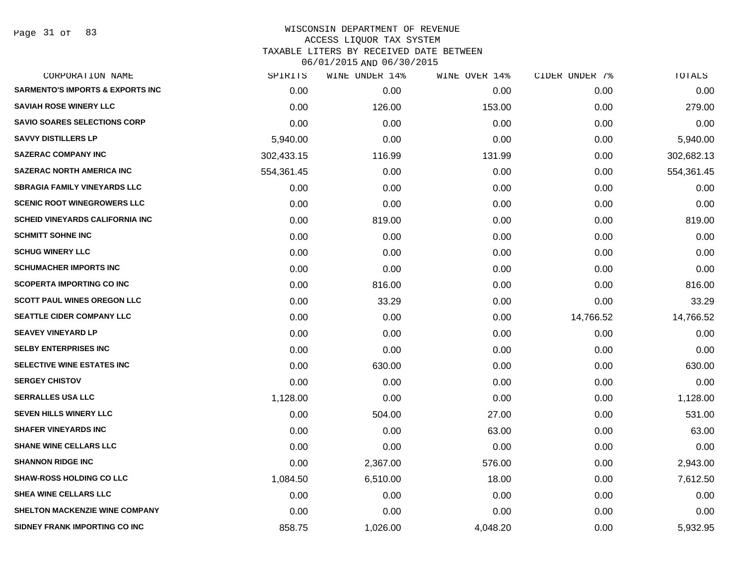Page 31 of 83

| CORPORATION NAME                            | SPIRITS    | WINE UNDER 14% | WINE OVER 14% | CIDER UNDER 7% | TOTALS     |
|---------------------------------------------|------------|----------------|---------------|----------------|------------|
| <b>SARMENTO'S IMPORTS &amp; EXPORTS INC</b> | 0.00       | 0.00           | 0.00          | 0.00           | 0.00       |
| <b>SAVIAH ROSE WINERY LLC</b>               | 0.00       | 126.00         | 153.00        | 0.00           | 279.00     |
| <b>SAVIO SOARES SELECTIONS CORP</b>         | 0.00       | 0.00           | 0.00          | 0.00           | 0.00       |
| <b>SAVVY DISTILLERS LP</b>                  | 5,940.00   | 0.00           | 0.00          | 0.00           | 5,940.00   |
| <b>SAZERAC COMPANY INC</b>                  | 302,433.15 | 116.99         | 131.99        | 0.00           | 302,682.13 |
| <b>SAZERAC NORTH AMERICA INC</b>            | 554,361.45 | 0.00           | 0.00          | 0.00           | 554,361.45 |
| <b>SBRAGIA FAMILY VINEYARDS LLC</b>         | 0.00       | 0.00           | 0.00          | 0.00           | 0.00       |
| <b>SCENIC ROOT WINEGROWERS LLC</b>          | 0.00       | 0.00           | 0.00          | 0.00           | 0.00       |
| <b>SCHEID VINEYARDS CALIFORNIA INC</b>      | 0.00       | 819.00         | 0.00          | 0.00           | 819.00     |
| <b>SCHMITT SOHNE INC</b>                    | 0.00       | 0.00           | 0.00          | 0.00           | 0.00       |
| <b>SCHUG WINERY LLC</b>                     | 0.00       | 0.00           | 0.00          | 0.00           | 0.00       |
| <b>SCHUMACHER IMPORTS INC</b>               | 0.00       | 0.00           | 0.00          | 0.00           | 0.00       |
| <b>SCOPERTA IMPORTING CO INC</b>            | 0.00       | 816.00         | 0.00          | 0.00           | 816.00     |
| <b>SCOTT PAUL WINES OREGON LLC</b>          | 0.00       | 33.29          | 0.00          | 0.00           | 33.29      |
| <b>SEATTLE CIDER COMPANY LLC</b>            | 0.00       | 0.00           | 0.00          | 14,766.52      | 14,766.52  |
| <b>SEAVEY VINEYARD LP</b>                   | 0.00       | 0.00           | 0.00          | 0.00           | 0.00       |
| <b>SELBY ENTERPRISES INC</b>                | 0.00       | 0.00           | 0.00          | 0.00           | 0.00       |
| SELECTIVE WINE ESTATES INC                  | 0.00       | 630.00         | 0.00          | 0.00           | 630.00     |
| <b>SERGEY CHISTOV</b>                       | 0.00       | 0.00           | 0.00          | 0.00           | 0.00       |
| <b>SERRALLES USA LLC</b>                    | 1,128.00   | 0.00           | 0.00          | 0.00           | 1,128.00   |
| <b>SEVEN HILLS WINERY LLC</b>               | 0.00       | 504.00         | 27.00         | 0.00           | 531.00     |
| <b>SHAFER VINEYARDS INC</b>                 | 0.00       | 0.00           | 63.00         | 0.00           | 63.00      |
| <b>SHANE WINE CELLARS LLC</b>               | 0.00       | 0.00           | 0.00          | 0.00           | 0.00       |
| <b>SHANNON RIDGE INC</b>                    | 0.00       | 2,367.00       | 576.00        | 0.00           | 2,943.00   |
| <b>SHAW-ROSS HOLDING CO LLC</b>             | 1,084.50   | 6,510.00       | 18.00         | 0.00           | 7,612.50   |
| <b>SHEA WINE CELLARS LLC</b>                | 0.00       | 0.00           | 0.00          | 0.00           | 0.00       |
| <b>SHELTON MACKENZIE WINE COMPANY</b>       | 0.00       | 0.00           | 0.00          | 0.00           | 0.00       |
| SIDNEY FRANK IMPORTING CO INC               | 858.75     | 1,026.00       | 4,048.20      | 0.00           | 5,932.95   |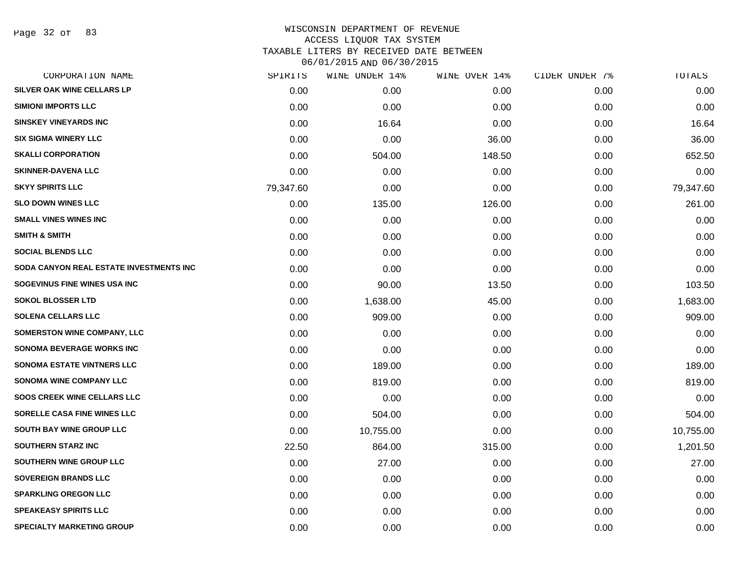Page 32 of 83

# WISCONSIN DEPARTMENT OF REVENUE ACCESS LIQUOR TAX SYSTEM TAXABLE LITERS BY RECEIVED DATE BETWEEN

| CORPORATION NAME                        | SPIRITS   | WINE UNDER 14% | WINE OVER 14% | CIDER UNDER 7% | TOTALS    |
|-----------------------------------------|-----------|----------------|---------------|----------------|-----------|
| SILVER OAK WINE CELLARS LP              | 0.00      | 0.00           | 0.00          | 0.00           | 0.00      |
| <b>SIMIONI IMPORTS LLC</b>              | 0.00      | 0.00           | 0.00          | 0.00           | 0.00      |
| <b>SINSKEY VINEYARDS INC</b>            | 0.00      | 16.64          | 0.00          | 0.00           | 16.64     |
| <b>SIX SIGMA WINERY LLC</b>             | 0.00      | 0.00           | 36.00         | 0.00           | 36.00     |
| <b>SKALLI CORPORATION</b>               | 0.00      | 504.00         | 148.50        | 0.00           | 652.50    |
| <b>SKINNER-DAVENA LLC</b>               | 0.00      | 0.00           | 0.00          | 0.00           | 0.00      |
| <b>SKYY SPIRITS LLC</b>                 | 79,347.60 | 0.00           | 0.00          | 0.00           | 79,347.60 |
| <b>SLO DOWN WINES LLC</b>               | 0.00      | 135.00         | 126.00        | 0.00           | 261.00    |
| <b>SMALL VINES WINES INC</b>            | 0.00      | 0.00           | 0.00          | 0.00           | 0.00      |
| <b>SMITH &amp; SMITH</b>                | 0.00      | 0.00           | 0.00          | 0.00           | 0.00      |
| <b>SOCIAL BLENDS LLC</b>                | 0.00      | 0.00           | 0.00          | 0.00           | 0.00      |
| SODA CANYON REAL ESTATE INVESTMENTS INC | 0.00      | 0.00           | 0.00          | 0.00           | 0.00      |
| SOGEVINUS FINE WINES USA INC            | 0.00      | 90.00          | 13.50         | 0.00           | 103.50    |
| <b>SOKOL BLOSSER LTD</b>                | 0.00      | 1,638.00       | 45.00         | 0.00           | 1,683.00  |
| <b>SOLENA CELLARS LLC</b>               | 0.00      | 909.00         | 0.00          | 0.00           | 909.00    |
| <b>SOMERSTON WINE COMPANY, LLC</b>      | 0.00      | 0.00           | 0.00          | 0.00           | 0.00      |
| <b>SONOMA BEVERAGE WORKS INC</b>        | 0.00      | 0.00           | 0.00          | 0.00           | 0.00      |
| <b>SONOMA ESTATE VINTNERS LLC</b>       | 0.00      | 189.00         | 0.00          | 0.00           | 189.00    |
| SONOMA WINE COMPANY LLC                 | 0.00      | 819.00         | 0.00          | 0.00           | 819.00    |
| <b>SOOS CREEK WINE CELLARS LLC</b>      | 0.00      | 0.00           | 0.00          | 0.00           | 0.00      |
| SORELLE CASA FINE WINES LLC             | 0.00      | 504.00         | 0.00          | 0.00           | 504.00    |
| <b>SOUTH BAY WINE GROUP LLC</b>         | 0.00      | 10,755.00      | 0.00          | 0.00           | 10,755.00 |
| <b>SOUTHERN STARZ INC</b>               | 22.50     | 864.00         | 315.00        | 0.00           | 1,201.50  |
| <b>SOUTHERN WINE GROUP LLC</b>          | 0.00      | 27.00          | 0.00          | 0.00           | 27.00     |
| <b>SOVEREIGN BRANDS LLC</b>             | 0.00      | 0.00           | 0.00          | 0.00           | 0.00      |
| <b>SPARKLING OREGON LLC</b>             | 0.00      | 0.00           | 0.00          | 0.00           | 0.00      |
| <b>SPEAKEASY SPIRITS LLC</b>            | 0.00      | 0.00           | 0.00          | 0.00           | 0.00      |
| <b>SPECIALTY MARKETING GROUP</b>        | 0.00      | 0.00           | 0.00          | 0.00           | 0.00      |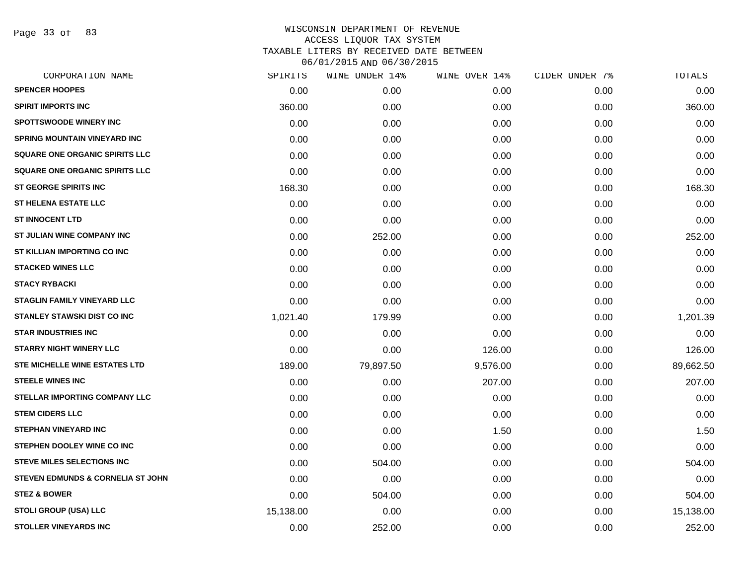Page 33 of 83

| CORPORATION NAME                             | SPIRITS   | WINE UNDER 14% | WINE OVER 14% | CIDER UNDER 7% | TOTALS    |
|----------------------------------------------|-----------|----------------|---------------|----------------|-----------|
| <b>SPENCER HOOPES</b>                        | 0.00      | 0.00           | 0.00          | 0.00           | 0.00      |
| <b>SPIRIT IMPORTS INC</b>                    | 360.00    | 0.00           | 0.00          | 0.00           | 360.00    |
| <b>SPOTTSWOODE WINERY INC</b>                | 0.00      | 0.00           | 0.00          | 0.00           | 0.00      |
| <b>SPRING MOUNTAIN VINEYARD INC</b>          | 0.00      | 0.00           | 0.00          | 0.00           | 0.00      |
| SQUARE ONE ORGANIC SPIRITS LLC               | 0.00      | 0.00           | 0.00          | 0.00           | 0.00      |
| SQUARE ONE ORGANIC SPIRITS LLC               | 0.00      | 0.00           | 0.00          | 0.00           | 0.00      |
| <b>ST GEORGE SPIRITS INC</b>                 | 168.30    | 0.00           | 0.00          | 0.00           | 168.30    |
| <b>ST HELENA ESTATE LLC</b>                  | 0.00      | 0.00           | 0.00          | 0.00           | 0.00      |
| <b>ST INNOCENT LTD</b>                       | 0.00      | 0.00           | 0.00          | 0.00           | 0.00      |
| ST JULIAN WINE COMPANY INC                   | 0.00      | 252.00         | 0.00          | 0.00           | 252.00    |
| ST KILLIAN IMPORTING CO INC                  | 0.00      | 0.00           | 0.00          | 0.00           | 0.00      |
| <b>STACKED WINES LLC</b>                     | 0.00      | 0.00           | 0.00          | 0.00           | 0.00      |
| <b>STACY RYBACKI</b>                         | 0.00      | 0.00           | 0.00          | 0.00           | 0.00      |
| <b>STAGLIN FAMILY VINEYARD LLC</b>           | 0.00      | 0.00           | 0.00          | 0.00           | 0.00      |
| <b>STANLEY STAWSKI DIST CO INC</b>           | 1,021.40  | 179.99         | 0.00          | 0.00           | 1,201.39  |
| <b>STAR INDUSTRIES INC</b>                   | 0.00      | 0.00           | 0.00          | 0.00           | 0.00      |
| <b>STARRY NIGHT WINERY LLC</b>               | 0.00      | 0.00           | 126.00        | 0.00           | 126.00    |
| STE MICHELLE WINE ESTATES LTD                | 189.00    | 79,897.50      | 9,576.00      | 0.00           | 89,662.50 |
| <b>STEELE WINES INC</b>                      | 0.00      | 0.00           | 207.00        | 0.00           | 207.00    |
| STELLAR IMPORTING COMPANY LLC                | 0.00      | 0.00           | 0.00          | 0.00           | 0.00      |
| <b>STEM CIDERS LLC</b>                       | 0.00      | 0.00           | 0.00          | 0.00           | 0.00      |
| <b>STEPHAN VINEYARD INC</b>                  | 0.00      | 0.00           | 1.50          | 0.00           | 1.50      |
| STEPHEN DOOLEY WINE CO INC                   | 0.00      | 0.00           | 0.00          | 0.00           | 0.00      |
| <b>STEVE MILES SELECTIONS INC</b>            | 0.00      | 504.00         | 0.00          | 0.00           | 504.00    |
| <b>STEVEN EDMUNDS &amp; CORNELIA ST JOHN</b> | 0.00      | 0.00           | 0.00          | 0.00           | 0.00      |
| <b>STEZ &amp; BOWER</b>                      | 0.00      | 504.00         | 0.00          | 0.00           | 504.00    |
| <b>STOLI GROUP (USA) LLC</b>                 | 15,138.00 | 0.00           | 0.00          | 0.00           | 15,138.00 |
| <b>STOLLER VINEYARDS INC</b>                 | 0.00      | 252.00         | 0.00          | 0.00           | 252.00    |
|                                              |           |                |               |                |           |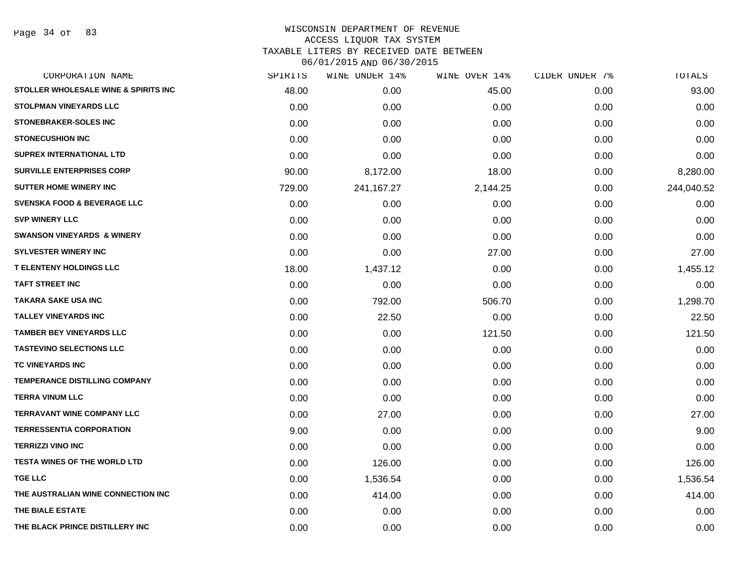Page 34 of 83

| CORPORATION NAME                       | SPIRITS | WINE UNDER 14% | WINE OVER 14% | CIDER UNDER 7% | TOTALS     |
|----------------------------------------|---------|----------------|---------------|----------------|------------|
| STOLLER WHOLESALE WINE & SPIRITS INC   | 48.00   | 0.00           | 45.00         | 0.00           | 93.00      |
| <b>STOLPMAN VINEYARDS LLC</b>          | 0.00    | 0.00           | 0.00          | 0.00           | 0.00       |
| <b>STONEBRAKER-SOLES INC</b>           | 0.00    | 0.00           | 0.00          | 0.00           | 0.00       |
| <b>STONECUSHION INC</b>                | 0.00    | 0.00           | 0.00          | 0.00           | 0.00       |
| <b>SUPREX INTERNATIONAL LTD</b>        | 0.00    | 0.00           | 0.00          | 0.00           | 0.00       |
| <b>SURVILLE ENTERPRISES CORP</b>       | 90.00   | 8,172.00       | 18.00         | 0.00           | 8,280.00   |
| <b>SUTTER HOME WINERY INC</b>          | 729.00  | 241, 167. 27   | 2,144.25      | 0.00           | 244,040.52 |
| <b>SVENSKA FOOD &amp; BEVERAGE LLC</b> | 0.00    | 0.00           | 0.00          | 0.00           | 0.00       |
| <b>SVP WINERY LLC</b>                  | 0.00    | 0.00           | 0.00          | 0.00           | 0.00       |
| <b>SWANSON VINEYARDS &amp; WINERY</b>  | 0.00    | 0.00           | 0.00          | 0.00           | 0.00       |
| <b>SYLVESTER WINERY INC</b>            | 0.00    | 0.00           | 27.00         | 0.00           | 27.00      |
| <b>T ELENTENY HOLDINGS LLC</b>         | 18.00   | 1,437.12       | 0.00          | 0.00           | 1,455.12   |
| <b>TAFT STREET INC</b>                 | 0.00    | 0.00           | 0.00          | 0.00           | 0.00       |
| <b>TAKARA SAKE USA INC</b>             | 0.00    | 792.00         | 506.70        | 0.00           | 1,298.70   |
| <b>TALLEY VINEYARDS INC</b>            | 0.00    | 22.50          | 0.00          | 0.00           | 22.50      |
| <b>TAMBER BEY VINEYARDS LLC</b>        | 0.00    | 0.00           | 121.50        | 0.00           | 121.50     |
| <b>TASTEVINO SELECTIONS LLC</b>        | 0.00    | 0.00           | 0.00          | 0.00           | 0.00       |
| TC VINEYARDS INC                       | 0.00    | 0.00           | 0.00          | 0.00           | 0.00       |
| <b>TEMPERANCE DISTILLING COMPANY</b>   | 0.00    | 0.00           | 0.00          | 0.00           | 0.00       |
| <b>TERRA VINUM LLC</b>                 | 0.00    | 0.00           | 0.00          | 0.00           | 0.00       |
| <b>TERRAVANT WINE COMPANY LLC</b>      | 0.00    | 27.00          | 0.00          | 0.00           | 27.00      |
| <b>TERRESSENTIA CORPORATION</b>        | 9.00    | 0.00           | 0.00          | 0.00           | 9.00       |
| <b>TERRIZZI VINO INC</b>               | 0.00    | 0.00           | 0.00          | 0.00           | 0.00       |
| <b>TESTA WINES OF THE WORLD LTD</b>    | 0.00    | 126.00         | 0.00          | 0.00           | 126.00     |
| <b>TGE LLC</b>                         | 0.00    | 1,536.54       | 0.00          | 0.00           | 1,536.54   |
| THE AUSTRALIAN WINE CONNECTION INC     | 0.00    | 414.00         | 0.00          | 0.00           | 414.00     |
| THE BIALE ESTATE                       | 0.00    | 0.00           | 0.00          | 0.00           | 0.00       |
| THE BLACK PRINCE DISTILLERY INC        | 0.00    | 0.00           | 0.00          | 0.00           | 0.00       |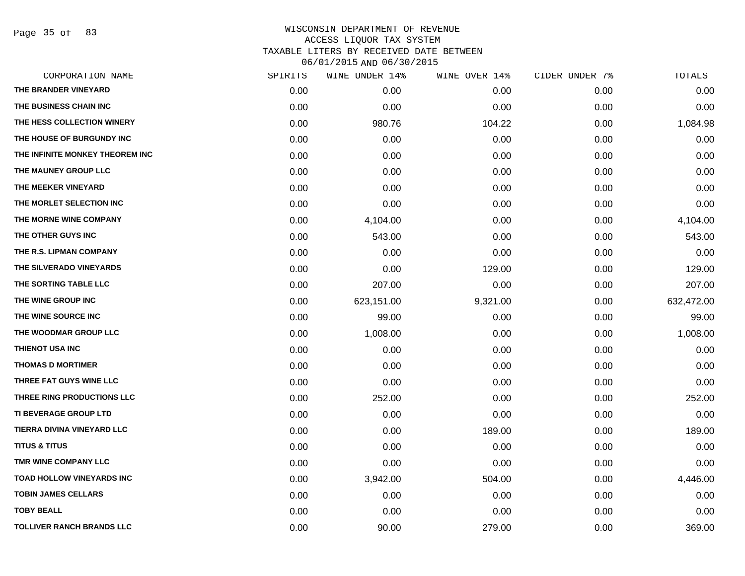Page 35 of 83

| CORPORATION NAME                 | SPIRITS | WINE UNDER 14% | WINE OVER 14% | CIDER UNDER 7% | TOTALS     |
|----------------------------------|---------|----------------|---------------|----------------|------------|
| THE BRANDER VINEYARD             | 0.00    | 0.00           | 0.00          | 0.00           | 0.00       |
| THE BUSINESS CHAIN INC           | 0.00    | 0.00           | 0.00          | 0.00           | 0.00       |
| THE HESS COLLECTION WINERY       | 0.00    | 980.76         | 104.22        | 0.00           | 1,084.98   |
| THE HOUSE OF BURGUNDY INC        | 0.00    | 0.00           | 0.00          | 0.00           | 0.00       |
| THE INFINITE MONKEY THEOREM INC  | 0.00    | 0.00           | 0.00          | 0.00           | 0.00       |
| THE MAUNEY GROUP LLC             | 0.00    | 0.00           | 0.00          | 0.00           | 0.00       |
| THE MEEKER VINEYARD              | 0.00    | 0.00           | 0.00          | 0.00           | 0.00       |
| THE MORLET SELECTION INC         | 0.00    | 0.00           | 0.00          | 0.00           | 0.00       |
| THE MORNE WINE COMPANY           | 0.00    | 4,104.00       | 0.00          | 0.00           | 4,104.00   |
| THE OTHER GUYS INC               | 0.00    | 543.00         | 0.00          | 0.00           | 543.00     |
| THE R.S. LIPMAN COMPANY          | 0.00    | 0.00           | 0.00          | 0.00           | 0.00       |
| THE SILVERADO VINEYARDS          | 0.00    | 0.00           | 129.00        | 0.00           | 129.00     |
| THE SORTING TABLE LLC            | 0.00    | 207.00         | 0.00          | 0.00           | 207.00     |
| THE WINE GROUP INC               | 0.00    | 623,151.00     | 9,321.00      | 0.00           | 632,472.00 |
| THE WINE SOURCE INC              | 0.00    | 99.00          | 0.00          | 0.00           | 99.00      |
| THE WOODMAR GROUP LLC            | 0.00    | 1,008.00       | 0.00          | 0.00           | 1,008.00   |
| THIENOT USA INC                  | 0.00    | 0.00           | 0.00          | 0.00           | 0.00       |
| <b>THOMAS D MORTIMER</b>         | 0.00    | 0.00           | 0.00          | 0.00           | 0.00       |
| THREE FAT GUYS WINE LLC          | 0.00    | 0.00           | 0.00          | 0.00           | 0.00       |
| THREE RING PRODUCTIONS LLC       | 0.00    | 252.00         | 0.00          | 0.00           | 252.00     |
| <b>TI BEVERAGE GROUP LTD</b>     | 0.00    | 0.00           | 0.00          | 0.00           | 0.00       |
| TIERRA DIVINA VINEYARD LLC       | 0.00    | 0.00           | 189.00        | 0.00           | 189.00     |
| <b>TITUS &amp; TITUS</b>         | 0.00    | 0.00           | 0.00          | 0.00           | 0.00       |
| TMR WINE COMPANY LLC             | 0.00    | 0.00           | 0.00          | 0.00           | 0.00       |
| <b>TOAD HOLLOW VINEYARDS INC</b> | 0.00    | 3,942.00       | 504.00        | 0.00           | 4,446.00   |
| <b>TOBIN JAMES CELLARS</b>       | 0.00    | 0.00           | 0.00          | 0.00           | 0.00       |
| <b>TOBY BEALL</b>                | 0.00    | 0.00           | 0.00          | 0.00           | 0.00       |
| <b>TOLLIVER RANCH BRANDS LLC</b> | 0.00    | 90.00          | 279.00        | 0.00           | 369.00     |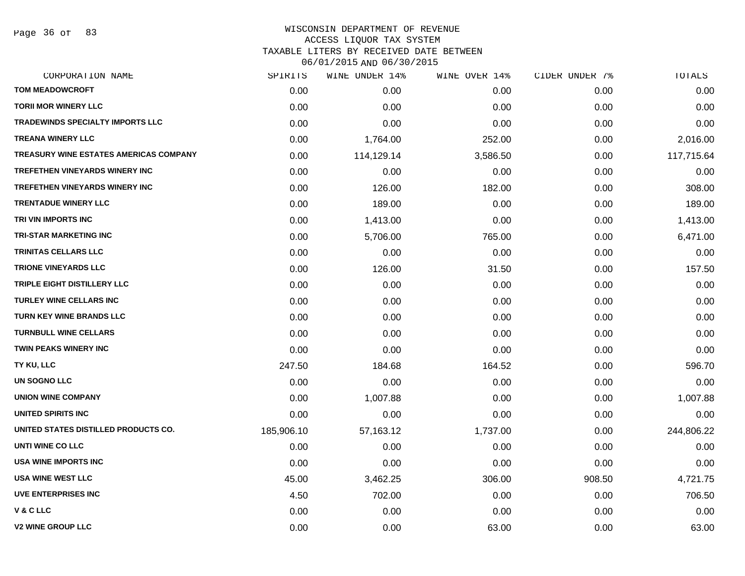Page 36 of 83

### WISCONSIN DEPARTMENT OF REVENUE ACCESS LIQUOR TAX SYSTEM TAXABLE LITERS BY RECEIVED DATE BETWEEN

| CORPORATION NAME                        | SPIRITS    | WINE UNDER 14% | WINE OVER 14% | CIDER UNDER 7% | TOTALS     |
|-----------------------------------------|------------|----------------|---------------|----------------|------------|
| <b>TOM MEADOWCROFT</b>                  | 0.00       | 0.00           | 0.00          | 0.00           | 0.00       |
| <b>TORII MOR WINERY LLC</b>             | 0.00       | 0.00           | 0.00          | 0.00           | 0.00       |
| <b>TRADEWINDS SPECIALTY IMPORTS LLC</b> | 0.00       | 0.00           | 0.00          | 0.00           | 0.00       |
| <b>TREANA WINERY LLC</b>                | 0.00       | 1,764.00       | 252.00        | 0.00           | 2,016.00   |
| TREASURY WINE ESTATES AMERICAS COMPANY  | 0.00       | 114,129.14     | 3,586.50      | 0.00           | 117,715.64 |
| <b>TREFETHEN VINEYARDS WINERY INC</b>   | 0.00       | 0.00           | 0.00          | 0.00           | 0.00       |
| TREFETHEN VINEYARDS WINERY INC          | 0.00       | 126.00         | 182.00        | 0.00           | 308.00     |
| <b>TRENTADUE WINERY LLC</b>             | 0.00       | 189.00         | 0.00          | 0.00           | 189.00     |
| TRI VIN IMPORTS INC                     | 0.00       | 1,413.00       | 0.00          | 0.00           | 1,413.00   |
| <b>TRI-STAR MARKETING INC</b>           | 0.00       | 5,706.00       | 765.00        | 0.00           | 6,471.00   |
| TRINITAS CELLARS LLC                    | 0.00       | 0.00           | 0.00          | 0.00           | 0.00       |
| <b>TRIONE VINEYARDS LLC</b>             | 0.00       | 126.00         | 31.50         | 0.00           | 157.50     |
| TRIPLE EIGHT DISTILLERY LLC             | 0.00       | 0.00           | 0.00          | 0.00           | 0.00       |
| <b>TURLEY WINE CELLARS INC</b>          | 0.00       | 0.00           | 0.00          | 0.00           | 0.00       |
| <b>TURN KEY WINE BRANDS LLC</b>         | 0.00       | 0.00           | 0.00          | 0.00           | 0.00       |
| <b>TURNBULL WINE CELLARS</b>            | 0.00       | 0.00           | 0.00          | 0.00           | 0.00       |
| <b>TWIN PEAKS WINERY INC</b>            | 0.00       | 0.00           | 0.00          | 0.00           | 0.00       |
| TY KU, LLC                              | 247.50     | 184.68         | 164.52        | 0.00           | 596.70     |
| UN SOGNO LLC                            | 0.00       | 0.00           | 0.00          | 0.00           | 0.00       |
| <b>UNION WINE COMPANY</b>               | 0.00       | 1,007.88       | 0.00          | 0.00           | 1,007.88   |
| UNITED SPIRITS INC                      | 0.00       | 0.00           | 0.00          | 0.00           | 0.00       |
| UNITED STATES DISTILLED PRODUCTS CO.    | 185,906.10 | 57,163.12      | 1,737.00      | 0.00           | 244,806.22 |
| UNTI WINE CO LLC                        | 0.00       | 0.00           | 0.00          | 0.00           | 0.00       |
| <b>USA WINE IMPORTS INC</b>             | 0.00       | 0.00           | 0.00          | 0.00           | 0.00       |
| <b>USA WINE WEST LLC</b>                | 45.00      | 3,462.25       | 306.00        | 908.50         | 4,721.75   |
| UVE ENTERPRISES INC                     | 4.50       | 702.00         | 0.00          | 0.00           | 706.50     |
| <b>V&amp;CLLC</b>                       | 0.00       | 0.00           | 0.00          | 0.00           | 0.00       |
| <b>V2 WINE GROUP LLC</b>                | 0.00       | 0.00           | 63.00         | 0.00           | 63.00      |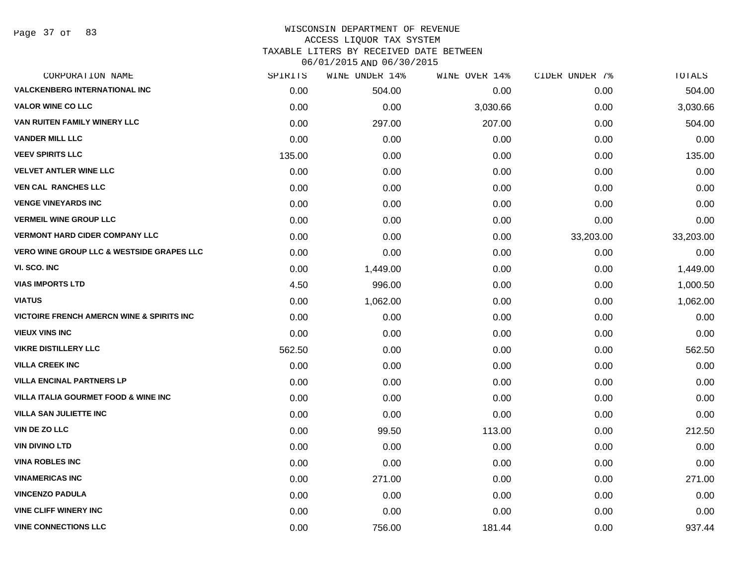Page 37 of 83

| CORPORATION NAME                                      | SPIRITS | WINE UNDER 14% | WINE OVER 14% | CIDER UNDER 7% | TOTALS    |
|-------------------------------------------------------|---------|----------------|---------------|----------------|-----------|
| <b>VALCKENBERG INTERNATIONAL INC</b>                  | 0.00    | 504.00         | 0.00          | 0.00           | 504.00    |
| <b>VALOR WINE CO LLC</b>                              | 0.00    | 0.00           | 3,030.66      | 0.00           | 3,030.66  |
| VAN RUITEN FAMILY WINERY LLC                          | 0.00    | 297.00         | 207.00        | 0.00           | 504.00    |
| <b>VANDER MILL LLC</b>                                | 0.00    | 0.00           | 0.00          | 0.00           | 0.00      |
| <b>VEEV SPIRITS LLC</b>                               | 135.00  | 0.00           | 0.00          | 0.00           | 135.00    |
| <b>VELVET ANTLER WINE LLC</b>                         | 0.00    | 0.00           | 0.00          | 0.00           | 0.00      |
| <b>VEN CAL RANCHES LLC</b>                            | 0.00    | 0.00           | 0.00          | 0.00           | 0.00      |
| <b>VENGE VINEYARDS INC</b>                            | 0.00    | 0.00           | 0.00          | 0.00           | 0.00      |
| <b>VERMEIL WINE GROUP LLC</b>                         | 0.00    | 0.00           | 0.00          | 0.00           | 0.00      |
| <b>VERMONT HARD CIDER COMPANY LLC</b>                 | 0.00    | 0.00           | 0.00          | 33,203.00      | 33,203.00 |
| <b>VERO WINE GROUP LLC &amp; WESTSIDE GRAPES LLC</b>  | 0.00    | 0.00           | 0.00          | 0.00           | 0.00      |
| VI. SCO. INC                                          | 0.00    | 1,449.00       | 0.00          | 0.00           | 1,449.00  |
| <b>VIAS IMPORTS LTD</b>                               | 4.50    | 996.00         | 0.00          | 0.00           | 1,000.50  |
| <b>VIATUS</b>                                         | 0.00    | 1,062.00       | 0.00          | 0.00           | 1,062.00  |
| <b>VICTOIRE FRENCH AMERCN WINE &amp; SPIRITS INC.</b> | 0.00    | 0.00           | 0.00          | 0.00           | 0.00      |
| <b>VIEUX VINS INC</b>                                 | 0.00    | 0.00           | 0.00          | 0.00           | 0.00      |
| <b>VIKRE DISTILLERY LLC</b>                           | 562.50  | 0.00           | 0.00          | 0.00           | 562.50    |
| <b>VILLA CREEK INC</b>                                | 0.00    | 0.00           | 0.00          | 0.00           | 0.00      |
| <b>VILLA ENCINAL PARTNERS LP</b>                      | 0.00    | 0.00           | 0.00          | 0.00           | 0.00      |
| <b>VILLA ITALIA GOURMET FOOD &amp; WINE INC</b>       | 0.00    | 0.00           | 0.00          | 0.00           | 0.00      |
| <b>VILLA SAN JULIETTE INC</b>                         | 0.00    | 0.00           | 0.00          | 0.00           | 0.00      |
| <b>VIN DE ZO LLC</b>                                  | 0.00    | 99.50          | 113.00        | 0.00           | 212.50    |
| <b>VIN DIVINO LTD</b>                                 | 0.00    | 0.00           | 0.00          | 0.00           | 0.00      |
| <b>VINA ROBLES INC</b>                                | 0.00    | 0.00           | 0.00          | 0.00           | 0.00      |
| <b>VINAMERICAS INC</b>                                | 0.00    | 271.00         | 0.00          | 0.00           | 271.00    |
| <b>VINCENZO PADULA</b>                                | 0.00    | 0.00           | 0.00          | 0.00           | 0.00      |
| <b>VINE CLIFF WINERY INC</b>                          | 0.00    | 0.00           | 0.00          | 0.00           | 0.00      |
| <b>VINE CONNECTIONS LLC</b>                           | 0.00    | 756.00         | 181.44        | 0.00           | 937.44    |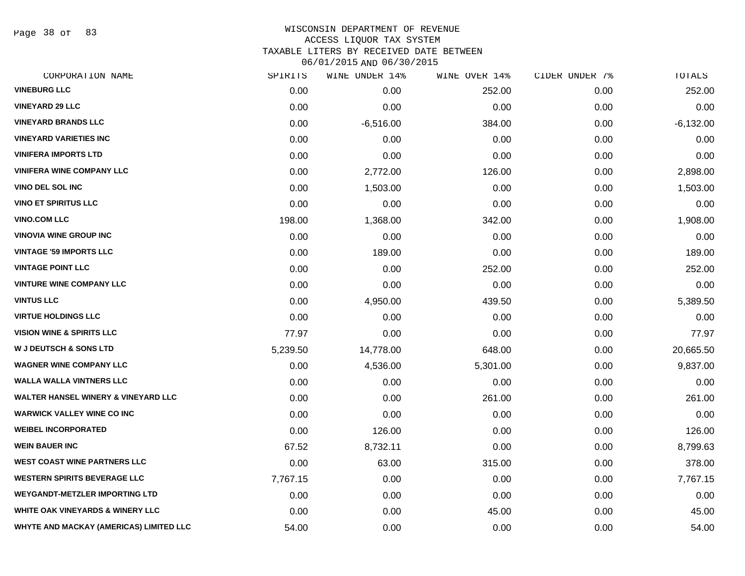Page 38 of 83

#### WISCONSIN DEPARTMENT OF REVENUE ACCESS LIQUOR TAX SYSTEM TAXABLE LITERS BY RECEIVED DATE BETWEEN

06/01/2015 AND 06/30/2015

| CORPORATION NAME                               | SPIRITS  | WINE UNDER 14% | WINE OVER 14% | CIDER UNDER 7% | <b>TOTALS</b> |
|------------------------------------------------|----------|----------------|---------------|----------------|---------------|
| <b>VINEBURG LLC</b>                            | 0.00     | 0.00           | 252.00        | 0.00           | 252.00        |
| <b>VINEYARD 29 LLC</b>                         | 0.00     | 0.00           | 0.00          | 0.00           | 0.00          |
| <b>VINEYARD BRANDS LLC</b>                     | 0.00     | $-6,516.00$    | 384.00        | 0.00           | $-6,132.00$   |
| <b>VINEYARD VARIETIES INC</b>                  | 0.00     | 0.00           | 0.00          | 0.00           | 0.00          |
| <b>VINIFERA IMPORTS LTD</b>                    | 0.00     | 0.00           | 0.00          | 0.00           | 0.00          |
| <b>VINIFERA WINE COMPANY LLC</b>               | 0.00     | 2,772.00       | 126.00        | 0.00           | 2,898.00      |
| <b>VINO DEL SOL INC</b>                        | 0.00     | 1,503.00       | 0.00          | 0.00           | 1,503.00      |
| <b>VINO ET SPIRITUS LLC</b>                    | 0.00     | 0.00           | 0.00          | 0.00           | 0.00          |
| <b>VINO.COM LLC</b>                            | 198.00   | 1,368.00       | 342.00        | 0.00           | 1,908.00      |
| <b>VINOVIA WINE GROUP INC</b>                  | 0.00     | 0.00           | 0.00          | 0.00           | 0.00          |
| <b>VINTAGE '59 IMPORTS LLC</b>                 | 0.00     | 189.00         | 0.00          | 0.00           | 189.00        |
| <b>VINTAGE POINT LLC</b>                       | 0.00     | 0.00           | 252.00        | 0.00           | 252.00        |
| <b>VINTURE WINE COMPANY LLC</b>                | 0.00     | 0.00           | 0.00          | 0.00           | 0.00          |
| <b>VINTUS LLC</b>                              | 0.00     | 4,950.00       | 439.50        | 0.00           | 5,389.50      |
| <b>VIRTUE HOLDINGS LLC</b>                     | 0.00     | 0.00           | 0.00          | 0.00           | 0.00          |
| <b>VISION WINE &amp; SPIRITS LLC</b>           | 77.97    | 0.00           | 0.00          | 0.00           | 77.97         |
| <b>W J DEUTSCH &amp; SONS LTD</b>              | 5,239.50 | 14,778.00      | 648.00        | 0.00           | 20,665.50     |
| <b>WAGNER WINE COMPANY LLC</b>                 | 0.00     | 4,536.00       | 5,301.00      | 0.00           | 9,837.00      |
| <b>WALLA WALLA VINTNERS LLC</b>                | 0.00     | 0.00           | 0.00          | 0.00           | 0.00          |
| <b>WALTER HANSEL WINERY &amp; VINEYARD LLC</b> | 0.00     | 0.00           | 261.00        | 0.00           | 261.00        |
| <b>WARWICK VALLEY WINE CO INC</b>              | 0.00     | 0.00           | 0.00          | 0.00           | 0.00          |
| <b>WEIBEL INCORPORATED</b>                     | 0.00     | 126.00         | 0.00          | 0.00           | 126.00        |
| <b>WEIN BAUER INC</b>                          | 67.52    | 8,732.11       | 0.00          | 0.00           | 8,799.63      |
| <b>WEST COAST WINE PARTNERS LLC</b>            | 0.00     | 63.00          | 315.00        | 0.00           | 378.00        |
| <b>WESTERN SPIRITS BEVERAGE LLC</b>            | 7,767.15 | 0.00           | 0.00          | 0.00           | 7,767.15      |
| <b>WEYGANDT-METZLER IMPORTING LTD</b>          | 0.00     | 0.00           | 0.00          | 0.00           | 0.00          |
| <b>WHITE OAK VINEYARDS &amp; WINERY LLC</b>    | 0.00     | 0.00           | 45.00         | 0.00           | 45.00         |
| <b>WHYTE AND MACKAY (AMERICAS) LIMITED LLC</b> | 54.00    | 0.00           | 0.00          | 0.00           | 54.00         |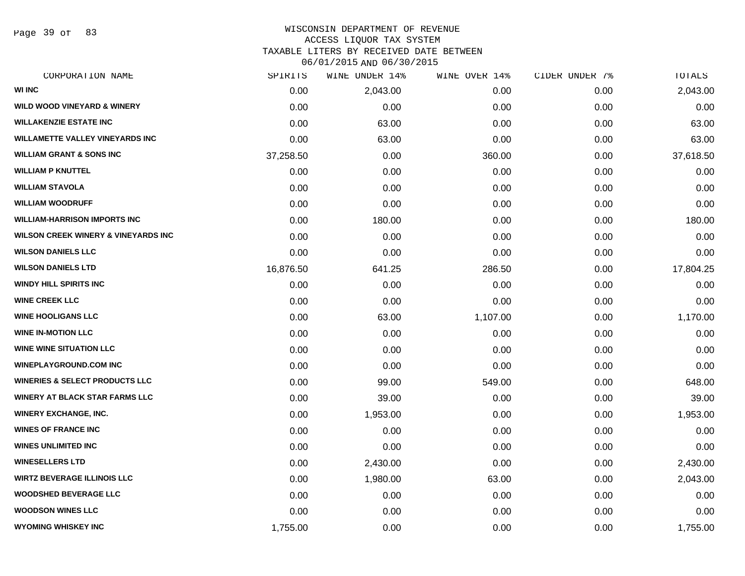Page 39 of 83

#### WISCONSIN DEPARTMENT OF REVENUE ACCESS LIQUOR TAX SYSTEM TAXABLE LITERS BY RECEIVED DATE BETWEEN

06/01/2015 AND 06/30/2015

| CORPORATION NAME                               | SPIRITS   | WINE UNDER 14% | WINE OVER 14% | CIDER UNDER 7% | TOTALS    |
|------------------------------------------------|-----------|----------------|---------------|----------------|-----------|
| <b>WI INC</b>                                  | 0.00      | 2,043.00       | 0.00          | 0.00           | 2,043.00  |
| <b>WILD WOOD VINEYARD &amp; WINERY</b>         | 0.00      | 0.00           | 0.00          | 0.00           | 0.00      |
| <b>WILLAKENZIE ESTATE INC</b>                  | 0.00      | 63.00          | 0.00          | 0.00           | 63.00     |
| <b>WILLAMETTE VALLEY VINEYARDS INC</b>         | 0.00      | 63.00          | 0.00          | 0.00           | 63.00     |
| <b>WILLIAM GRANT &amp; SONS INC</b>            | 37,258.50 | 0.00           | 360.00        | 0.00           | 37,618.50 |
| <b>WILLIAM P KNUTTEL</b>                       | 0.00      | 0.00           | 0.00          | 0.00           | 0.00      |
| <b>WILLIAM STAVOLA</b>                         | 0.00      | 0.00           | 0.00          | 0.00           | 0.00      |
| <b>WILLIAM WOODRUFF</b>                        | 0.00      | 0.00           | 0.00          | 0.00           | 0.00      |
| <b>WILLIAM-HARRISON IMPORTS INC</b>            | 0.00      | 180.00         | 0.00          | 0.00           | 180.00    |
| <b>WILSON CREEK WINERY &amp; VINEYARDS INC</b> | 0.00      | 0.00           | 0.00          | 0.00           | 0.00      |
| <b>WILSON DANIELS LLC</b>                      | 0.00      | 0.00           | 0.00          | 0.00           | 0.00      |
| <b>WILSON DANIELS LTD</b>                      | 16,876.50 | 641.25         | 286.50        | 0.00           | 17,804.25 |
| <b>WINDY HILL SPIRITS INC</b>                  | 0.00      | 0.00           | 0.00          | 0.00           | 0.00      |
| <b>WINE CREEK LLC</b>                          | 0.00      | 0.00           | 0.00          | 0.00           | 0.00      |
| <b>WINE HOOLIGANS LLC</b>                      | 0.00      | 63.00          | 1,107.00      | 0.00           | 1,170.00  |
| <b>WINE IN-MOTION LLC</b>                      | 0.00      | 0.00           | 0.00          | 0.00           | 0.00      |
| <b>WINE WINE SITUATION LLC</b>                 | 0.00      | 0.00           | 0.00          | 0.00           | 0.00      |
| <b>WINEPLAYGROUND.COM INC</b>                  | 0.00      | 0.00           | 0.00          | 0.00           | 0.00      |
| <b>WINERIES &amp; SELECT PRODUCTS LLC</b>      | 0.00      | 99.00          | 549.00        | 0.00           | 648.00    |
| <b>WINERY AT BLACK STAR FARMS LLC</b>          | 0.00      | 39.00          | 0.00          | 0.00           | 39.00     |
| <b>WINERY EXCHANGE, INC.</b>                   | 0.00      | 1,953.00       | 0.00          | 0.00           | 1,953.00  |
| <b>WINES OF FRANCE INC</b>                     | 0.00      | 0.00           | 0.00          | 0.00           | 0.00      |
| <b>WINES UNLIMITED INC</b>                     | 0.00      | 0.00           | 0.00          | 0.00           | 0.00      |
| <b>WINESELLERS LTD</b>                         | 0.00      | 2,430.00       | 0.00          | 0.00           | 2,430.00  |
| <b>WIRTZ BEVERAGE ILLINOIS LLC</b>             | 0.00      | 1,980.00       | 63.00         | 0.00           | 2,043.00  |
| <b>WOODSHED BEVERAGE LLC</b>                   | 0.00      | 0.00           | 0.00          | 0.00           | 0.00      |
| <b>WOODSON WINES LLC</b>                       | 0.00      | 0.00           | 0.00          | 0.00           | 0.00      |
| <b>WYOMING WHISKEY INC</b>                     | 1,755.00  | 0.00           | 0.00          | 0.00           | 1,755.00  |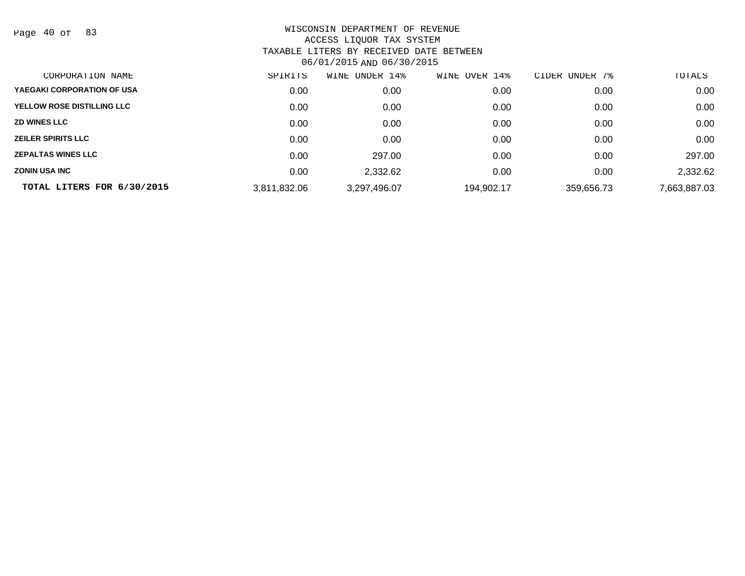Page 40 of 83

| CORPORATION NAME                  | SPIRITS      | UNDER 14%<br>WINE | 14%<br>OVER<br>WINE | CIDER UNDER 7% | TOTALS       |
|-----------------------------------|--------------|-------------------|---------------------|----------------|--------------|
| YAEGAKI CORPORATION OF USA        | 0.00         | 0.00              | 0.00                | 0.00           | 0.00         |
| <b>YELLOW ROSE DISTILLING LLC</b> | 0.00         | 0.00              | 0.00                | 0.00           | 0.00         |
| <b>ZD WINES LLC</b>               | 0.00         | 0.00              | 0.00                | 0.00           | 0.00         |
| <b>ZEILER SPIRITS LLC</b>         | 0.00         | 0.00              | 0.00                | 0.00           | 0.00         |
| <b>ZEPALTAS WINES LLC</b>         | 0.00         | 297.00            | 0.00                | 0.00           | 297.00       |
| <b>ZONIN USA INC</b>              | 0.00         | 2,332.62          | 0.00                | 0.00           | 2,332.62     |
| TOTAL LITERS FOR 6/30/2015        | 3,811,832.06 | 3,297,496.07      | 194,902.17          | 359,656.73     | 7,663,887.03 |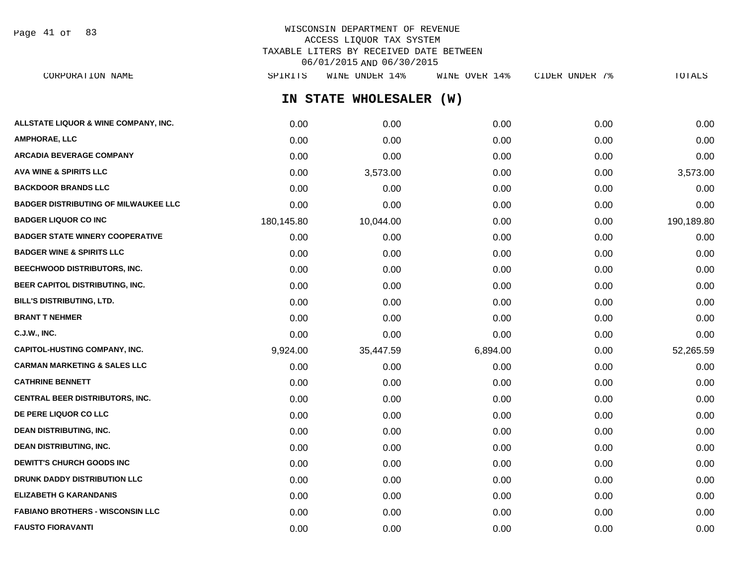Page 41 of 83

# WISCONSIN DEPARTMENT OF REVENUE ACCESS LIQUOR TAX SYSTEM TAXABLE LITERS BY RECEIVED DATE BETWEEN 06/01/2015 AND 06/30/2015

| CORPORATION NAME                            | SPIRITS    | WINE UNDER 14%          | WINE OVER 14% | CIDER UNDER 7% | TOTALS     |
|---------------------------------------------|------------|-------------------------|---------------|----------------|------------|
|                                             |            | IN STATE WHOLESALER (W) |               |                |            |
| ALLSTATE LIQUOR & WINE COMPANY, INC.        | 0.00       | 0.00                    | 0.00          | 0.00           | 0.00       |
| AMPHORAE, LLC                               | 0.00       | 0.00                    | 0.00          | 0.00           | 0.00       |
| <b>ARCADIA BEVERAGE COMPANY</b>             | 0.00       | 0.00                    | 0.00          | 0.00           | 0.00       |
| AVA WINE & SPIRITS LLC                      | 0.00       | 3,573.00                | 0.00          | 0.00           | 3,573.00   |
| <b>BACKDOOR BRANDS LLC</b>                  | 0.00       | 0.00                    | 0.00          | 0.00           | 0.00       |
| <b>BADGER DISTRIBUTING OF MILWAUKEE LLC</b> | 0.00       | 0.00                    | 0.00          | 0.00           | 0.00       |
| <b>BADGER LIQUOR CO INC</b>                 | 180,145.80 | 10,044.00               | 0.00          | 0.00           | 190,189.80 |
| <b>BADGER STATE WINERY COOPERATIVE</b>      | 0.00       | 0.00                    | 0.00          | 0.00           | 0.00       |
| <b>BADGER WINE &amp; SPIRITS LLC</b>        | 0.00       | 0.00                    | 0.00          | 0.00           | 0.00       |
| <b>BEECHWOOD DISTRIBUTORS, INC.</b>         | 0.00       | 0.00                    | 0.00          | 0.00           | 0.00       |
| <b>BEER CAPITOL DISTRIBUTING, INC.</b>      | 0.00       | 0.00                    | 0.00          | 0.00           | 0.00       |
| BILL'S DISTRIBUTING, LTD.                   | 0.00       | 0.00                    | 0.00          | 0.00           | 0.00       |
| <b>BRANT T NEHMER</b>                       | 0.00       | 0.00                    | 0.00          | 0.00           | 0.00       |
| C.J.W., INC.                                | 0.00       | 0.00                    | 0.00          | 0.00           | 0.00       |
| CAPITOL-HUSTING COMPANY, INC.               | 9,924.00   | 35,447.59               | 6,894.00      | 0.00           | 52,265.59  |
| CARMAN MARKETING & SALES LLC                | 0.00       | 0.00                    | 0.00          | 0.00           | 0.00       |
| <b>CATHRINE BENNETT</b>                     | 0.00       | 0.00                    | 0.00          | 0.00           | 0.00       |
| CENTRAL BEER DISTRIBUTORS, INC.             | 0.00       | 0.00                    | 0.00          | 0.00           | 0.00       |
| <b>DE PERE LIQUOR CO LLC</b>                | 0.00       | 0.00                    | 0.00          | 0.00           | 0.00       |
| <b>DEAN DISTRIBUTING, INC.</b>              | 0.00       | 0.00                    | 0.00          | 0.00           | 0.00       |
| <b>DEAN DISTRIBUTING, INC.</b>              | 0.00       | 0.00                    | 0.00          | 0.00           | 0.00       |
| <b>DEWITT'S CHURCH GOODS INC</b>            | 0.00       | 0.00                    | 0.00          | 0.00           | 0.00       |
| <b>DRUNK DADDY DISTRIBUTION LLC</b>         | 0.00       | 0.00                    | 0.00          | 0.00           | 0.00       |
| ELIZABETH G KARANDANIS                      | 0.00       | 0.00                    | 0.00          | 0.00           | 0.00       |
| <b>FABIANO BROTHERS - WISCONSIN LLC</b>     | 0.00       | 0.00                    | 0.00          | 0.00           | 0.00       |

**FAUSTO FIORAVANTI** 0.00 0.00 0.00 0.00 0.00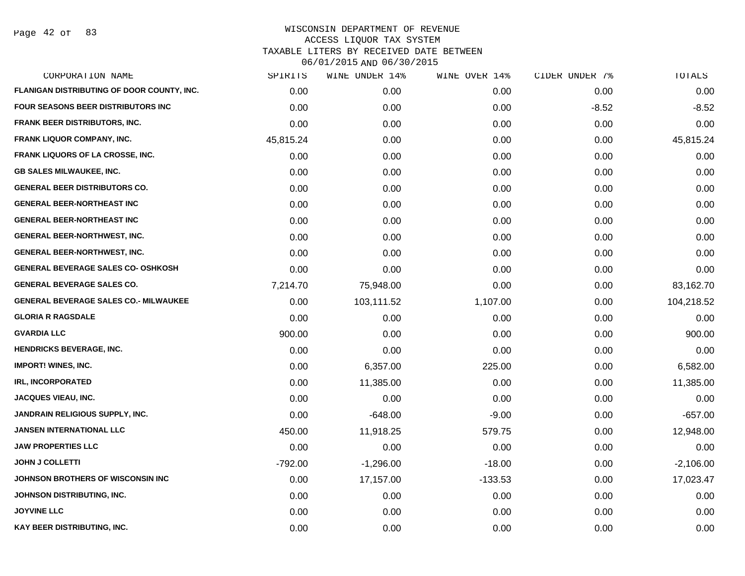Page 42 of 83

| SPIRITS   | WINE UNDER 14% | WINE OVER 14% | CIDER UNDER 7% | TOTALS      |
|-----------|----------------|---------------|----------------|-------------|
| 0.00      | 0.00           | 0.00          | 0.00           | 0.00        |
| 0.00      | 0.00           | 0.00          | $-8.52$        | $-8.52$     |
| 0.00      | 0.00           | 0.00          | 0.00           | 0.00        |
| 45,815.24 | 0.00           | 0.00          | 0.00           | 45,815.24   |
| 0.00      | 0.00           | 0.00          | 0.00           | 0.00        |
| 0.00      | 0.00           | 0.00          | 0.00           | 0.00        |
| 0.00      | 0.00           | 0.00          | 0.00           | 0.00        |
| 0.00      | 0.00           | 0.00          | 0.00           | 0.00        |
| 0.00      | 0.00           | 0.00          | 0.00           | 0.00        |
| 0.00      | 0.00           | 0.00          | 0.00           | 0.00        |
| 0.00      | 0.00           | 0.00          | 0.00           | 0.00        |
| 0.00      | 0.00           | 0.00          | 0.00           | 0.00        |
| 7,214.70  | 75,948.00      | 0.00          | 0.00           | 83,162.70   |
| 0.00      | 103,111.52     | 1,107.00      | 0.00           | 104,218.52  |
| 0.00      | 0.00           | 0.00          | 0.00           | 0.00        |
| 900.00    | 0.00           | 0.00          | 0.00           | 900.00      |
| 0.00      | 0.00           | 0.00          | 0.00           | 0.00        |
| 0.00      | 6,357.00       | 225.00        | 0.00           | 6,582.00    |
| 0.00      | 11,385.00      | 0.00          | 0.00           | 11,385.00   |
| 0.00      | 0.00           | 0.00          | 0.00           | 0.00        |
| 0.00      | $-648.00$      | $-9.00$       | 0.00           | $-657.00$   |
| 450.00    | 11,918.25      | 579.75        | 0.00           | 12,948.00   |
| 0.00      | 0.00           | 0.00          | 0.00           | 0.00        |
| $-792.00$ | $-1,296.00$    | $-18.00$      | 0.00           | $-2,106.00$ |
| 0.00      | 17,157.00      | $-133.53$     | 0.00           | 17,023.47   |
| 0.00      | 0.00           | 0.00          | 0.00           | 0.00        |
| 0.00      | 0.00           | 0.00          | 0.00           | 0.00        |
| 0.00      | 0.00           | 0.00          | 0.00           | 0.00        |
|           |                |               |                |             |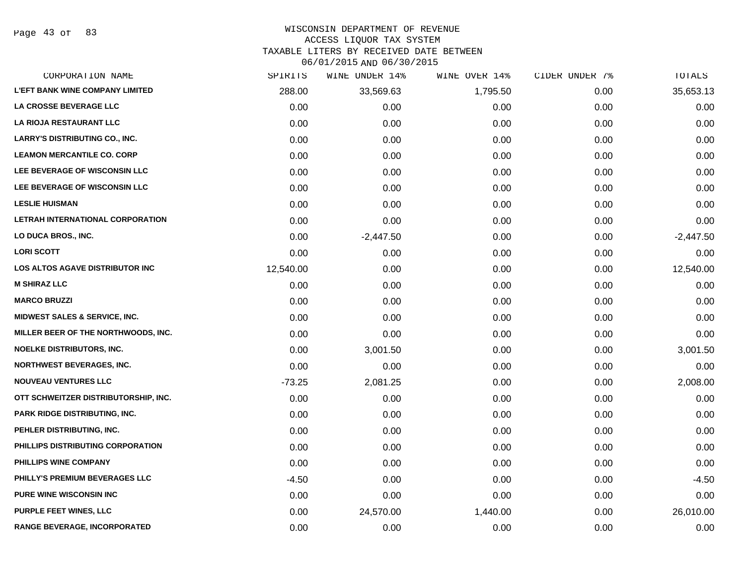Page 43 of 83

#### WISCONSIN DEPARTMENT OF REVENUE ACCESS LIQUOR TAX SYSTEM

TAXABLE LITERS BY RECEIVED DATE BETWEEN

06/01/2015 AND 06/30/2015

| CORPORATION NAME                         | SPIRITS   | WINE UNDER 14% | WINE OVER 14% | CIDER UNDER 7% | TOTALS      |
|------------------------------------------|-----------|----------------|---------------|----------------|-------------|
| <b>L'EFT BANK WINE COMPANY LIMITED</b>   | 288.00    | 33,569.63      | 1,795.50      | 0.00           | 35,653.13   |
| LA CROSSE BEVERAGE LLC                   | 0.00      | 0.00           | 0.00          | 0.00           | 0.00        |
| LA RIOJA RESTAURANT LLC                  | 0.00      | 0.00           | 0.00          | 0.00           | 0.00        |
| <b>LARRY'S DISTRIBUTING CO., INC.</b>    | 0.00      | 0.00           | 0.00          | 0.00           | 0.00        |
| <b>LEAMON MERCANTILE CO. CORP</b>        | 0.00      | 0.00           | 0.00          | 0.00           | 0.00        |
| LEE BEVERAGE OF WISCONSIN LLC            | 0.00      | 0.00           | 0.00          | 0.00           | 0.00        |
| LEE BEVERAGE OF WISCONSIN LLC            | 0.00      | 0.00           | 0.00          | 0.00           | 0.00        |
| <b>LESLIE HUISMAN</b>                    | 0.00      | 0.00           | 0.00          | 0.00           | 0.00        |
| LETRAH INTERNATIONAL CORPORATION         | 0.00      | 0.00           | 0.00          | 0.00           | 0.00        |
| LO DUCA BROS., INC.                      | 0.00      | $-2,447.50$    | 0.00          | 0.00           | $-2,447.50$ |
| <b>LORI SCOTT</b>                        | 0.00      | 0.00           | 0.00          | 0.00           | 0.00        |
| <b>LOS ALTOS AGAVE DISTRIBUTOR INC</b>   | 12,540.00 | 0.00           | 0.00          | 0.00           | 12,540.00   |
| <b>M SHIRAZ LLC</b>                      | 0.00      | 0.00           | 0.00          | 0.00           | 0.00        |
| <b>MARCO BRUZZI</b>                      | 0.00      | 0.00           | 0.00          | 0.00           | 0.00        |
| <b>MIDWEST SALES &amp; SERVICE, INC.</b> | 0.00      | 0.00           | 0.00          | 0.00           | 0.00        |
| MILLER BEER OF THE NORTHWOODS, INC.      | 0.00      | 0.00           | 0.00          | 0.00           | 0.00        |
| <b>NOELKE DISTRIBUTORS, INC.</b>         | 0.00      | 3,001.50       | 0.00          | 0.00           | 3,001.50    |
| <b>NORTHWEST BEVERAGES, INC.</b>         | 0.00      | 0.00           | 0.00          | 0.00           | 0.00        |
| <b>NOUVEAU VENTURES LLC</b>              | $-73.25$  | 2,081.25       | 0.00          | 0.00           | 2,008.00    |
| OTT SCHWEITZER DISTRIBUTORSHIP, INC.     | 0.00      | 0.00           | 0.00          | 0.00           | 0.00        |
| PARK RIDGE DISTRIBUTING, INC.            | 0.00      | 0.00           | 0.00          | 0.00           | 0.00        |
| PEHLER DISTRIBUTING, INC.                | 0.00      | 0.00           | 0.00          | 0.00           | 0.00        |
| PHILLIPS DISTRIBUTING CORPORATION        | 0.00      | 0.00           | 0.00          | 0.00           | 0.00        |
| PHILLIPS WINE COMPANY                    | 0.00      | 0.00           | 0.00          | 0.00           | 0.00        |
| PHILLY'S PREMIUM BEVERAGES LLC           | $-4.50$   | 0.00           | 0.00          | 0.00           | $-4.50$     |
| <b>PURE WINE WISCONSIN INC</b>           | 0.00      | 0.00           | 0.00          | 0.00           | 0.00        |
| <b>PURPLE FEET WINES, LLC</b>            | 0.00      | 24,570.00      | 1,440.00      | 0.00           | 26,010.00   |
| <b>RANGE BEVERAGE, INCORPORATED</b>      | 0.00      | 0.00           | 0.00          | 0.00           | 0.00        |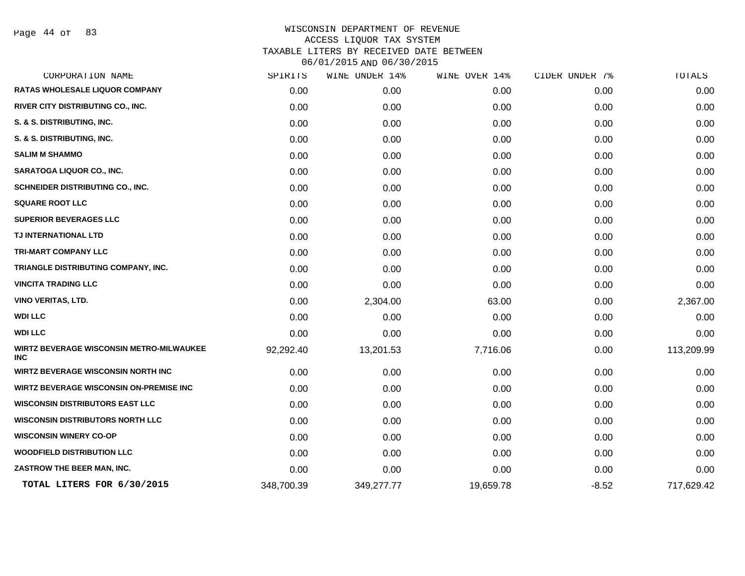Page 44 of 83

| CORPORATION NAME                                              | SPIRITS    | WINE UNDER 14% | WINE OVER 14% | CIDER UNDER 7% | TOTALS     |
|---------------------------------------------------------------|------------|----------------|---------------|----------------|------------|
| <b>RATAS WHOLESALE LIQUOR COMPANY</b>                         | 0.00       | 0.00           | 0.00          | 0.00           | 0.00       |
| RIVER CITY DISTRIBUTING CO., INC.                             | 0.00       | 0.00           | 0.00          | 0.00           | 0.00       |
| S. & S. DISTRIBUTING, INC.                                    | 0.00       | 0.00           | 0.00          | 0.00           | 0.00       |
| S. & S. DISTRIBUTING, INC.                                    | 0.00       | 0.00           | 0.00          | 0.00           | 0.00       |
| <b>SALIM M SHAMMO</b>                                         | 0.00       | 0.00           | 0.00          | 0.00           | 0.00       |
| SARATOGA LIQUOR CO., INC.                                     | 0.00       | 0.00           | 0.00          | 0.00           | 0.00       |
| <b>SCHNEIDER DISTRIBUTING CO., INC.</b>                       | 0.00       | 0.00           | 0.00          | 0.00           | 0.00       |
| <b>SQUARE ROOT LLC</b>                                        | 0.00       | 0.00           | 0.00          | 0.00           | 0.00       |
| <b>SUPERIOR BEVERAGES LLC</b>                                 | 0.00       | 0.00           | 0.00          | 0.00           | 0.00       |
| TJ INTERNATIONAL LTD                                          | 0.00       | 0.00           | 0.00          | 0.00           | 0.00       |
| <b>TRI-MART COMPANY LLC</b>                                   | 0.00       | 0.00           | 0.00          | 0.00           | 0.00       |
| TRIANGLE DISTRIBUTING COMPANY, INC.                           | 0.00       | 0.00           | 0.00          | 0.00           | 0.00       |
| <b>VINCITA TRADING LLC</b>                                    | 0.00       | 0.00           | 0.00          | 0.00           | 0.00       |
| <b>VINO VERITAS, LTD.</b>                                     | 0.00       | 2,304.00       | 63.00         | 0.00           | 2,367.00   |
| <b>WDI LLC</b>                                                | 0.00       | 0.00           | 0.00          | 0.00           | 0.00       |
| <b>WDI LLC</b>                                                | 0.00       | 0.00           | 0.00          | 0.00           | 0.00       |
| <b>WIRTZ BEVERAGE WISCONSIN METRO-MILWAUKEE</b><br><b>INC</b> | 92,292.40  | 13,201.53      | 7,716.06      | 0.00           | 113,209.99 |
| <b>WIRTZ BEVERAGE WISCONSIN NORTH INC</b>                     | 0.00       | 0.00           | 0.00          | 0.00           | 0.00       |
| <b>WIRTZ BEVERAGE WISCONSIN ON-PREMISE INC</b>                | 0.00       | 0.00           | 0.00          | 0.00           | 0.00       |
| <b>WISCONSIN DISTRIBUTORS EAST LLC</b>                        | 0.00       | 0.00           | 0.00          | 0.00           | 0.00       |
| <b>WISCONSIN DISTRIBUTORS NORTH LLC</b>                       | 0.00       | 0.00           | 0.00          | 0.00           | 0.00       |
| <b>WISCONSIN WINERY CO-OP</b>                                 | 0.00       | 0.00           | 0.00          | 0.00           | 0.00       |
| <b>WOODFIELD DISTRIBUTION LLC</b>                             | 0.00       | 0.00           | 0.00          | 0.00           | 0.00       |
| ZASTROW THE BEER MAN, INC.                                    | 0.00       | 0.00           | 0.00          | 0.00           | 0.00       |
| TOTAL LITERS FOR 6/30/2015                                    | 348,700.39 | 349,277.77     | 19,659.78     | $-8.52$        | 717,629.42 |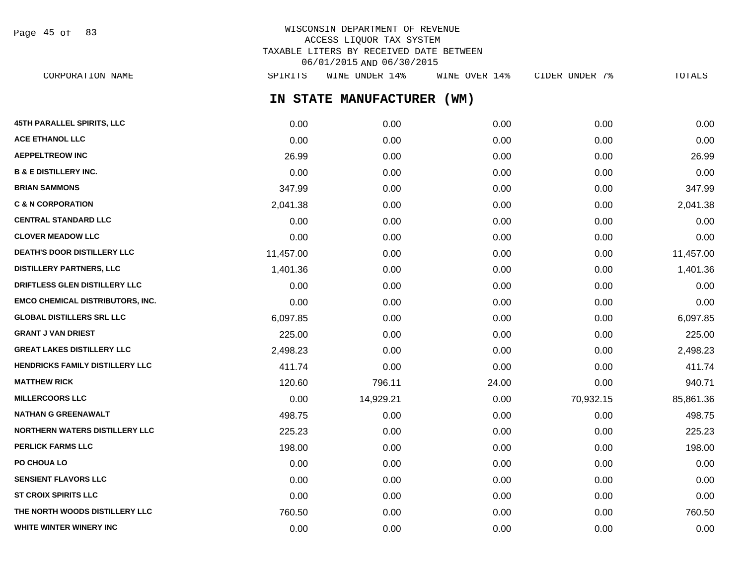WISCONSIN DEPARTMENT OF REVENUE ACCESS LIQUOR TAX SYSTEM TAXABLE LITERS BY RECEIVED DATE BETWEEN 06/01/2015 AND 06/30/2015 CORPORATION NAME SPIRITS WINE UNDER 14% WINE OVER 14% CIDER UNDER 7% TOTALS Page 45 of 83

**IN STATE MANUFACTURER (WM)**

| <b>45TH PARALLEL SPIRITS, LLC</b>       | 0.00      | 0.00      | 0.00  | 0.00      | 0.00      |
|-----------------------------------------|-----------|-----------|-------|-----------|-----------|
| <b>ACE ETHANOL LLC</b>                  | 0.00      | 0.00      | 0.00  | 0.00      | 0.00      |
| <b>AEPPELTREOW INC</b>                  | 26.99     | 0.00      | 0.00  | 0.00      | 26.99     |
| <b>B &amp; E DISTILLERY INC.</b>        | 0.00      | 0.00      | 0.00  | 0.00      | 0.00      |
| <b>BRIAN SAMMONS</b>                    | 347.99    | 0.00      | 0.00  | 0.00      | 347.99    |
| <b>C &amp; N CORPORATION</b>            | 2,041.38  | 0.00      | 0.00  | 0.00      | 2,041.38  |
| <b>CENTRAL STANDARD LLC</b>             | 0.00      | 0.00      | 0.00  | 0.00      | 0.00      |
| <b>CLOVER MEADOW LLC</b>                | 0.00      | 0.00      | 0.00  | 0.00      | 0.00      |
| <b>DEATH'S DOOR DISTILLERY LLC</b>      | 11,457.00 | 0.00      | 0.00  | 0.00      | 11,457.00 |
| <b>DISTILLERY PARTNERS, LLC</b>         | 1,401.36  | 0.00      | 0.00  | 0.00      | 1,401.36  |
| DRIFTLESS GLEN DISTILLERY LLC           | 0.00      | 0.00      | 0.00  | 0.00      | 0.00      |
| <b>EMCO CHEMICAL DISTRIBUTORS, INC.</b> | 0.00      | 0.00      | 0.00  | 0.00      | 0.00      |
| <b>GLOBAL DISTILLERS SRL LLC</b>        | 6,097.85  | 0.00      | 0.00  | 0.00      | 6,097.85  |
| <b>GRANT J VAN DRIEST</b>               | 225.00    | 0.00      | 0.00  | 0.00      | 225.00    |
| <b>GREAT LAKES DISTILLERY LLC</b>       | 2,498.23  | 0.00      | 0.00  | 0.00      | 2,498.23  |
| HENDRICKS FAMILY DISTILLERY LLC         | 411.74    | 0.00      | 0.00  | 0.00      | 411.74    |
| <b>MATTHEW RICK</b>                     | 120.60    | 796.11    | 24.00 | 0.00      | 940.71    |
| <b>MILLERCOORS LLC</b>                  | 0.00      | 14,929.21 | 0.00  | 70,932.15 | 85,861.36 |
| <b>NATHAN G GREENAWALT</b>              | 498.75    | 0.00      | 0.00  | 0.00      | 498.75    |
| <b>NORTHERN WATERS DISTILLERY LLC</b>   | 225.23    | 0.00      | 0.00  | 0.00      | 225.23    |
| <b>PERLICK FARMS LLC</b>                | 198.00    | 0.00      | 0.00  | 0.00      | 198.00    |
| PO CHOUA LO                             | 0.00      | 0.00      | 0.00  | 0.00      | 0.00      |
| <b>SENSIENT FLAVORS LLC</b>             | 0.00      | 0.00      | 0.00  | 0.00      | 0.00      |
| <b>ST CROIX SPIRITS LLC</b>             | 0.00      | 0.00      | 0.00  | 0.00      | 0.00      |
| THE NORTH WOODS DISTILLERY LLC          | 760.50    | 0.00      | 0.00  | 0.00      | 760.50    |
| WHITE WINTER WINERY INC                 | 0.00      | 0.00      | 0.00  | 0.00      | 0.00      |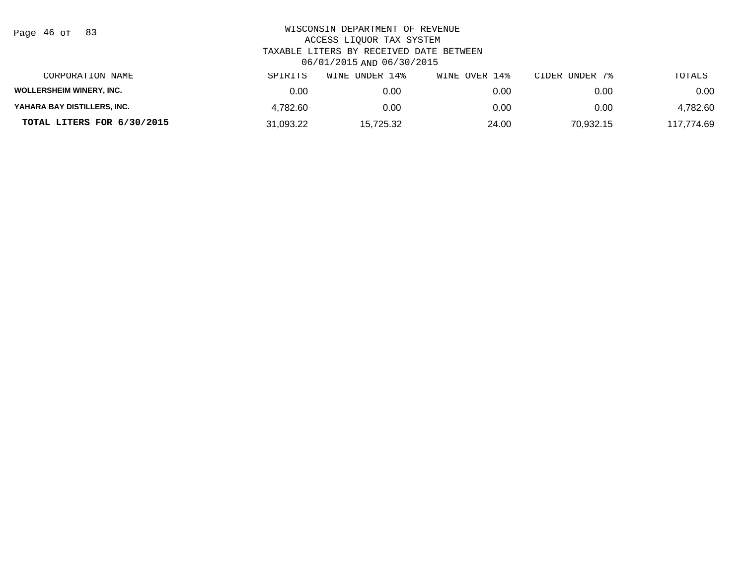| Page 46 of |  |  | 83 |
|------------|--|--|----|
|------------|--|--|----|

| CORPORATION NAME                | SPIRITS   | UNDER 14%<br>WINE | WINE OVER 14% | CIDER UNDER 7% | TOTALS     |
|---------------------------------|-----------|-------------------|---------------|----------------|------------|
| <b>WOLLERSHEIM WINERY, INC.</b> | 0.00      | 0.00              | 0.00          | 0.00           | 0.00       |
| YAHARA BAY DISTILLERS, INC.     | 4.782.60  | 0.00              | 0.00          | 0.00           | 4,782.60   |
| TOTAL LITERS FOR 6/30/2015      | 31.093.22 | 15.725.32         | 24.00         | 70.932.15      | 117.774.69 |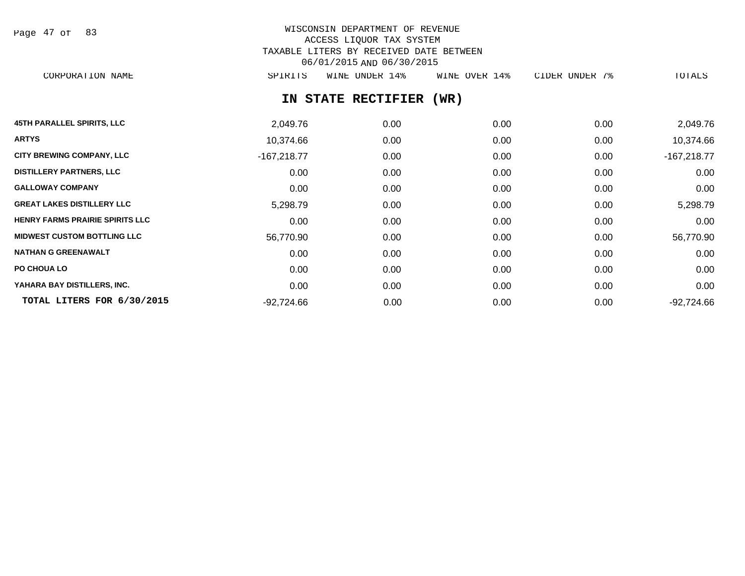Page 47 of 83

# WISCONSIN DEPARTMENT OF REVENUE ACCESS LIQUOR TAX SYSTEM TAXABLE LITERS BY RECEIVED DATE BETWEEN 06/01/2015 AND 06/30/2015

CORPORATION NAME SPIRITS WINE UNDER 14% WINE OVER 14% CIDER UNDER 7% TOTALS

# **IN STATE RECTIFIER (WR)**

| <b>45TH PARALLEL SPIRITS, LLC</b>      | 2,049.76      | 0.00 | 0.00 | 0.00 | 2,049.76      |
|----------------------------------------|---------------|------|------|------|---------------|
| <b>ARTYS</b>                           | 10,374.66     | 0.00 | 0.00 | 0.00 | 10,374.66     |
| <b>CITY BREWING COMPANY, LLC</b>       | $-167,218.77$ | 0.00 | 0.00 | 0.00 | $-167,218.77$ |
| <b>DISTILLERY PARTNERS, LLC</b>        | 0.00          | 0.00 | 0.00 | 0.00 | 0.00          |
| <b>GALLOWAY COMPANY</b>                | 0.00          | 0.00 | 0.00 | 0.00 | 0.00          |
| <b>GREAT LAKES DISTILLERY LLC</b>      | 5,298.79      | 0.00 | 0.00 | 0.00 | 5,298.79      |
| <b>HENRY FARMS PRAIRIE SPIRITS LLC</b> | 0.00          | 0.00 | 0.00 | 0.00 | 0.00          |
| <b>MIDWEST CUSTOM BOTTLING LLC</b>     | 56,770.90     | 0.00 | 0.00 | 0.00 | 56,770.90     |
| <b>NATHAN G GREENAWALT</b>             | 0.00          | 0.00 | 0.00 | 0.00 | 0.00          |
| PO CHOUA LO                            | 0.00          | 0.00 | 0.00 | 0.00 | 0.00          |
| YAHARA BAY DISTILLERS, INC.            | 0.00          | 0.00 | 0.00 | 0.00 | 0.00          |
| TOTAL LITERS FOR 6/30/2015             | $-92,724.66$  | 0.00 | 0.00 | 0.00 | $-92,724.66$  |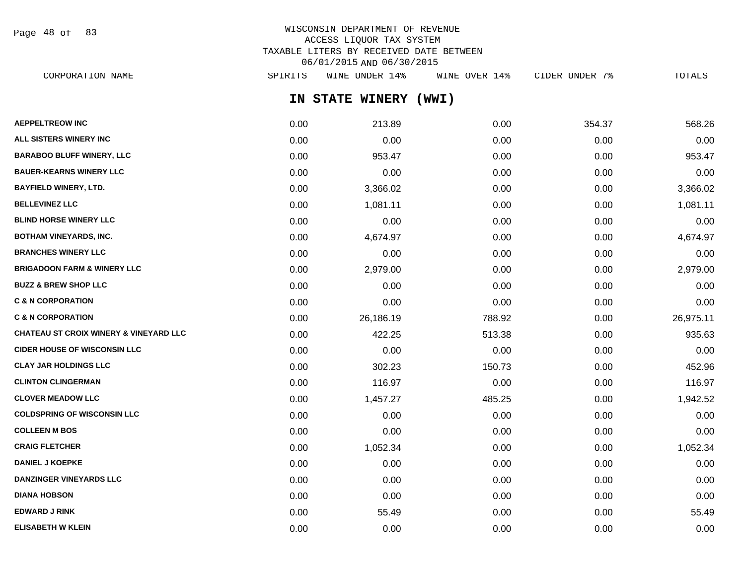Page 48 of 83

# WISCONSIN DEPARTMENT OF REVENUE ACCESS LIQUOR TAX SYSTEM TAXABLE LITERS BY RECEIVED DATE BETWEEN 06/01/2015 AND 06/30/2015

**IN STATE WINERY (WWI) AEPPELTREOW INC** 0.00 213.89 0.00 354.37 568.26 **ALL SISTERS WINERY INC** 0.00 0.00 0.00 0.00 0.00 **BARABOO BLUFF WINERY, LLC** 0.00 953.47 0.00 0.00 953.47 **BAUER-KEARNS WINERY LLC** 0.00 0.00 0.00 0.00 0.00 **BAYFIELD WINERY, LTD.** 0.00 3,366.02 0.00 0.00 3,366.02 **BELLEVINEZ LLC** 0.00 1,081.11 0.00 0.00 1,081.11 **BLIND HORSE WINERY LLC** 0.00 0.00 0.00 0.00 0.00 **BOTHAM VINEYARDS, INC.** 0.00 4,674.97 0.00 0.00 4,674.97 **BRANCHES WINERY LLC** 0.00 0.00 0.00 0.00 0.00 **BRIGADOON FARM & WINERY LLC** 0.00 2,979.00 0.00 0.00 2,979.00 **BUZZ & BREW SHOP LLC** 0.00 0.00 0.00 0.00 0.00 **C & N CORPORATION** 0.00 0.00 0.00 0.00 0.00 **C & N CORPORATION** 0.00 26,186.19 788.92 0.00 26,975.11 **CHATEAU ST CROIX WINERY & VINEYARD LLC** 0.00 422.25 513.38 0.00 935.63 **CIDER HOUSE OF WISCONSIN LLC**  $0.00$   $0.00$   $0.00$   $0.00$   $0.00$   $0.00$   $0.00$   $0.00$   $0.00$   $0.00$   $0.00$   $0.00$   $0.00$   $0.00$   $0.00$   $0.00$   $0.00$   $0.00$   $0.00$   $0.00$   $0.00$   $0.00$   $0.00$   $0.00$   $0.00$   $0.00$   $0.00$   $0$ **CLAY JAR HOLDINGS LLC** 0.00 302.23 150.73 0.00 452.96 **CLINTON CLINGERMAN** 0.00 116.97 0.00 0.00 116.97 **CLOVER MEADOW LLC** 0.00 1,457.27 485.25 0.00 1,942.52 **COLDSPRING OF WISCONSIN LLC** 0.00 0.00 0.00 0.00 0.00 **COLLEEN M BOS** 0.00 0.00 0.00 0.00 0.00 **CRAIG FLETCHER** 0.00 1,052.34 0.00 0.00 1,052.34 **DANIEL J KOEPKE** 0.00 0.00 0.00 0.00 0.00 **DANZINGER VINEYARDS LLC** 0.00 0.00 0.00 0.00 0.00 **DIANA HOBSON** 0.00 0.00 0.00 0.00 0.00 **EDWARD J RINK** 0.00 55.49 0.00 0.00 55.49 CORPORATION NAME SPIRITS WINE UNDER 14% WINE OVER 14% CIDER UNDER 7% TOTALS

**ELISABETH W KLEIN** 0.00 0.00 0.00 0.00 0.00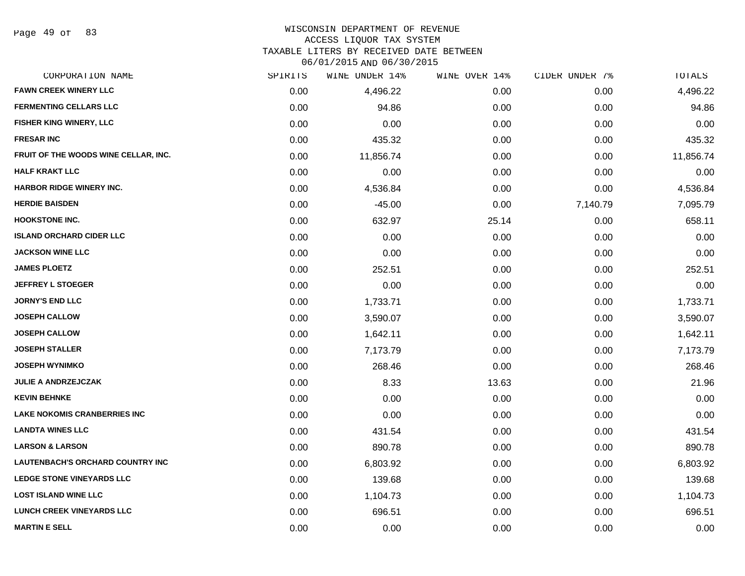#### WISCONSIN DEPARTMENT OF REVENUE

#### ACCESS LIQUOR TAX SYSTEM

TAXABLE LITERS BY RECEIVED DATE BETWEEN

06/01/2015 AND 06/30/2015

| CORPORATION NAME                        | SPIRITS | WINE UNDER 14% | WINE OVER 14% | CIDER UNDER 7% | TOTALS    |
|-----------------------------------------|---------|----------------|---------------|----------------|-----------|
| <b>FAWN CREEK WINERY LLC</b>            | 0.00    | 4,496.22       | 0.00          | 0.00           | 4,496.22  |
| <b>FERMENTING CELLARS LLC</b>           | 0.00    | 94.86          | 0.00          | 0.00           | 94.86     |
| FISHER KING WINERY, LLC                 | 0.00    | 0.00           | 0.00          | 0.00           | 0.00      |
| <b>FRESAR INC</b>                       | 0.00    | 435.32         | 0.00          | 0.00           | 435.32    |
| FRUIT OF THE WOODS WINE CELLAR, INC.    | 0.00    | 11,856.74      | 0.00          | 0.00           | 11,856.74 |
| <b>HALF KRAKT LLC</b>                   | 0.00    | 0.00           | 0.00          | 0.00           | 0.00      |
| <b>HARBOR RIDGE WINERY INC.</b>         | 0.00    | 4,536.84       | 0.00          | 0.00           | 4,536.84  |
| <b>HERDIE BAISDEN</b>                   | 0.00    | $-45.00$       | 0.00          | 7,140.79       | 7,095.79  |
| <b>HOOKSTONE INC.</b>                   | 0.00    | 632.97         | 25.14         | 0.00           | 658.11    |
| <b>ISLAND ORCHARD CIDER LLC</b>         | 0.00    | 0.00           | 0.00          | 0.00           | 0.00      |
| <b>JACKSON WINE LLC</b>                 | 0.00    | 0.00           | 0.00          | 0.00           | 0.00      |
| <b>JAMES PLOETZ</b>                     | 0.00    | 252.51         | 0.00          | 0.00           | 252.51    |
| <b>JEFFREY L STOEGER</b>                | 0.00    | 0.00           | 0.00          | 0.00           | 0.00      |
| <b>JORNY'S END LLC</b>                  | 0.00    | 1,733.71       | 0.00          | 0.00           | 1,733.71  |
| <b>JOSEPH CALLOW</b>                    | 0.00    | 3,590.07       | 0.00          | 0.00           | 3,590.07  |
| JOSEPH CALLOW                           | 0.00    | 1,642.11       | 0.00          | 0.00           | 1,642.11  |
| <b>JOSEPH STALLER</b>                   | 0.00    | 7,173.79       | 0.00          | 0.00           | 7,173.79  |
| <b>JOSEPH WYNIMKO</b>                   | 0.00    | 268.46         | 0.00          | 0.00           | 268.46    |
| JULIE A ANDRZEJCZAK                     | 0.00    | 8.33           | 13.63         | 0.00           | 21.96     |
| <b>KEVIN BEHNKE</b>                     | 0.00    | 0.00           | 0.00          | 0.00           | 0.00      |
| <b>LAKE NOKOMIS CRANBERRIES INC</b>     | 0.00    | 0.00           | 0.00          | 0.00           | 0.00      |
| <b>LANDTA WINES LLC</b>                 | 0.00    | 431.54         | 0.00          | 0.00           | 431.54    |
| <b>LARSON &amp; LARSON</b>              | 0.00    | 890.78         | 0.00          | 0.00           | 890.78    |
| <b>LAUTENBACH'S ORCHARD COUNTRY INC</b> | 0.00    | 6,803.92       | 0.00          | 0.00           | 6,803.92  |
| <b>LEDGE STONE VINEYARDS LLC</b>        | 0.00    | 139.68         | 0.00          | 0.00           | 139.68    |
| <b>LOST ISLAND WINE LLC</b>             | 0.00    | 1,104.73       | 0.00          | 0.00           | 1,104.73  |
| <b>LUNCH CREEK VINEYARDS LLC</b>        | 0.00    | 696.51         | 0.00          | 0.00           | 696.51    |
| <b>MARTIN E SELL</b>                    | 0.00    | 0.00           | 0.00          | 0.00           | 0.00      |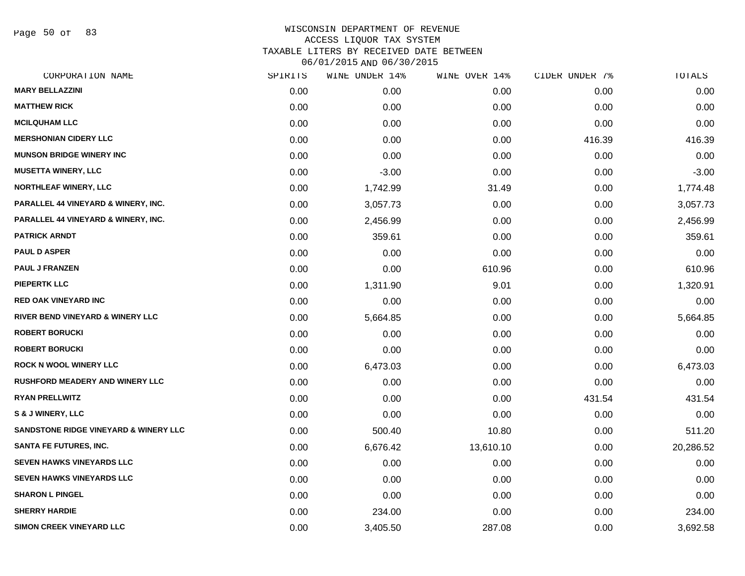Page 50 of 83

| CORPORATION NAME                                 | SPIRITS | WINE UNDER 14% | WINE OVER 14% | CIDER UNDER 7% | TOTALS    |
|--------------------------------------------------|---------|----------------|---------------|----------------|-----------|
| <b>MARY BELLAZZINI</b>                           | 0.00    | 0.00           | 0.00          | 0.00           | 0.00      |
| <b>MATTHEW RICK</b>                              | 0.00    | 0.00           | 0.00          | 0.00           | 0.00      |
| <b>MCILQUHAM LLC</b>                             | 0.00    | 0.00           | 0.00          | 0.00           | 0.00      |
| <b>MERSHONIAN CIDERY LLC</b>                     | 0.00    | 0.00           | 0.00          | 416.39         | 416.39    |
| <b>MUNSON BRIDGE WINERY INC</b>                  | 0.00    | 0.00           | 0.00          | 0.00           | 0.00      |
| <b>MUSETTA WINERY, LLC</b>                       | 0.00    | $-3.00$        | 0.00          | 0.00           | $-3.00$   |
| <b>NORTHLEAF WINERY, LLC</b>                     | 0.00    | 1,742.99       | 31.49         | 0.00           | 1,774.48  |
| PARALLEL 44 VINEYARD & WINERY, INC.              | 0.00    | 3,057.73       | 0.00          | 0.00           | 3,057.73  |
| PARALLEL 44 VINEYARD & WINERY, INC.              | 0.00    | 2,456.99       | 0.00          | 0.00           | 2,456.99  |
| <b>PATRICK ARNDT</b>                             | 0.00    | 359.61         | 0.00          | 0.00           | 359.61    |
| <b>PAUL D ASPER</b>                              | 0.00    | 0.00           | 0.00          | 0.00           | 0.00      |
| <b>PAUL J FRANZEN</b>                            | 0.00    | 0.00           | 610.96        | 0.00           | 610.96    |
| <b>PIEPERTK LLC</b>                              | 0.00    | 1,311.90       | 9.01          | 0.00           | 1,320.91  |
| RED OAK VINEYARD INC                             | 0.00    | 0.00           | 0.00          | 0.00           | 0.00      |
| RIVER BEND VINEYARD & WINERY LLC                 | 0.00    | 5,664.85       | 0.00          | 0.00           | 5,664.85  |
| <b>ROBERT BORUCKI</b>                            | 0.00    | 0.00           | 0.00          | 0.00           | 0.00      |
| <b>ROBERT BORUCKI</b>                            | 0.00    | 0.00           | 0.00          | 0.00           | 0.00      |
| <b>ROCK N WOOL WINERY LLC</b>                    | 0.00    | 6,473.03       | 0.00          | 0.00           | 6,473.03  |
| RUSHFORD MEADERY AND WINERY LLC                  | 0.00    | 0.00           | 0.00          | 0.00           | 0.00      |
| <b>RYAN PRELLWITZ</b>                            | 0.00    | 0.00           | 0.00          | 431.54         | 431.54    |
| S & J WINERY, LLC                                | 0.00    | 0.00           | 0.00          | 0.00           | 0.00      |
| <b>SANDSTONE RIDGE VINEYARD &amp; WINERY LLC</b> | 0.00    | 500.40         | 10.80         | 0.00           | 511.20    |
| <b>SANTA FE FUTURES, INC.</b>                    | 0.00    | 6,676.42       | 13,610.10     | 0.00           | 20,286.52 |
| <b>SEVEN HAWKS VINEYARDS LLC</b>                 | 0.00    | 0.00           | 0.00          | 0.00           | 0.00      |
| <b>SEVEN HAWKS VINEYARDS LLC</b>                 | 0.00    | 0.00           | 0.00          | 0.00           | 0.00      |
| <b>SHARON L PINGEL</b>                           | 0.00    | 0.00           | 0.00          | 0.00           | 0.00      |
| <b>SHERRY HARDIE</b>                             | 0.00    | 234.00         | 0.00          | 0.00           | 234.00    |
| <b>SIMON CREEK VINEYARD LLC</b>                  | 0.00    | 3,405.50       | 287.08        | 0.00           | 3,692.58  |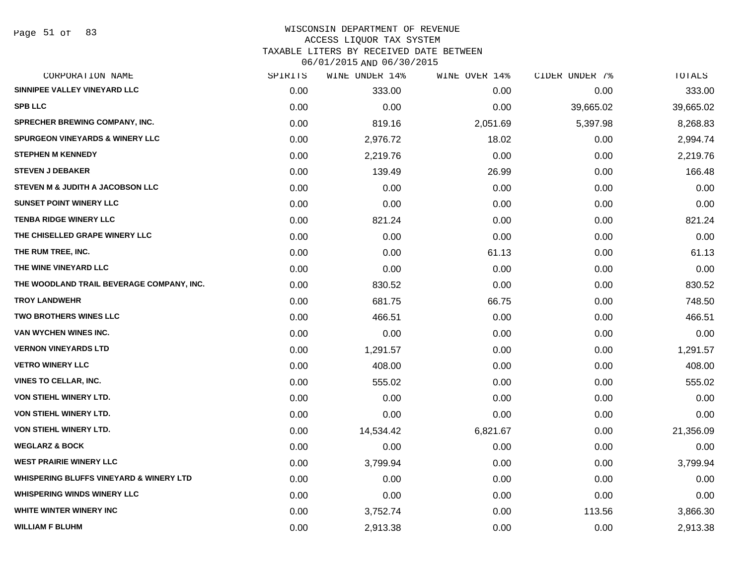#### WISCONSIN DEPARTMENT OF REVENUE ACCESS LIQUOR TAX SYSTEM TAXABLE LITERS BY RECEIVED DATE BETWEEN

06/01/2015 AND 06/30/2015

| CORPORATION NAME                                   | SPIRITS | WINE UNDER 14% | WINE OVER 14% | CIDER UNDER 7% | TOTALS    |
|----------------------------------------------------|---------|----------------|---------------|----------------|-----------|
| SINNIPEE VALLEY VINEYARD LLC                       | 0.00    | 333.00         | 0.00          | 0.00           | 333.00    |
| <b>SPB LLC</b>                                     | 0.00    | 0.00           | 0.00          | 39,665.02      | 39,665.02 |
| <b>SPRECHER BREWING COMPANY, INC.</b>              | 0.00    | 819.16         | 2,051.69      | 5,397.98       | 8,268.83  |
| <b>SPURGEON VINEYARDS &amp; WINERY LLC</b>         | 0.00    | 2,976.72       | 18.02         | 0.00           | 2,994.74  |
| <b>STEPHEN M KENNEDY</b>                           | 0.00    | 2,219.76       | 0.00          | 0.00           | 2,219.76  |
| <b>STEVEN J DEBAKER</b>                            | 0.00    | 139.49         | 26.99         | 0.00           | 166.48    |
| STEVEN M & JUDITH A JACOBSON LLC                   | 0.00    | 0.00           | 0.00          | 0.00           | 0.00      |
| <b>SUNSET POINT WINERY LLC</b>                     | 0.00    | 0.00           | 0.00          | 0.00           | 0.00      |
| <b>TENBA RIDGE WINERY LLC</b>                      | 0.00    | 821.24         | 0.00          | 0.00           | 821.24    |
| THE CHISELLED GRAPE WINERY LLC                     | 0.00    | 0.00           | 0.00          | 0.00           | 0.00      |
| THE RUM TREE, INC.                                 | 0.00    | 0.00           | 61.13         | 0.00           | 61.13     |
| THE WINE VINEYARD LLC                              | 0.00    | 0.00           | 0.00          | 0.00           | 0.00      |
| THE WOODLAND TRAIL BEVERAGE COMPANY, INC.          | 0.00    | 830.52         | 0.00          | 0.00           | 830.52    |
| <b>TROY LANDWEHR</b>                               | 0.00    | 681.75         | 66.75         | 0.00           | 748.50    |
| <b>TWO BROTHERS WINES LLC</b>                      | 0.00    | 466.51         | 0.00          | 0.00           | 466.51    |
| VAN WYCHEN WINES INC.                              | 0.00    | 0.00           | 0.00          | 0.00           | 0.00      |
| <b>VERNON VINEYARDS LTD</b>                        | 0.00    | 1,291.57       | 0.00          | 0.00           | 1,291.57  |
| <b>VETRO WINERY LLC</b>                            | 0.00    | 408.00         | 0.00          | 0.00           | 408.00    |
| VINES TO CELLAR, INC.                              | 0.00    | 555.02         | 0.00          | 0.00           | 555.02    |
| <b>VON STIEHL WINERY LTD.</b>                      | 0.00    | 0.00           | 0.00          | 0.00           | 0.00      |
| VON STIEHL WINERY LTD.                             | 0.00    | 0.00           | 0.00          | 0.00           | 0.00      |
| VON STIEHL WINERY LTD.                             | 0.00    | 14,534.42      | 6,821.67      | 0.00           | 21,356.09 |
| <b>WEGLARZ &amp; BOCK</b>                          | 0.00    | 0.00           | 0.00          | 0.00           | 0.00      |
| <b>WEST PRAIRIE WINERY LLC</b>                     | 0.00    | 3,799.94       | 0.00          | 0.00           | 3,799.94  |
| <b>WHISPERING BLUFFS VINEYARD &amp; WINERY LTD</b> | 0.00    | 0.00           | 0.00          | 0.00           | 0.00      |
| <b>WHISPERING WINDS WINERY LLC</b>                 | 0.00    | 0.00           | 0.00          | 0.00           | 0.00      |
| WHITE WINTER WINERY INC                            | 0.00    | 3,752.74       | 0.00          | 113.56         | 3,866.30  |
| <b>WILLIAM F BLUHM</b>                             | 0.00    | 2,913.38       | 0.00          | 0.00           | 2,913.38  |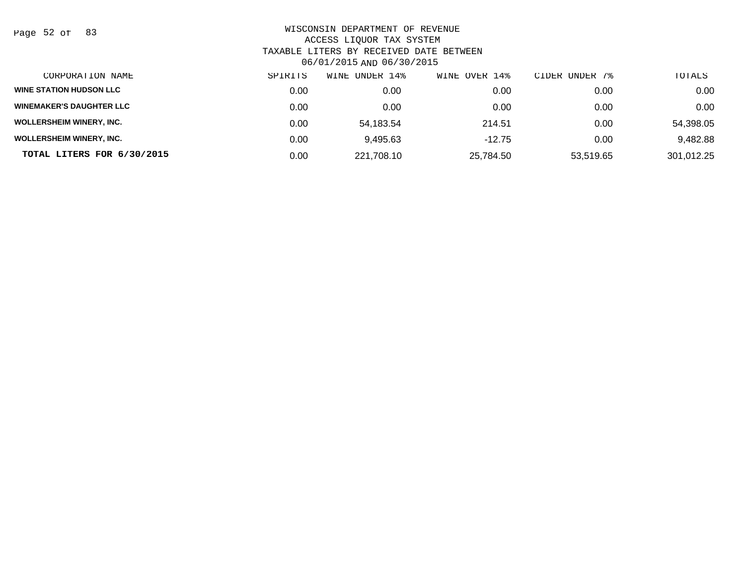Page 52 of 83

| CORPORATION NAME                | SPIRITS | WINE UNDER 14% | WINE OVER 14% | CIDER UNDER 7% | TOTALS     |
|---------------------------------|---------|----------------|---------------|----------------|------------|
| <b>WINE STATION HUDSON LLC</b>  | 0.00    | 0.00           | 0.00          | 0.00           | 0.00       |
| <b>WINEMAKER'S DAUGHTER LLC</b> | 0.00    | 0.00           | 0.00          | 0.00           | 0.00       |
| <b>WOLLERSHEIM WINERY, INC.</b> | 0.00    | 54.183.54      | 214.51        | 0.00           | 54,398.05  |
| <b>WOLLERSHEIM WINERY, INC.</b> | 0.00    | 9,495.63       | $-12.75$      | 0.00           | 9,482.88   |
| TOTAL LITERS FOR 6/30/2015      | 0.00    | 221,708.10     | 25,784.50     | 53,519.65      | 301,012.25 |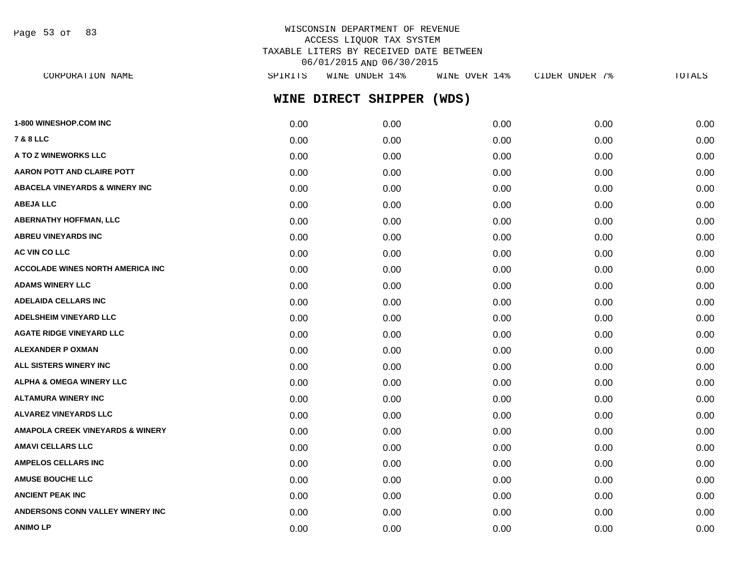Page 53 of 83

# WISCONSIN DEPARTMENT OF REVENUE ACCESS LIQUOR TAX SYSTEM TAXABLE LITERS BY RECEIVED DATE BETWEEN 06/01/2015 AND 06/30/2015

**WINE DIRECT SHIPPER (WDS) 1-800 WINESHOP.COM INC** 0.00 0.00 0.00 0.00 0.00 **7 & 8 LLC** 0.00 0.00 0.00 0.00 0.00 **A TO Z WINEWORKS LLC** 0.00 0.00 0.00 0.00 0.00 **AARON POTT AND CLAIRE POTT**  $0.00$   $0.00$   $0.00$   $0.00$   $0.00$   $0.00$   $0.00$   $0.00$   $0.00$   $0.00$   $0.00$   $0.00$   $0.00$ **ABACELA VINEYARDS & WINERY INC** 0.00 0.00 0.00 0.00 0.00 **ABEJA LLC** 0.00 0.00 0.00 0.00 0.00 **ABERNATHY HOFFMAN, LLC** 0.00 0.00 0.00 0.00 0.00 **ABREU VINEYARDS INC** 0.00 0.00 0.00 0.00 0.00 **AC VIN CO LLC** 0.00 0.00 0.00 0.00 0.00 **ACCOLADE WINES NORTH AMERICA INC**  $0.00$   $0.00$   $0.00$   $0.00$   $0.00$   $0.00$   $0.00$   $0.00$   $0.00$   $0.00$   $0.00$   $0.00$ **ADAMS WINERY LLC** 0.00 0.00 0.00 0.00 0.00 **ADELAIDA CELLARS INC** 0.00 0.00 0.00 0.00 0.00 **ADELSHEIM VINEYARD LLC** 0.00 0.00 0.00 0.00 0.00 **AGATE RIDGE VINEYARD LLC** 0.00 0.00 0.00 0.00 0.00 **ALEXANDER P OXMAN** 0.00 0.00 0.00 0.00 0.00 **ALL SISTERS WINERY INC** 0.00 0.00 0.00 0.00 0.00 **ALPHA & OMEGA WINERY LLC**  $\begin{array}{ccc} 0.00 & 0.00 & 0.00 & 0.00 & 0.00 & 0.00 \end{array}$ **ALTAMURA WINERY INC** 0.00 0.00 0.00 0.00 0.00 **ALVAREZ VINEYARDS LLC** 0.00 0.00 0.00 0.00 0.00 **AMAPOLA CREEK VINEYARDS & WINERY** 0.00 0.00 0.00 0.00 0.00 **AMAVI CELLARS LLC** 0.00 0.00 0.00 0.00 0.00 **AMPELOS CELLARS INC** 0.00 0.00 0.00 0.00 0.00 **AMUSE BOUCHE LLC** 0.00 0.00 0.00 0.00 0.00 **ANCIENT PEAK INC** 0.00 0.00 0.00 0.00 0.00 **ANDERSONS CONN VALLEY WINERY INC** 0.00 0.00 0.00 0.00 0.00 CORPORATION NAME SPIRITS WINE UNDER 14% WINE OVER 14% CIDER UNDER 7% TOTALS

**ANIMO LP** 0.00 0.00 0.00 0.00 0.00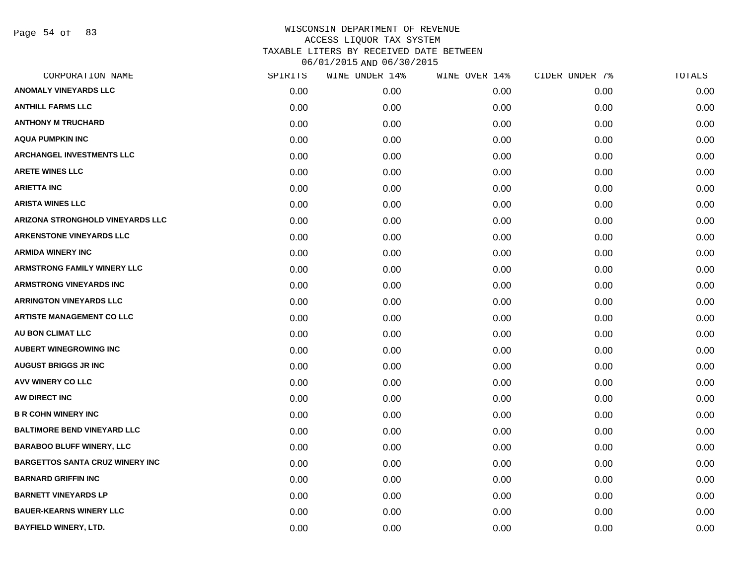Page 54 of 83

| CORPORATION NAME                       | SPIRITS | WINE UNDER 14% | WINE OVER 14% | CIDER UNDER 7% | TOTALS |
|----------------------------------------|---------|----------------|---------------|----------------|--------|
| <b>ANOMALY VINEYARDS LLC</b>           | 0.00    | 0.00           | 0.00          | 0.00           | 0.00   |
| <b>ANTHILL FARMS LLC</b>               | 0.00    | 0.00           | 0.00          | 0.00           | 0.00   |
| <b>ANTHONY M TRUCHARD</b>              | 0.00    | 0.00           | 0.00          | 0.00           | 0.00   |
| <b>AQUA PUMPKIN INC</b>                | 0.00    | 0.00           | 0.00          | 0.00           | 0.00   |
| <b>ARCHANGEL INVESTMENTS LLC</b>       | 0.00    | 0.00           | 0.00          | 0.00           | 0.00   |
| <b>ARETE WINES LLC</b>                 | 0.00    | 0.00           | 0.00          | 0.00           | 0.00   |
| <b>ARIETTA INC</b>                     | 0.00    | 0.00           | 0.00          | 0.00           | 0.00   |
| <b>ARISTA WINES LLC</b>                | 0.00    | 0.00           | 0.00          | 0.00           | 0.00   |
| ARIZONA STRONGHOLD VINEYARDS LLC       | 0.00    | 0.00           | 0.00          | 0.00           | 0.00   |
| <b>ARKENSTONE VINEYARDS LLC</b>        | 0.00    | 0.00           | 0.00          | 0.00           | 0.00   |
| <b>ARMIDA WINERY INC</b>               | 0.00    | 0.00           | 0.00          | 0.00           | 0.00   |
| <b>ARMSTRONG FAMILY WINERY LLC</b>     | 0.00    | 0.00           | 0.00          | 0.00           | 0.00   |
| <b>ARMSTRONG VINEYARDS INC</b>         | 0.00    | 0.00           | 0.00          | 0.00           | 0.00   |
| <b>ARRINGTON VINEYARDS LLC</b>         | 0.00    | 0.00           | 0.00          | 0.00           | 0.00   |
| <b>ARTISTE MANAGEMENT CO LLC</b>       | 0.00    | 0.00           | 0.00          | 0.00           | 0.00   |
| AU BON CLIMAT LLC                      | 0.00    | 0.00           | 0.00          | 0.00           | 0.00   |
| <b>AUBERT WINEGROWING INC</b>          | 0.00    | 0.00           | 0.00          | 0.00           | 0.00   |
| <b>AUGUST BRIGGS JR INC</b>            | 0.00    | 0.00           | 0.00          | 0.00           | 0.00   |
| AVV WINERY CO LLC                      | 0.00    | 0.00           | 0.00          | 0.00           | 0.00   |
| AW DIRECT INC                          | 0.00    | 0.00           | 0.00          | 0.00           | 0.00   |
| <b>B R COHN WINERY INC</b>             | 0.00    | 0.00           | 0.00          | 0.00           | 0.00   |
| <b>BALTIMORE BEND VINEYARD LLC</b>     | 0.00    | 0.00           | 0.00          | 0.00           | 0.00   |
| <b>BARABOO BLUFF WINERY, LLC</b>       | 0.00    | 0.00           | 0.00          | 0.00           | 0.00   |
| <b>BARGETTOS SANTA CRUZ WINERY INC</b> | 0.00    | 0.00           | 0.00          | 0.00           | 0.00   |
| <b>BARNARD GRIFFIN INC</b>             | 0.00    | 0.00           | 0.00          | 0.00           | 0.00   |
| <b>BARNETT VINEYARDS LP</b>            | 0.00    | 0.00           | 0.00          | 0.00           | 0.00   |
| <b>BAUER-KEARNS WINERY LLC</b>         | 0.00    | 0.00           | 0.00          | 0.00           | 0.00   |
| <b>BAYFIELD WINERY, LTD.</b>           | 0.00    | 0.00           | 0.00          | 0.00           | 0.00   |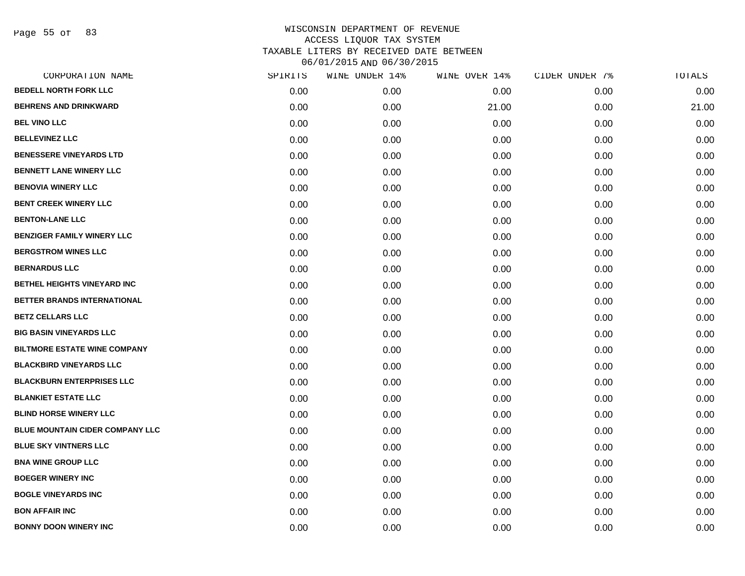Page 55 of 83

| CORPORATION NAME                       | SPIRITS | WINE UNDER 14% | WINE OVER 14% | CIDER UNDER 7% | TOTALS |
|----------------------------------------|---------|----------------|---------------|----------------|--------|
| <b>BEDELL NORTH FORK LLC</b>           | 0.00    | 0.00           | 0.00          | 0.00           | 0.00   |
| <b>BEHRENS AND DRINKWARD</b>           | 0.00    | 0.00           | 21.00         | 0.00           | 21.00  |
| <b>BEL VINO LLC</b>                    | 0.00    | 0.00           | 0.00          | 0.00           | 0.00   |
| <b>BELLEVINEZ LLC</b>                  | 0.00    | 0.00           | 0.00          | 0.00           | 0.00   |
| <b>BENESSERE VINEYARDS LTD</b>         | 0.00    | 0.00           | 0.00          | 0.00           | 0.00   |
| <b>BENNETT LANE WINERY LLC</b>         | 0.00    | 0.00           | 0.00          | 0.00           | 0.00   |
| <b>BENOVIA WINERY LLC</b>              | 0.00    | 0.00           | 0.00          | 0.00           | 0.00   |
| <b>BENT CREEK WINERY LLC</b>           | 0.00    | 0.00           | 0.00          | 0.00           | 0.00   |
| <b>BENTON-LANE LLC</b>                 | 0.00    | 0.00           | 0.00          | 0.00           | 0.00   |
| <b>BENZIGER FAMILY WINERY LLC</b>      | 0.00    | 0.00           | 0.00          | 0.00           | 0.00   |
| <b>BERGSTROM WINES LLC</b>             | 0.00    | 0.00           | 0.00          | 0.00           | 0.00   |
| <b>BERNARDUS LLC</b>                   | 0.00    | 0.00           | 0.00          | 0.00           | 0.00   |
| BETHEL HEIGHTS VINEYARD INC            | 0.00    | 0.00           | 0.00          | 0.00           | 0.00   |
| BETTER BRANDS INTERNATIONAL            | 0.00    | 0.00           | 0.00          | 0.00           | 0.00   |
| <b>BETZ CELLARS LLC</b>                | 0.00    | 0.00           | 0.00          | 0.00           | 0.00   |
| <b>BIG BASIN VINEYARDS LLC</b>         | 0.00    | 0.00           | 0.00          | 0.00           | 0.00   |
| <b>BILTMORE ESTATE WINE COMPANY</b>    | 0.00    | 0.00           | 0.00          | 0.00           | 0.00   |
| <b>BLACKBIRD VINEYARDS LLC</b>         | 0.00    | 0.00           | 0.00          | 0.00           | 0.00   |
| <b>BLACKBURN ENTERPRISES LLC</b>       | 0.00    | 0.00           | 0.00          | 0.00           | 0.00   |
| <b>BLANKIET ESTATE LLC</b>             | 0.00    | 0.00           | 0.00          | 0.00           | 0.00   |
| <b>BLIND HORSE WINERY LLC</b>          | 0.00    | 0.00           | 0.00          | 0.00           | 0.00   |
| <b>BLUE MOUNTAIN CIDER COMPANY LLC</b> | 0.00    | 0.00           | 0.00          | 0.00           | 0.00   |
| <b>BLUE SKY VINTNERS LLC</b>           | 0.00    | 0.00           | 0.00          | 0.00           | 0.00   |
| <b>BNA WINE GROUP LLC</b>              | 0.00    | 0.00           | 0.00          | 0.00           | 0.00   |
| <b>BOEGER WINERY INC</b>               | 0.00    | 0.00           | 0.00          | 0.00           | 0.00   |
| <b>BOGLE VINEYARDS INC</b>             | 0.00    | 0.00           | 0.00          | 0.00           | 0.00   |
| <b>BON AFFAIR INC</b>                  | 0.00    | 0.00           | 0.00          | 0.00           | 0.00   |
| <b>BONNY DOON WINERY INC</b>           | 0.00    | 0.00           | 0.00          | 0.00           | 0.00   |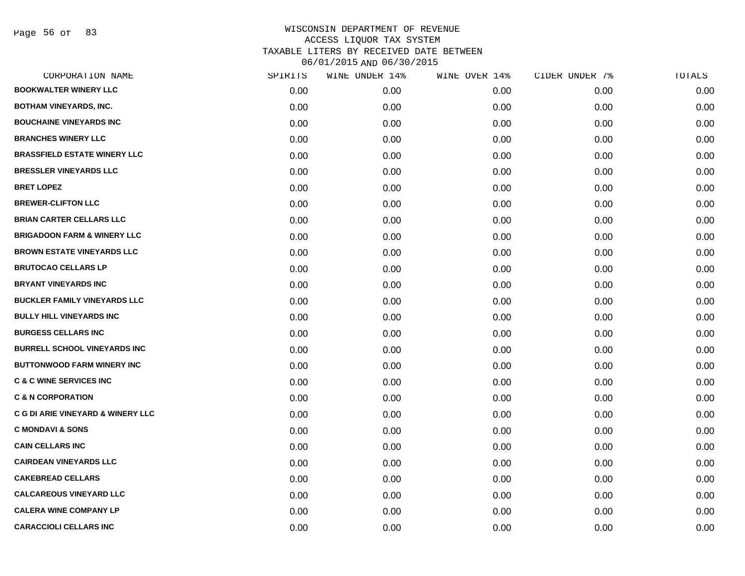Page 56 of 83

| CORPORATION NAME                             | SPIRITS | WINE UNDER 14% | WINE OVER 14% | CIDER UNDER 7% | TOTALS |
|----------------------------------------------|---------|----------------|---------------|----------------|--------|
| <b>BOOKWALTER WINERY LLC</b>                 | 0.00    | 0.00           | 0.00          | 0.00           | 0.00   |
| <b>BOTHAM VINEYARDS, INC.</b>                | 0.00    | 0.00           | 0.00          | 0.00           | 0.00   |
| <b>BOUCHAINE VINEYARDS INC</b>               | 0.00    | 0.00           | 0.00          | 0.00           | 0.00   |
| <b>BRANCHES WINERY LLC</b>                   | 0.00    | 0.00           | 0.00          | 0.00           | 0.00   |
| <b>BRASSFIELD ESTATE WINERY LLC</b>          | 0.00    | 0.00           | 0.00          | 0.00           | 0.00   |
| <b>BRESSLER VINEYARDS LLC</b>                | 0.00    | 0.00           | 0.00          | 0.00           | 0.00   |
| <b>BRET LOPEZ</b>                            | 0.00    | 0.00           | 0.00          | 0.00           | 0.00   |
| <b>BREWER-CLIFTON LLC</b>                    | 0.00    | 0.00           | 0.00          | 0.00           | 0.00   |
| <b>BRIAN CARTER CELLARS LLC</b>              | 0.00    | 0.00           | 0.00          | 0.00           | 0.00   |
| <b>BRIGADOON FARM &amp; WINERY LLC</b>       | 0.00    | 0.00           | 0.00          | 0.00           | 0.00   |
| <b>BROWN ESTATE VINEYARDS LLC</b>            | 0.00    | 0.00           | 0.00          | 0.00           | 0.00   |
| <b>BRUTOCAO CELLARS LP</b>                   | 0.00    | 0.00           | 0.00          | 0.00           | 0.00   |
| <b>BRYANT VINEYARDS INC</b>                  | 0.00    | 0.00           | 0.00          | 0.00           | 0.00   |
| <b>BUCKLER FAMILY VINEYARDS LLC</b>          | 0.00    | 0.00           | 0.00          | 0.00           | 0.00   |
| <b>BULLY HILL VINEYARDS INC</b>              | 0.00    | 0.00           | 0.00          | 0.00           | 0.00   |
| <b>BURGESS CELLARS INC</b>                   | 0.00    | 0.00           | 0.00          | 0.00           | 0.00   |
| <b>BURRELL SCHOOL VINEYARDS INC</b>          | 0.00    | 0.00           | 0.00          | 0.00           | 0.00   |
| BUTTONWOOD FARM WINERY INC                   | 0.00    | 0.00           | 0.00          | 0.00           | 0.00   |
| <b>C &amp; C WINE SERVICES INC</b>           | 0.00    | 0.00           | 0.00          | 0.00           | 0.00   |
| <b>C &amp; N CORPORATION</b>                 | 0.00    | 0.00           | 0.00          | 0.00           | 0.00   |
| <b>C G DI ARIE VINEYARD &amp; WINERY LLC</b> | 0.00    | 0.00           | 0.00          | 0.00           | 0.00   |
| <b>C MONDAVI &amp; SONS</b>                  | 0.00    | 0.00           | 0.00          | 0.00           | 0.00   |
| <b>CAIN CELLARS INC</b>                      | 0.00    | 0.00           | 0.00          | 0.00           | 0.00   |
| <b>CAIRDEAN VINEYARDS LLC</b>                | 0.00    | 0.00           | 0.00          | 0.00           | 0.00   |
| <b>CAKEBREAD CELLARS</b>                     | 0.00    | 0.00           | 0.00          | 0.00           | 0.00   |
| <b>CALCAREOUS VINEYARD LLC</b>               | 0.00    | 0.00           | 0.00          | 0.00           | 0.00   |
| <b>CALERA WINE COMPANY LP</b>                | 0.00    | 0.00           | 0.00          | 0.00           | 0.00   |
| <b>CARACCIOLI CELLARS INC</b>                | 0.00    | 0.00           | 0.00          | 0.00           | 0.00   |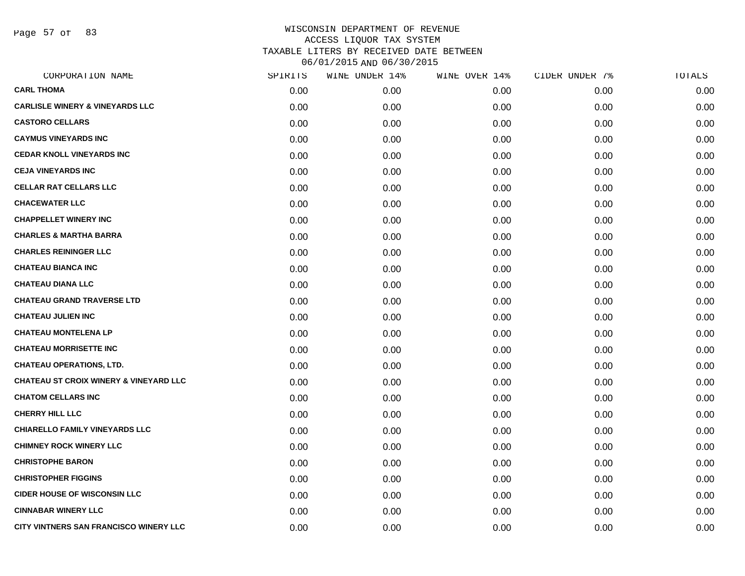Page 57 of 83

| CORPORATION NAME                                  | SPIRITS | WINE UNDER 14% | WINE OVER 14% | CIDER UNDER 7% | TOTALS |
|---------------------------------------------------|---------|----------------|---------------|----------------|--------|
| <b>CARL THOMA</b>                                 | 0.00    | 0.00           | 0.00          | 0.00           | 0.00   |
| <b>CARLISLE WINERY &amp; VINEYARDS LLC</b>        | 0.00    | 0.00           | 0.00          | 0.00           | 0.00   |
| <b>CASTORO CELLARS</b>                            | 0.00    | 0.00           | 0.00          | 0.00           | 0.00   |
| <b>CAYMUS VINEYARDS INC</b>                       | 0.00    | 0.00           | 0.00          | 0.00           | 0.00   |
| <b>CEDAR KNOLL VINEYARDS INC</b>                  | 0.00    | 0.00           | 0.00          | 0.00           | 0.00   |
| <b>CEJA VINEYARDS INC</b>                         | 0.00    | 0.00           | 0.00          | 0.00           | 0.00   |
| <b>CELLAR RAT CELLARS LLC</b>                     | 0.00    | 0.00           | 0.00          | 0.00           | 0.00   |
| <b>CHACEWATER LLC</b>                             | 0.00    | 0.00           | 0.00          | 0.00           | 0.00   |
| <b>CHAPPELLET WINERY INC</b>                      | 0.00    | 0.00           | 0.00          | 0.00           | 0.00   |
| <b>CHARLES &amp; MARTHA BARRA</b>                 | 0.00    | 0.00           | 0.00          | 0.00           | 0.00   |
| <b>CHARLES REININGER LLC</b>                      | 0.00    | 0.00           | 0.00          | 0.00           | 0.00   |
| <b>CHATEAU BIANCA INC</b>                         | 0.00    | 0.00           | 0.00          | 0.00           | 0.00   |
| <b>CHATEAU DIANA LLC</b>                          | 0.00    | 0.00           | 0.00          | 0.00           | 0.00   |
| <b>CHATEAU GRAND TRAVERSE LTD</b>                 | 0.00    | 0.00           | 0.00          | 0.00           | 0.00   |
| <b>CHATEAU JULIEN INC</b>                         | 0.00    | 0.00           | 0.00          | 0.00           | 0.00   |
| <b>CHATEAU MONTELENA LP</b>                       | 0.00    | 0.00           | 0.00          | 0.00           | 0.00   |
| <b>CHATEAU MORRISETTE INC</b>                     | 0.00    | 0.00           | 0.00          | 0.00           | 0.00   |
| <b>CHATEAU OPERATIONS, LTD.</b>                   | 0.00    | 0.00           | 0.00          | 0.00           | 0.00   |
| <b>CHATEAU ST CROIX WINERY &amp; VINEYARD LLC</b> | 0.00    | 0.00           | 0.00          | 0.00           | 0.00   |
| <b>CHATOM CELLARS INC</b>                         | 0.00    | 0.00           | 0.00          | 0.00           | 0.00   |
| <b>CHERRY HILL LLC</b>                            | 0.00    | 0.00           | 0.00          | 0.00           | 0.00   |
| <b>CHIARELLO FAMILY VINEYARDS LLC</b>             | 0.00    | 0.00           | 0.00          | 0.00           | 0.00   |
| <b>CHIMNEY ROCK WINERY LLC</b>                    | 0.00    | 0.00           | 0.00          | 0.00           | 0.00   |
| <b>CHRISTOPHE BARON</b>                           | 0.00    | 0.00           | 0.00          | 0.00           | 0.00   |
| <b>CHRISTOPHER FIGGINS</b>                        | 0.00    | 0.00           | 0.00          | 0.00           | 0.00   |
| <b>CIDER HOUSE OF WISCONSIN LLC</b>               | 0.00    | 0.00           | 0.00          | 0.00           | 0.00   |
| <b>CINNABAR WINERY LLC</b>                        | 0.00    | 0.00           | 0.00          | 0.00           | 0.00   |
| CITY VINTNERS SAN FRANCISCO WINERY LLC            | 0.00    | 0.00           | 0.00          | 0.00           | 0.00   |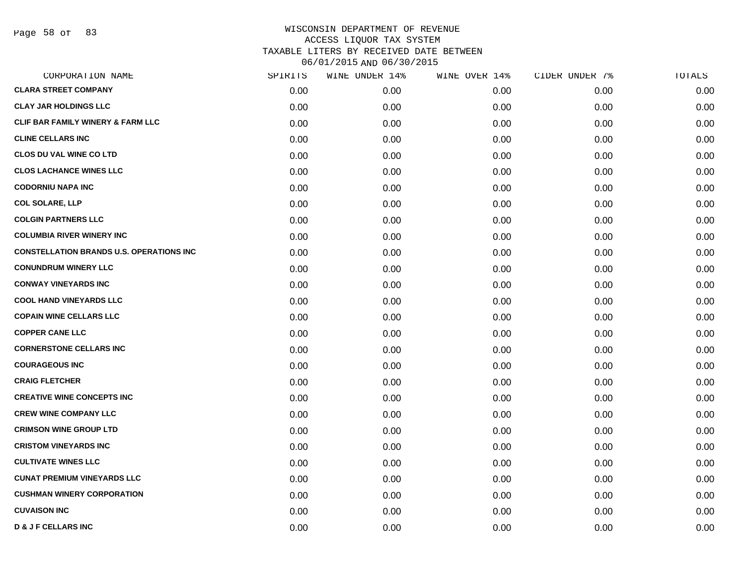Page 58 of 83

| CORPORATION NAME                                | SPIRITS | WINE UNDER 14% | WINE OVER 14% | CIDER UNDER 7% | TOTALS |
|-------------------------------------------------|---------|----------------|---------------|----------------|--------|
| <b>CLARA STREET COMPANY</b>                     | 0.00    | 0.00           | 0.00          | 0.00           | 0.00   |
| <b>CLAY JAR HOLDINGS LLC</b>                    | 0.00    | 0.00           | 0.00          | 0.00           | 0.00   |
| CLIF BAR FAMILY WINERY & FARM LLC               | 0.00    | 0.00           | 0.00          | 0.00           | 0.00   |
| <b>CLINE CELLARS INC</b>                        | 0.00    | 0.00           | 0.00          | 0.00           | 0.00   |
| <b>CLOS DU VAL WINE CO LTD</b>                  | 0.00    | 0.00           | 0.00          | 0.00           | 0.00   |
| <b>CLOS LACHANCE WINES LLC</b>                  | 0.00    | 0.00           | 0.00          | 0.00           | 0.00   |
| <b>CODORNIU NAPA INC</b>                        | 0.00    | 0.00           | 0.00          | 0.00           | 0.00   |
| <b>COL SOLARE, LLP</b>                          | 0.00    | 0.00           | 0.00          | 0.00           | 0.00   |
| <b>COLGIN PARTNERS LLC</b>                      | 0.00    | 0.00           | 0.00          | 0.00           | 0.00   |
| <b>COLUMBIA RIVER WINERY INC</b>                | 0.00    | 0.00           | 0.00          | 0.00           | 0.00   |
| <b>CONSTELLATION BRANDS U.S. OPERATIONS INC</b> | 0.00    | 0.00           | 0.00          | 0.00           | 0.00   |
| <b>CONUNDRUM WINERY LLC</b>                     | 0.00    | 0.00           | 0.00          | 0.00           | 0.00   |
| <b>CONWAY VINEYARDS INC</b>                     | 0.00    | 0.00           | 0.00          | 0.00           | 0.00   |
| <b>COOL HAND VINEYARDS LLC</b>                  | 0.00    | 0.00           | 0.00          | 0.00           | 0.00   |
| <b>COPAIN WINE CELLARS LLC</b>                  | 0.00    | 0.00           | 0.00          | 0.00           | 0.00   |
| <b>COPPER CANE LLC</b>                          | 0.00    | 0.00           | 0.00          | 0.00           | 0.00   |
| <b>CORNERSTONE CELLARS INC</b>                  | 0.00    | 0.00           | 0.00          | 0.00           | 0.00   |
| <b>COURAGEOUS INC</b>                           | 0.00    | 0.00           | 0.00          | 0.00           | 0.00   |
| <b>CRAIG FLETCHER</b>                           | 0.00    | 0.00           | 0.00          | 0.00           | 0.00   |
| <b>CREATIVE WINE CONCEPTS INC</b>               | 0.00    | 0.00           | 0.00          | 0.00           | 0.00   |
| <b>CREW WINE COMPANY LLC</b>                    | 0.00    | 0.00           | 0.00          | 0.00           | 0.00   |
| <b>CRIMSON WINE GROUP LTD</b>                   | 0.00    | 0.00           | 0.00          | 0.00           | 0.00   |
| <b>CRISTOM VINEYARDS INC</b>                    | 0.00    | 0.00           | 0.00          | 0.00           | 0.00   |
| <b>CULTIVATE WINES LLC</b>                      | 0.00    | 0.00           | 0.00          | 0.00           | 0.00   |
| <b>CUNAT PREMIUM VINEYARDS LLC</b>              | 0.00    | 0.00           | 0.00          | 0.00           | 0.00   |
| <b>CUSHMAN WINERY CORPORATION</b>               | 0.00    | 0.00           | 0.00          | 0.00           | 0.00   |
| <b>CUVAISON INC</b>                             | 0.00    | 0.00           | 0.00          | 0.00           | 0.00   |
| <b>D &amp; J F CELLARS INC</b>                  | 0.00    | 0.00           | 0.00          | 0.00           | 0.00   |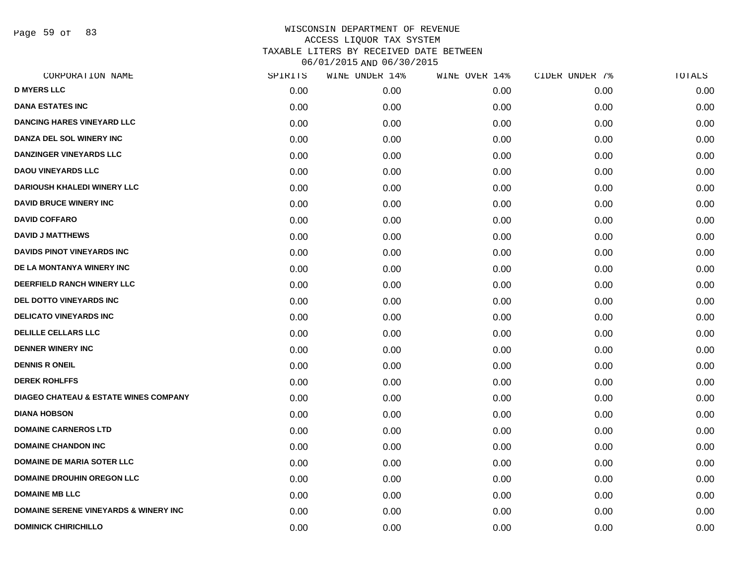Page 59 of 83

|      | WINE UNDER 14% | WINE OVER 14% |      | TOTALS         |
|------|----------------|---------------|------|----------------|
| 0.00 | 0.00           | 0.00          | 0.00 | 0.00           |
| 0.00 | 0.00           | 0.00          | 0.00 | 0.00           |
| 0.00 | 0.00           | 0.00          | 0.00 | 0.00           |
| 0.00 | 0.00           | 0.00          | 0.00 | 0.00           |
| 0.00 | 0.00           | 0.00          | 0.00 | 0.00           |
| 0.00 | 0.00           | 0.00          | 0.00 | 0.00           |
| 0.00 | 0.00           | 0.00          | 0.00 | 0.00           |
| 0.00 | 0.00           | 0.00          | 0.00 | 0.00           |
| 0.00 | 0.00           | 0.00          | 0.00 | 0.00           |
| 0.00 | 0.00           | 0.00          | 0.00 | 0.00           |
| 0.00 | 0.00           | 0.00          | 0.00 | 0.00           |
| 0.00 | 0.00           | 0.00          | 0.00 | 0.00           |
| 0.00 | 0.00           | 0.00          | 0.00 | 0.00           |
| 0.00 | 0.00           | 0.00          | 0.00 | 0.00           |
| 0.00 | 0.00           | 0.00          | 0.00 | 0.00           |
| 0.00 | 0.00           | 0.00          | 0.00 | 0.00           |
| 0.00 | 0.00           | 0.00          | 0.00 | 0.00           |
| 0.00 | 0.00           | 0.00          | 0.00 | 0.00           |
| 0.00 | 0.00           | 0.00          | 0.00 | 0.00           |
| 0.00 | 0.00           | 0.00          | 0.00 | 0.00           |
| 0.00 | 0.00           | 0.00          | 0.00 | 0.00           |
| 0.00 | 0.00           | 0.00          | 0.00 | 0.00           |
| 0.00 | 0.00           | 0.00          | 0.00 | 0.00           |
| 0.00 | 0.00           | 0.00          | 0.00 | 0.00           |
| 0.00 | 0.00           | 0.00          | 0.00 | 0.00           |
| 0.00 | 0.00           | 0.00          | 0.00 | 0.00           |
| 0.00 | 0.00           | 0.00          | 0.00 | 0.00           |
| 0.00 | 0.00           | 0.00          | 0.00 | 0.00           |
|      | SPIRITS        |               |      | CIDER UNDER 7% |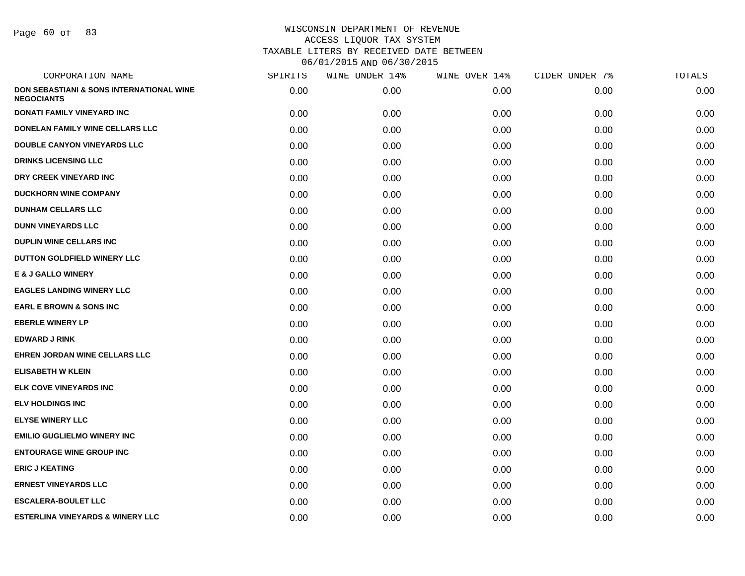| CORPORATION NAME                                                         | SPIRITS | WINE UNDER 14% | WINE OVER 14% | CIDER UNDER 7% | TOTALS |
|--------------------------------------------------------------------------|---------|----------------|---------------|----------------|--------|
| <b>DON SEBASTIANI &amp; SONS INTERNATIONAL WINE</b><br><b>NEGOCIANTS</b> | 0.00    | 0.00           | 0.00          | 0.00           | 0.00   |
| DONATI FAMILY VINEYARD INC                                               | 0.00    | 0.00           | 0.00          | 0.00           | 0.00   |
| <b>DONELAN FAMILY WINE CELLARS LLC</b>                                   | 0.00    | 0.00           | 0.00          | 0.00           | 0.00   |
| <b>DOUBLE CANYON VINEYARDS LLC</b>                                       | 0.00    | 0.00           | 0.00          | 0.00           | 0.00   |
| <b>DRINKS LICENSING LLC</b>                                              | 0.00    | 0.00           | 0.00          | 0.00           | 0.00   |
| DRY CREEK VINEYARD INC                                                   | 0.00    | 0.00           | 0.00          | 0.00           | 0.00   |
| <b>DUCKHORN WINE COMPANY</b>                                             | 0.00    | 0.00           | 0.00          | 0.00           | 0.00   |
| <b>DUNHAM CELLARS LLC</b>                                                | 0.00    | 0.00           | 0.00          | 0.00           | 0.00   |
| <b>DUNN VINEYARDS LLC</b>                                                | 0.00    | 0.00           | 0.00          | 0.00           | 0.00   |
| <b>DUPLIN WINE CELLARS INC</b>                                           | 0.00    | 0.00           | 0.00          | 0.00           | 0.00   |
| DUTTON GOLDFIELD WINERY LLC                                              | 0.00    | 0.00           | 0.00          | 0.00           | 0.00   |
| <b>E &amp; J GALLO WINERY</b>                                            | 0.00    | 0.00           | 0.00          | 0.00           | 0.00   |
| <b>EAGLES LANDING WINERY LLC</b>                                         | 0.00    | 0.00           | 0.00          | 0.00           | 0.00   |
| <b>EARL E BROWN &amp; SONS INC</b>                                       | 0.00    | 0.00           | 0.00          | 0.00           | 0.00   |
| <b>EBERLE WINERY LP</b>                                                  | 0.00    | 0.00           | 0.00          | 0.00           | 0.00   |
| <b>EDWARD J RINK</b>                                                     | 0.00    | 0.00           | 0.00          | 0.00           | 0.00   |
| <b>EHREN JORDAN WINE CELLARS LLC</b>                                     | 0.00    | 0.00           | 0.00          | 0.00           | 0.00   |
| <b>ELISABETH W KLEIN</b>                                                 | 0.00    | 0.00           | 0.00          | 0.00           | 0.00   |
| <b>ELK COVE VINEYARDS INC</b>                                            | 0.00    | 0.00           | 0.00          | 0.00           | 0.00   |
| <b>ELV HOLDINGS INC</b>                                                  | 0.00    | 0.00           | 0.00          | 0.00           | 0.00   |
| <b>ELYSE WINERY LLC</b>                                                  | 0.00    | 0.00           | 0.00          | 0.00           | 0.00   |
| <b>EMILIO GUGLIELMO WINERY INC</b>                                       | 0.00    | 0.00           | 0.00          | 0.00           | 0.00   |
| <b>ENTOURAGE WINE GROUP INC</b>                                          | 0.00    | 0.00           | 0.00          | 0.00           | 0.00   |
| <b>ERIC J KEATING</b>                                                    | 0.00    | 0.00           | 0.00          | 0.00           | 0.00   |
| <b>ERNEST VINEYARDS LLC</b>                                              | 0.00    | 0.00           | 0.00          | 0.00           | 0.00   |
| <b>ESCALERA-BOULET LLC</b>                                               | 0.00    | 0.00           | 0.00          | 0.00           | 0.00   |
| <b>ESTERLINA VINEYARDS &amp; WINERY LLC</b>                              | 0.00    | 0.00           | 0.00          | 0.00           | 0.00   |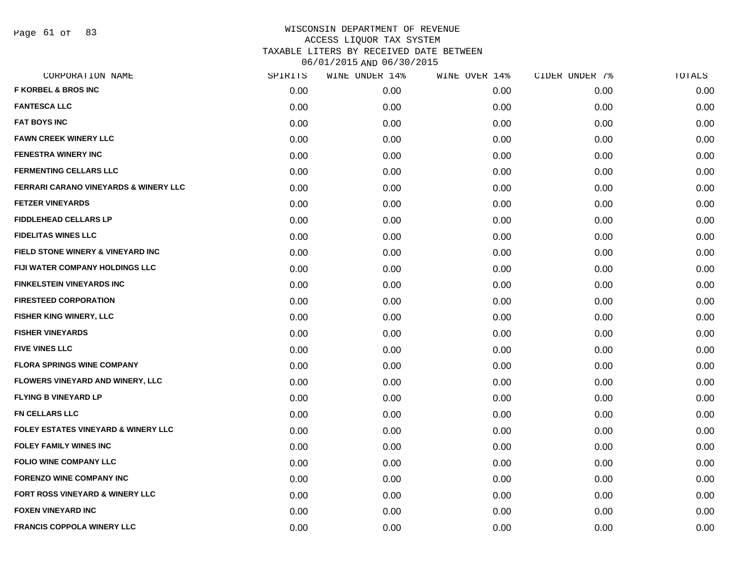Page 61 of 83

| SPIRITS | WINE UNDER 14% | WINE OVER 14% | CIDER UNDER 7% | TOTALS |
|---------|----------------|---------------|----------------|--------|
| 0.00    | 0.00           | 0.00          | 0.00           | 0.00   |
| 0.00    | 0.00           | 0.00          | 0.00           | 0.00   |
| 0.00    | 0.00           | 0.00          | 0.00           | 0.00   |
| 0.00    | 0.00           | 0.00          | 0.00           | 0.00   |
| 0.00    | 0.00           | 0.00          | 0.00           | 0.00   |
| 0.00    | 0.00           | 0.00          | 0.00           | 0.00   |
| 0.00    | 0.00           | 0.00          | 0.00           | 0.00   |
| 0.00    | 0.00           | 0.00          | 0.00           | 0.00   |
| 0.00    | 0.00           | 0.00          | 0.00           | 0.00   |
| 0.00    | 0.00           | 0.00          | 0.00           | 0.00   |
| 0.00    | 0.00           | 0.00          | 0.00           | 0.00   |
| 0.00    | 0.00           | 0.00          | 0.00           | 0.00   |
| 0.00    | 0.00           | 0.00          | 0.00           | 0.00   |
| 0.00    | 0.00           | 0.00          | 0.00           | 0.00   |
| 0.00    | 0.00           | 0.00          | 0.00           | 0.00   |
| 0.00    | 0.00           | 0.00          | 0.00           | 0.00   |
| 0.00    | 0.00           | 0.00          | 0.00           | 0.00   |
| 0.00    | 0.00           | 0.00          | 0.00           | 0.00   |
| 0.00    | 0.00           | 0.00          | 0.00           | 0.00   |
| 0.00    | 0.00           | 0.00          | 0.00           | 0.00   |
| 0.00    | 0.00           | 0.00          | 0.00           | 0.00   |
| 0.00    | 0.00           | 0.00          | 0.00           | 0.00   |
| 0.00    | 0.00           | 0.00          | 0.00           | 0.00   |
| 0.00    | 0.00           | 0.00          | 0.00           | 0.00   |
| 0.00    | 0.00           | 0.00          | 0.00           | 0.00   |
| 0.00    | 0.00           | 0.00          | 0.00           | 0.00   |
| 0.00    | 0.00           | 0.00          | 0.00           | 0.00   |
| 0.00    | 0.00           | 0.00          | 0.00           | 0.00   |
|         |                |               |                |        |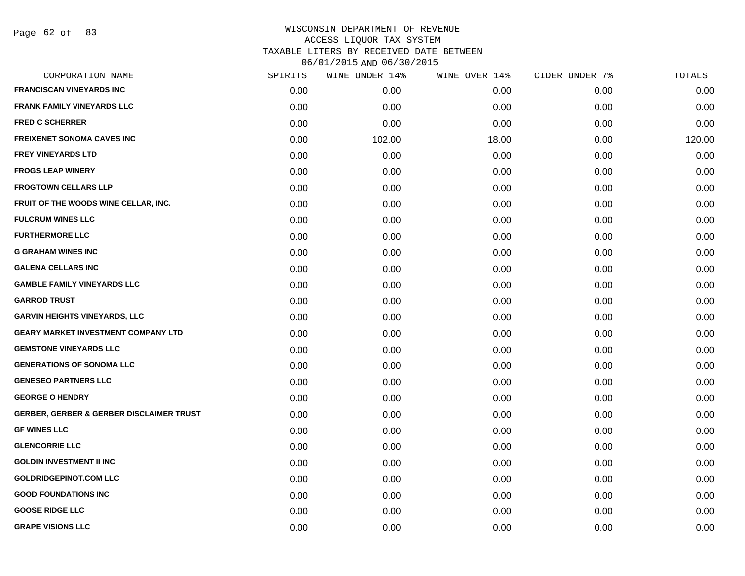| CORPORATION NAME                                    | SPIRITS | WINE UNDER 14% | WINE OVER 14% | CIDER UNDER 7% | TOTALS |
|-----------------------------------------------------|---------|----------------|---------------|----------------|--------|
| <b>FRANCISCAN VINEYARDS INC</b>                     | 0.00    | 0.00           | 0.00          | 0.00           | 0.00   |
| <b>FRANK FAMILY VINEYARDS LLC</b>                   | 0.00    | 0.00           | 0.00          | 0.00           | 0.00   |
| <b>FRED C SCHERRER</b>                              | 0.00    | 0.00           | 0.00          | 0.00           | 0.00   |
| <b>FREIXENET SONOMA CAVES INC</b>                   | 0.00    | 102.00         | 18.00         | 0.00           | 120.00 |
| <b>FREY VINEYARDS LTD</b>                           | 0.00    | 0.00           | 0.00          | 0.00           | 0.00   |
| <b>FROGS LEAP WINERY</b>                            | 0.00    | 0.00           | 0.00          | 0.00           | 0.00   |
| <b>FROGTOWN CELLARS LLP</b>                         | 0.00    | 0.00           | 0.00          | 0.00           | 0.00   |
| FRUIT OF THE WOODS WINE CELLAR, INC.                | 0.00    | 0.00           | 0.00          | 0.00           | 0.00   |
| <b>FULCRUM WINES LLC</b>                            | 0.00    | 0.00           | 0.00          | 0.00           | 0.00   |
| <b>FURTHERMORE LLC</b>                              | 0.00    | 0.00           | 0.00          | 0.00           | 0.00   |
| <b>G GRAHAM WINES INC</b>                           | 0.00    | 0.00           | 0.00          | 0.00           | 0.00   |
| <b>GALENA CELLARS INC</b>                           | 0.00    | 0.00           | 0.00          | 0.00           | 0.00   |
| <b>GAMBLE FAMILY VINEYARDS LLC</b>                  | 0.00    | 0.00           | 0.00          | 0.00           | 0.00   |
| <b>GARROD TRUST</b>                                 | 0.00    | 0.00           | 0.00          | 0.00           | 0.00   |
| <b>GARVIN HEIGHTS VINEYARDS, LLC</b>                | 0.00    | 0.00           | 0.00          | 0.00           | 0.00   |
| <b>GEARY MARKET INVESTMENT COMPANY LTD</b>          | 0.00    | 0.00           | 0.00          | 0.00           | 0.00   |
| <b>GEMSTONE VINEYARDS LLC</b>                       | 0.00    | 0.00           | 0.00          | 0.00           | 0.00   |
| <b>GENERATIONS OF SONOMA LLC</b>                    | 0.00    | 0.00           | 0.00          | 0.00           | 0.00   |
| <b>GENESEO PARTNERS LLC</b>                         | 0.00    | 0.00           | 0.00          | 0.00           | 0.00   |
| <b>GEORGE O HENDRY</b>                              | 0.00    | 0.00           | 0.00          | 0.00           | 0.00   |
| <b>GERBER, GERBER &amp; GERBER DISCLAIMER TRUST</b> | 0.00    | 0.00           | 0.00          | 0.00           | 0.00   |
| <b>GF WINES LLC</b>                                 | 0.00    | 0.00           | 0.00          | 0.00           | 0.00   |
| <b>GLENCORRIE LLC</b>                               | 0.00    | 0.00           | 0.00          | 0.00           | 0.00   |
| <b>GOLDIN INVESTMENT II INC</b>                     | 0.00    | 0.00           | 0.00          | 0.00           | 0.00   |
| <b>GOLDRIDGEPINOT.COM LLC</b>                       | 0.00    | 0.00           | 0.00          | 0.00           | 0.00   |
| <b>GOOD FOUNDATIONS INC</b>                         | 0.00    | 0.00           | 0.00          | 0.00           | 0.00   |
| <b>GOOSE RIDGE LLC</b>                              | 0.00    | 0.00           | 0.00          | 0.00           | 0.00   |
| <b>GRAPE VISIONS LLC</b>                            | 0.00    | 0.00           | 0.00          | 0.00           | 0.00   |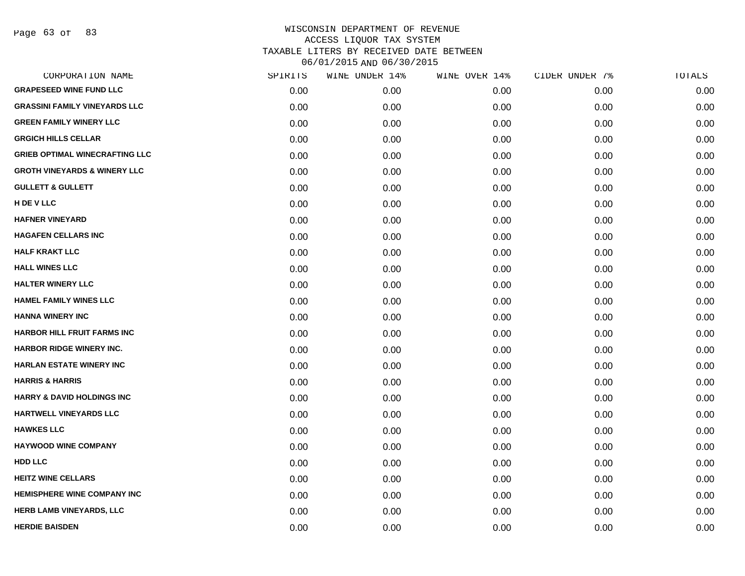Page 63 of 83

| CORPORATION NAME                        | SPIRITS | WINE UNDER 14% | WINE OVER 14% | CIDER UNDER 7% | TOTALS |
|-----------------------------------------|---------|----------------|---------------|----------------|--------|
| <b>GRAPESEED WINE FUND LLC</b>          | 0.00    | 0.00           | 0.00          | 0.00           | 0.00   |
| <b>GRASSINI FAMILY VINEYARDS LLC</b>    | 0.00    | 0.00           | 0.00          | 0.00           | 0.00   |
| <b>GREEN FAMILY WINERY LLC</b>          | 0.00    | 0.00           | 0.00          | 0.00           | 0.00   |
| <b>GRGICH HILLS CELLAR</b>              | 0.00    | 0.00           | 0.00          | 0.00           | 0.00   |
| <b>GRIEB OPTIMAL WINECRAFTING LLC</b>   | 0.00    | 0.00           | 0.00          | 0.00           | 0.00   |
| <b>GROTH VINEYARDS &amp; WINERY LLC</b> | 0.00    | 0.00           | 0.00          | 0.00           | 0.00   |
| <b>GULLETT &amp; GULLETT</b>            | 0.00    | 0.00           | 0.00          | 0.00           | 0.00   |
| H DE V LLC                              | 0.00    | 0.00           | 0.00          | 0.00           | 0.00   |
| <b>HAFNER VINEYARD</b>                  | 0.00    | 0.00           | 0.00          | 0.00           | 0.00   |
| <b>HAGAFEN CELLARS INC</b>              | 0.00    | 0.00           | 0.00          | 0.00           | 0.00   |
| <b>HALF KRAKT LLC</b>                   | 0.00    | 0.00           | 0.00          | 0.00           | 0.00   |
| <b>HALL WINES LLC</b>                   | 0.00    | 0.00           | 0.00          | 0.00           | 0.00   |
| <b>HALTER WINERY LLC</b>                | 0.00    | 0.00           | 0.00          | 0.00           | 0.00   |
| <b>HAMEL FAMILY WINES LLC</b>           | 0.00    | 0.00           | 0.00          | 0.00           | 0.00   |
| <b>HANNA WINERY INC</b>                 | 0.00    | 0.00           | 0.00          | 0.00           | 0.00   |
| <b>HARBOR HILL FRUIT FARMS INC</b>      | 0.00    | 0.00           | 0.00          | 0.00           | 0.00   |
| <b>HARBOR RIDGE WINERY INC.</b>         | 0.00    | 0.00           | 0.00          | 0.00           | 0.00   |
| <b>HARLAN ESTATE WINERY INC</b>         | 0.00    | 0.00           | 0.00          | 0.00           | 0.00   |
| <b>HARRIS &amp; HARRIS</b>              | 0.00    | 0.00           | 0.00          | 0.00           | 0.00   |
| <b>HARRY &amp; DAVID HOLDINGS INC</b>   | 0.00    | 0.00           | 0.00          | 0.00           | 0.00   |
| HARTWELL VINEYARDS LLC                  | 0.00    | 0.00           | 0.00          | 0.00           | 0.00   |
| <b>HAWKES LLC</b>                       | 0.00    | 0.00           | 0.00          | 0.00           | 0.00   |
| <b>HAYWOOD WINE COMPANY</b>             | 0.00    | 0.00           | 0.00          | 0.00           | 0.00   |
| <b>HDD LLC</b>                          | 0.00    | 0.00           | 0.00          | 0.00           | 0.00   |
| <b>HEITZ WINE CELLARS</b>               | 0.00    | 0.00           | 0.00          | 0.00           | 0.00   |
| HEMISPHERE WINE COMPANY INC             | 0.00    | 0.00           | 0.00          | 0.00           | 0.00   |
| HERB LAMB VINEYARDS, LLC                | 0.00    | 0.00           | 0.00          | 0.00           | 0.00   |
| <b>HERDIE BAISDEN</b>                   | 0.00    | 0.00           | 0.00          | 0.00           | 0.00   |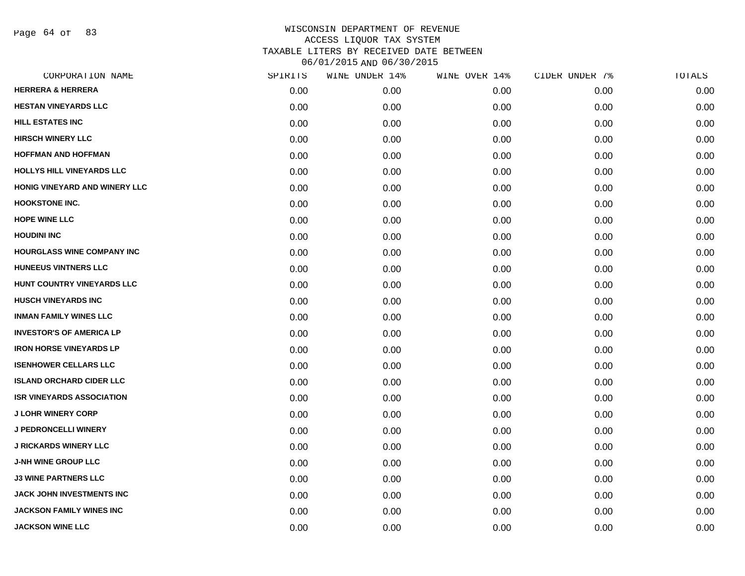Page 64 of 83

| CORPORATION NAME                  | SPIRITS | WINE UNDER 14% | WINE OVER 14% | CIDER UNDER 7% | TOTALS |
|-----------------------------------|---------|----------------|---------------|----------------|--------|
| <b>HERRERA &amp; HERRERA</b>      | 0.00    | 0.00           | 0.00          | 0.00           | 0.00   |
| <b>HESTAN VINEYARDS LLC</b>       | 0.00    | 0.00           | 0.00          | 0.00           | 0.00   |
| <b>HILL ESTATES INC</b>           | 0.00    | 0.00           | 0.00          | 0.00           | 0.00   |
| <b>HIRSCH WINERY LLC</b>          | 0.00    | 0.00           | 0.00          | 0.00           | 0.00   |
| <b>HOFFMAN AND HOFFMAN</b>        | 0.00    | 0.00           | 0.00          | 0.00           | 0.00   |
| <b>HOLLYS HILL VINEYARDS LLC</b>  | 0.00    | 0.00           | 0.00          | 0.00           | 0.00   |
| HONIG VINEYARD AND WINERY LLC     | 0.00    | 0.00           | 0.00          | 0.00           | 0.00   |
| <b>HOOKSTONE INC.</b>             | 0.00    | 0.00           | 0.00          | 0.00           | 0.00   |
| <b>HOPE WINE LLC</b>              | 0.00    | 0.00           | 0.00          | 0.00           | 0.00   |
| <b>HOUDINI INC</b>                | 0.00    | 0.00           | 0.00          | 0.00           | 0.00   |
| <b>HOURGLASS WINE COMPANY INC</b> | 0.00    | 0.00           | 0.00          | 0.00           | 0.00   |
| <b>HUNEEUS VINTNERS LLC</b>       | 0.00    | 0.00           | 0.00          | 0.00           | 0.00   |
| HUNT COUNTRY VINEYARDS LLC        | 0.00    | 0.00           | 0.00          | 0.00           | 0.00   |
| <b>HUSCH VINEYARDS INC</b>        | 0.00    | 0.00           | 0.00          | 0.00           | 0.00   |
| <b>INMAN FAMILY WINES LLC</b>     | 0.00    | 0.00           | 0.00          | 0.00           | 0.00   |
| <b>INVESTOR'S OF AMERICA LP</b>   | 0.00    | 0.00           | 0.00          | 0.00           | 0.00   |
| <b>IRON HORSE VINEYARDS LP</b>    | 0.00    | 0.00           | 0.00          | 0.00           | 0.00   |
| <b>ISENHOWER CELLARS LLC</b>      | 0.00    | 0.00           | 0.00          | 0.00           | 0.00   |
| <b>ISLAND ORCHARD CIDER LLC</b>   | 0.00    | 0.00           | 0.00          | 0.00           | 0.00   |
| <b>ISR VINEYARDS ASSOCIATION</b>  | 0.00    | 0.00           | 0.00          | 0.00           | 0.00   |
| <b>J LOHR WINERY CORP</b>         | 0.00    | 0.00           | 0.00          | 0.00           | 0.00   |
| <b>J PEDRONCELLI WINERY</b>       | 0.00    | 0.00           | 0.00          | 0.00           | 0.00   |
| <b>J RICKARDS WINERY LLC</b>      | 0.00    | 0.00           | 0.00          | 0.00           | 0.00   |
| <b>J-NH WINE GROUP LLC</b>        | 0.00    | 0.00           | 0.00          | 0.00           | 0.00   |
| <b>J3 WINE PARTNERS LLC</b>       | 0.00    | 0.00           | 0.00          | 0.00           | 0.00   |
| JACK JOHN INVESTMENTS INC         | 0.00    | 0.00           | 0.00          | 0.00           | 0.00   |
| <b>JACKSON FAMILY WINES INC</b>   | 0.00    | 0.00           | 0.00          | 0.00           | 0.00   |
| <b>JACKSON WINE LLC</b>           | 0.00    | 0.00           | 0.00          | 0.00           | 0.00   |
|                                   |         |                |               |                |        |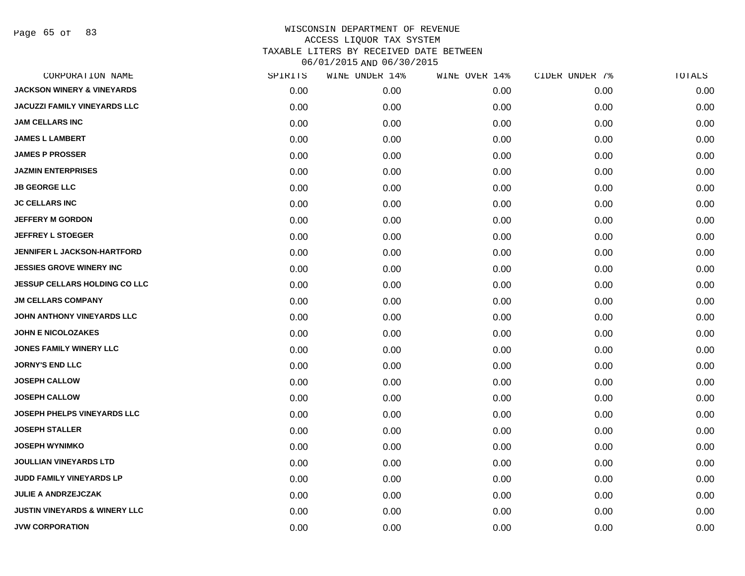Page 65 of 83

| CORPORATION NAME                         | SPIRITS | WINE UNDER 14% | WINE OVER 14% | CIDER UNDER 7% | TOTALS |
|------------------------------------------|---------|----------------|---------------|----------------|--------|
| <b>JACKSON WINERY &amp; VINEYARDS</b>    | 0.00    | 0.00           | 0.00          | 0.00           | 0.00   |
| <b>JACUZZI FAMILY VINEYARDS LLC</b>      | 0.00    | 0.00           | 0.00          | 0.00           | 0.00   |
| <b>JAM CELLARS INC</b>                   | 0.00    | 0.00           | 0.00          | 0.00           | 0.00   |
| <b>JAMES L LAMBERT</b>                   | 0.00    | 0.00           | 0.00          | 0.00           | 0.00   |
| <b>JAMES P PROSSER</b>                   | 0.00    | 0.00           | 0.00          | 0.00           | 0.00   |
| <b>JAZMIN ENTERPRISES</b>                | 0.00    | 0.00           | 0.00          | 0.00           | 0.00   |
| <b>JB GEORGE LLC</b>                     | 0.00    | 0.00           | 0.00          | 0.00           | 0.00   |
| <b>JC CELLARS INC</b>                    | 0.00    | 0.00           | 0.00          | 0.00           | 0.00   |
| <b>JEFFERY M GORDON</b>                  | 0.00    | 0.00           | 0.00          | 0.00           | 0.00   |
| <b>JEFFREY L STOEGER</b>                 | 0.00    | 0.00           | 0.00          | 0.00           | 0.00   |
| <b>JENNIFER L JACKSON-HARTFORD</b>       | 0.00    | 0.00           | 0.00          | 0.00           | 0.00   |
| <b>JESSIES GROVE WINERY INC</b>          | 0.00    | 0.00           | 0.00          | 0.00           | 0.00   |
| <b>JESSUP CELLARS HOLDING CO LLC</b>     | 0.00    | 0.00           | 0.00          | 0.00           | 0.00   |
| <b>JM CELLARS COMPANY</b>                | 0.00    | 0.00           | 0.00          | 0.00           | 0.00   |
| JOHN ANTHONY VINEYARDS LLC               | 0.00    | 0.00           | 0.00          | 0.00           | 0.00   |
| <b>JOHN E NICOLOZAKES</b>                | 0.00    | 0.00           | 0.00          | 0.00           | 0.00   |
| <b>JONES FAMILY WINERY LLC</b>           | 0.00    | 0.00           | 0.00          | 0.00           | 0.00   |
| <b>JORNY'S END LLC</b>                   | 0.00    | 0.00           | 0.00          | 0.00           | 0.00   |
| <b>JOSEPH CALLOW</b>                     | 0.00    | 0.00           | 0.00          | 0.00           | 0.00   |
| <b>JOSEPH CALLOW</b>                     | 0.00    | 0.00           | 0.00          | 0.00           | 0.00   |
| JOSEPH PHELPS VINEYARDS LLC              | 0.00    | 0.00           | 0.00          | 0.00           | 0.00   |
| <b>JOSEPH STALLER</b>                    | 0.00    | 0.00           | 0.00          | 0.00           | 0.00   |
| <b>JOSEPH WYNIMKO</b>                    | 0.00    | 0.00           | 0.00          | 0.00           | 0.00   |
| <b>JOULLIAN VINEYARDS LTD</b>            | 0.00    | 0.00           | 0.00          | 0.00           | 0.00   |
| JUDD FAMILY VINEYARDS LP                 | 0.00    | 0.00           | 0.00          | 0.00           | 0.00   |
| <b>JULIE A ANDRZEJCZAK</b>               | 0.00    | 0.00           | 0.00          | 0.00           | 0.00   |
| <b>JUSTIN VINEYARDS &amp; WINERY LLC</b> | 0.00    | 0.00           | 0.00          | 0.00           | 0.00   |
| <b>JVW CORPORATION</b>                   | 0.00    | 0.00           | 0.00          | 0.00           | 0.00   |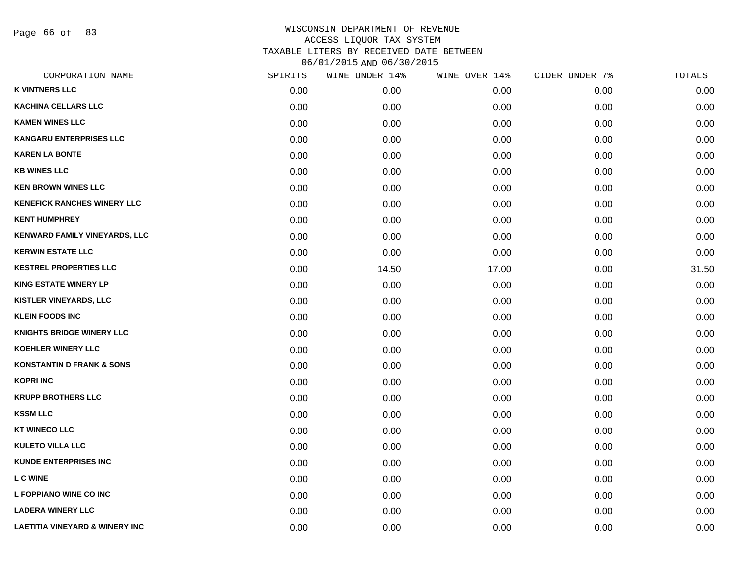Page 66 of 83

| CORPORATION NAME                          | SPIRITS | WINE UNDER 14% | WINE OVER 14% | CIDER UNDER 7% | TOTALS |
|-------------------------------------------|---------|----------------|---------------|----------------|--------|
| <b>K VINTNERS LLC</b>                     | 0.00    | 0.00           | 0.00          | 0.00           | 0.00   |
| <b>KACHINA CELLARS LLC</b>                | 0.00    | 0.00           | 0.00          | 0.00           | 0.00   |
| <b>KAMEN WINES LLC</b>                    | 0.00    | 0.00           | 0.00          | 0.00           | 0.00   |
| <b>KANGARU ENTERPRISES LLC</b>            | 0.00    | 0.00           | 0.00          | 0.00           | 0.00   |
| <b>KAREN LA BONTE</b>                     | 0.00    | 0.00           | 0.00          | 0.00           | 0.00   |
| <b>KB WINES LLC</b>                       | 0.00    | 0.00           | 0.00          | 0.00           | 0.00   |
| <b>KEN BROWN WINES LLC</b>                | 0.00    | 0.00           | 0.00          | 0.00           | 0.00   |
| <b>KENEFICK RANCHES WINERY LLC</b>        | 0.00    | 0.00           | 0.00          | 0.00           | 0.00   |
| <b>KENT HUMPHREY</b>                      | 0.00    | 0.00           | 0.00          | 0.00           | 0.00   |
| KENWARD FAMILY VINEYARDS, LLC             | 0.00    | 0.00           | 0.00          | 0.00           | 0.00   |
| <b>KERWIN ESTATE LLC</b>                  | 0.00    | 0.00           | 0.00          | 0.00           | 0.00   |
| <b>KESTREL PROPERTIES LLC</b>             | 0.00    | 14.50          | 17.00         | 0.00           | 31.50  |
| <b>KING ESTATE WINERY LP</b>              | 0.00    | 0.00           | 0.00          | 0.00           | 0.00   |
| KISTLER VINEYARDS, LLC                    | 0.00    | 0.00           | 0.00          | 0.00           | 0.00   |
| <b>KLEIN FOODS INC</b>                    | 0.00    | 0.00           | 0.00          | 0.00           | 0.00   |
| <b>KNIGHTS BRIDGE WINERY LLC</b>          | 0.00    | 0.00           | 0.00          | 0.00           | 0.00   |
| <b>KOEHLER WINERY LLC</b>                 | 0.00    | 0.00           | 0.00          | 0.00           | 0.00   |
| <b>KONSTANTIN D FRANK &amp; SONS</b>      | 0.00    | 0.00           | 0.00          | 0.00           | 0.00   |
| <b>KOPRI INC</b>                          | 0.00    | 0.00           | 0.00          | 0.00           | 0.00   |
| <b>KRUPP BROTHERS LLC</b>                 | 0.00    | 0.00           | 0.00          | 0.00           | 0.00   |
| <b>KSSM LLC</b>                           | 0.00    | 0.00           | 0.00          | 0.00           | 0.00   |
| <b>KT WINECO LLC</b>                      | 0.00    | 0.00           | 0.00          | 0.00           | 0.00   |
| <b>KULETO VILLA LLC</b>                   | 0.00    | 0.00           | 0.00          | 0.00           | 0.00   |
| <b>KUNDE ENTERPRISES INC</b>              | 0.00    | 0.00           | 0.00          | 0.00           | 0.00   |
| L C WINE                                  | 0.00    | 0.00           | 0.00          | 0.00           | 0.00   |
| L FOPPIANO WINE CO INC                    | 0.00    | 0.00           | 0.00          | 0.00           | 0.00   |
| <b>LADERA WINERY LLC</b>                  | 0.00    | 0.00           | 0.00          | 0.00           | 0.00   |
| <b>LAETITIA VINEYARD &amp; WINERY INC</b> | 0.00    | 0.00           | 0.00          | 0.00           | 0.00   |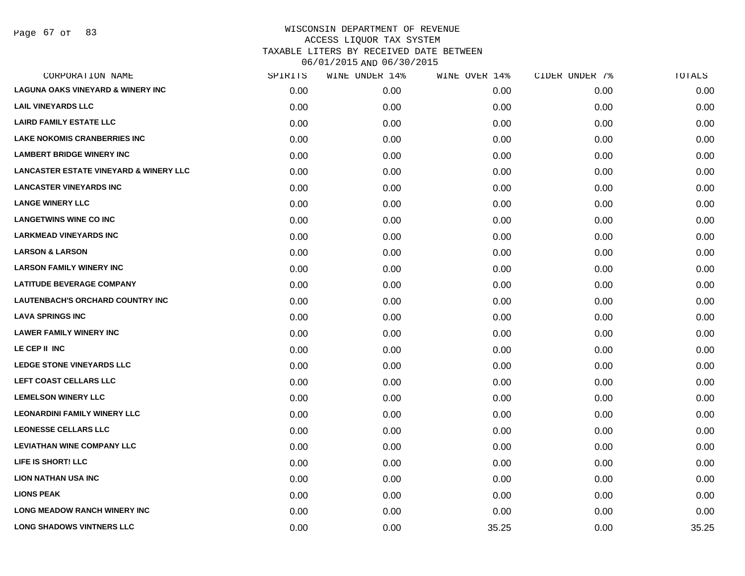Page 67 of 83

|      | WINE UNDER 14% | WINE OVER 14% | CIDER UNDER 7% | TOTALS |
|------|----------------|---------------|----------------|--------|
| 0.00 | 0.00           | 0.00          | 0.00           | 0.00   |
| 0.00 | 0.00           | 0.00          | 0.00           | 0.00   |
| 0.00 | 0.00           | 0.00          | 0.00           | 0.00   |
| 0.00 | 0.00           | 0.00          | 0.00           | 0.00   |
| 0.00 | 0.00           | 0.00          | 0.00           | 0.00   |
| 0.00 | 0.00           | 0.00          | 0.00           | 0.00   |
| 0.00 | 0.00           | 0.00          | 0.00           | 0.00   |
| 0.00 | 0.00           | 0.00          | 0.00           | 0.00   |
| 0.00 | 0.00           | 0.00          | 0.00           | 0.00   |
| 0.00 | 0.00           | 0.00          | 0.00           | 0.00   |
| 0.00 | 0.00           | 0.00          | 0.00           | 0.00   |
| 0.00 | 0.00           | 0.00          | 0.00           | 0.00   |
| 0.00 | 0.00           | 0.00          | 0.00           | 0.00   |
| 0.00 | 0.00           | 0.00          | 0.00           | 0.00   |
| 0.00 | 0.00           | 0.00          | 0.00           | 0.00   |
| 0.00 | 0.00           | 0.00          | 0.00           | 0.00   |
| 0.00 | 0.00           | 0.00          | 0.00           | 0.00   |
| 0.00 | 0.00           | 0.00          | 0.00           | 0.00   |
| 0.00 | 0.00           | 0.00          | 0.00           | 0.00   |
| 0.00 | 0.00           | 0.00          | 0.00           | 0.00   |
| 0.00 | 0.00           | 0.00          | 0.00           | 0.00   |
| 0.00 | 0.00           | 0.00          | 0.00           | 0.00   |
| 0.00 | 0.00           | 0.00          | 0.00           | 0.00   |
| 0.00 | 0.00           | 0.00          | 0.00           | 0.00   |
| 0.00 | 0.00           | 0.00          | 0.00           | 0.00   |
| 0.00 | 0.00           | 0.00          | 0.00           | 0.00   |
| 0.00 | 0.00           | 0.00          | 0.00           | 0.00   |
| 0.00 | 0.00           | 35.25         | 0.00           | 35.25  |
|      | SPIRITS        |               |                |        |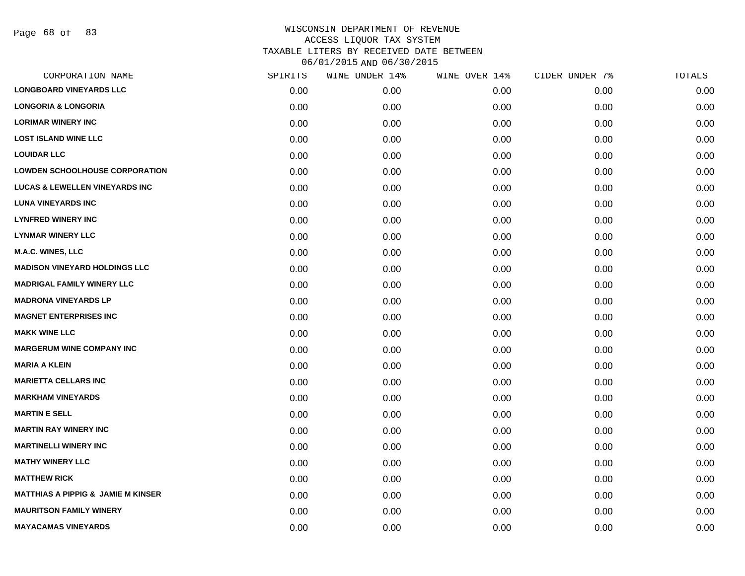| CORPORATION NAME                              | SPIRITS | WINE UNDER 14% | WINE OVER 14% | CIDER UNDER 7% | TOTALS |
|-----------------------------------------------|---------|----------------|---------------|----------------|--------|
| <b>LONGBOARD VINEYARDS LLC</b>                | 0.00    | 0.00           | 0.00          | 0.00           | 0.00   |
| <b>LONGORIA &amp; LONGORIA</b>                | 0.00    | 0.00           | 0.00          | 0.00           | 0.00   |
| <b>LORIMAR WINERY INC</b>                     | 0.00    | 0.00           | 0.00          | 0.00           | 0.00   |
| <b>LOST ISLAND WINE LLC</b>                   | 0.00    | 0.00           | 0.00          | 0.00           | 0.00   |
| <b>LOUIDAR LLC</b>                            | 0.00    | 0.00           | 0.00          | 0.00           | 0.00   |
| <b>LOWDEN SCHOOLHOUSE CORPORATION</b>         | 0.00    | 0.00           | 0.00          | 0.00           | 0.00   |
| <b>LUCAS &amp; LEWELLEN VINEYARDS INC</b>     | 0.00    | 0.00           | 0.00          | 0.00           | 0.00   |
| <b>LUNA VINEYARDS INC</b>                     | 0.00    | 0.00           | 0.00          | 0.00           | 0.00   |
| <b>LYNFRED WINERY INC</b>                     | 0.00    | 0.00           | 0.00          | 0.00           | 0.00   |
| <b>LYNMAR WINERY LLC</b>                      | 0.00    | 0.00           | 0.00          | 0.00           | 0.00   |
| <b>M.A.C. WINES, LLC</b>                      | 0.00    | 0.00           | 0.00          | 0.00           | 0.00   |
| <b>MADISON VINEYARD HOLDINGS LLC</b>          | 0.00    | 0.00           | 0.00          | 0.00           | 0.00   |
| <b>MADRIGAL FAMILY WINERY LLC</b>             | 0.00    | 0.00           | 0.00          | 0.00           | 0.00   |
| <b>MADRONA VINEYARDS LP</b>                   | 0.00    | 0.00           | 0.00          | 0.00           | 0.00   |
| <b>MAGNET ENTERPRISES INC</b>                 | 0.00    | 0.00           | 0.00          | 0.00           | 0.00   |
| <b>MAKK WINE LLC</b>                          | 0.00    | 0.00           | 0.00          | 0.00           | 0.00   |
| <b>MARGERUM WINE COMPANY INC</b>              | 0.00    | 0.00           | 0.00          | 0.00           | 0.00   |
| <b>MARIA A KLEIN</b>                          | 0.00    | 0.00           | 0.00          | 0.00           | 0.00   |
| <b>MARIETTA CELLARS INC</b>                   | 0.00    | 0.00           | 0.00          | 0.00           | 0.00   |
| <b>MARKHAM VINEYARDS</b>                      | 0.00    | 0.00           | 0.00          | 0.00           | 0.00   |
| <b>MARTIN E SELL</b>                          | 0.00    | 0.00           | 0.00          | 0.00           | 0.00   |
| <b>MARTIN RAY WINERY INC</b>                  | 0.00    | 0.00           | 0.00          | 0.00           | 0.00   |
| <b>MARTINELLI WINERY INC</b>                  | 0.00    | 0.00           | 0.00          | 0.00           | 0.00   |
| <b>MATHY WINERY LLC</b>                       | 0.00    | 0.00           | 0.00          | 0.00           | 0.00   |
| <b>MATTHEW RICK</b>                           | 0.00    | 0.00           | 0.00          | 0.00           | 0.00   |
| <b>MATTHIAS A PIPPIG &amp; JAMIE M KINSER</b> | 0.00    | 0.00           | 0.00          | 0.00           | 0.00   |
| <b>MAURITSON FAMILY WINERY</b>                | 0.00    | 0.00           | 0.00          | 0.00           | 0.00   |
| <b>MAYACAMAS VINEYARDS</b>                    | 0.00    | 0.00           | 0.00          | 0.00           | 0.00   |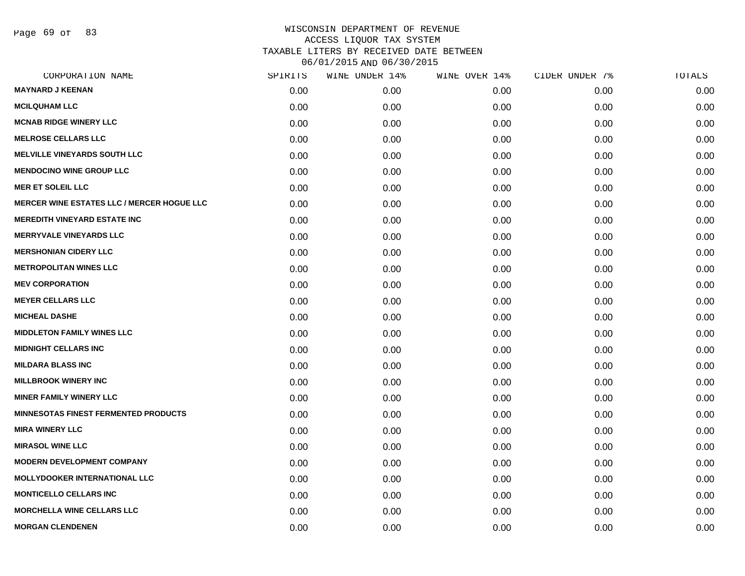Page 69 of 83

| CORPORATION NAME                                  | SPIRITS | WINE UNDER 14% | WINE OVER 14% | CIDER UNDER 7% | TOTALS |
|---------------------------------------------------|---------|----------------|---------------|----------------|--------|
| <b>MAYNARD J KEENAN</b>                           | 0.00    | 0.00           | 0.00          | 0.00           | 0.00   |
| <b>MCILQUHAM LLC</b>                              | 0.00    | 0.00           | 0.00          | 0.00           | 0.00   |
| <b>MCNAB RIDGE WINERY LLC</b>                     | 0.00    | 0.00           | 0.00          | 0.00           | 0.00   |
| <b>MELROSE CELLARS LLC</b>                        | 0.00    | 0.00           | 0.00          | 0.00           | 0.00   |
| <b>MELVILLE VINEYARDS SOUTH LLC</b>               | 0.00    | 0.00           | 0.00          | 0.00           | 0.00   |
| <b>MENDOCINO WINE GROUP LLC</b>                   | 0.00    | 0.00           | 0.00          | 0.00           | 0.00   |
| <b>MER ET SOLEIL LLC</b>                          | 0.00    | 0.00           | 0.00          | 0.00           | 0.00   |
| <b>MERCER WINE ESTATES LLC / MERCER HOGUE LLC</b> | 0.00    | 0.00           | 0.00          | 0.00           | 0.00   |
| <b>MEREDITH VINEYARD ESTATE INC</b>               | 0.00    | 0.00           | 0.00          | 0.00           | 0.00   |
| <b>MERRYVALE VINEYARDS LLC</b>                    | 0.00    | 0.00           | 0.00          | 0.00           | 0.00   |
| <b>MERSHONIAN CIDERY LLC</b>                      | 0.00    | 0.00           | 0.00          | 0.00           | 0.00   |
| <b>METROPOLITAN WINES LLC</b>                     | 0.00    | 0.00           | 0.00          | 0.00           | 0.00   |
| <b>MEV CORPORATION</b>                            | 0.00    | 0.00           | 0.00          | 0.00           | 0.00   |
| <b>MEYER CELLARS LLC</b>                          | 0.00    | 0.00           | 0.00          | 0.00           | 0.00   |
| <b>MICHEAL DASHE</b>                              | 0.00    | 0.00           | 0.00          | 0.00           | 0.00   |
| <b>MIDDLETON FAMILY WINES LLC</b>                 | 0.00    | 0.00           | 0.00          | 0.00           | 0.00   |
| <b>MIDNIGHT CELLARS INC</b>                       | 0.00    | 0.00           | 0.00          | 0.00           | 0.00   |
| <b>MILDARA BLASS INC</b>                          | 0.00    | 0.00           | 0.00          | 0.00           | 0.00   |
| <b>MILLBROOK WINERY INC</b>                       | 0.00    | 0.00           | 0.00          | 0.00           | 0.00   |
| <b>MINER FAMILY WINERY LLC</b>                    | 0.00    | 0.00           | 0.00          | 0.00           | 0.00   |
| <b>MINNESOTAS FINEST FERMENTED PRODUCTS</b>       | 0.00    | 0.00           | 0.00          | 0.00           | 0.00   |
| <b>MIRA WINERY LLC</b>                            | 0.00    | 0.00           | 0.00          | 0.00           | 0.00   |
| <b>MIRASOL WINE LLC</b>                           | 0.00    | 0.00           | 0.00          | 0.00           | 0.00   |
| <b>MODERN DEVELOPMENT COMPANY</b>                 | 0.00    | 0.00           | 0.00          | 0.00           | 0.00   |
| <b>MOLLYDOOKER INTERNATIONAL LLC</b>              | 0.00    | 0.00           | 0.00          | 0.00           | 0.00   |
| <b>MONTICELLO CELLARS INC</b>                     | 0.00    | 0.00           | 0.00          | 0.00           | 0.00   |
| <b>MORCHELLA WINE CELLARS LLC</b>                 | 0.00    | 0.00           | 0.00          | 0.00           | 0.00   |
| <b>MORGAN CLENDENEN</b>                           | 0.00    | 0.00           | 0.00          | 0.00           | 0.00   |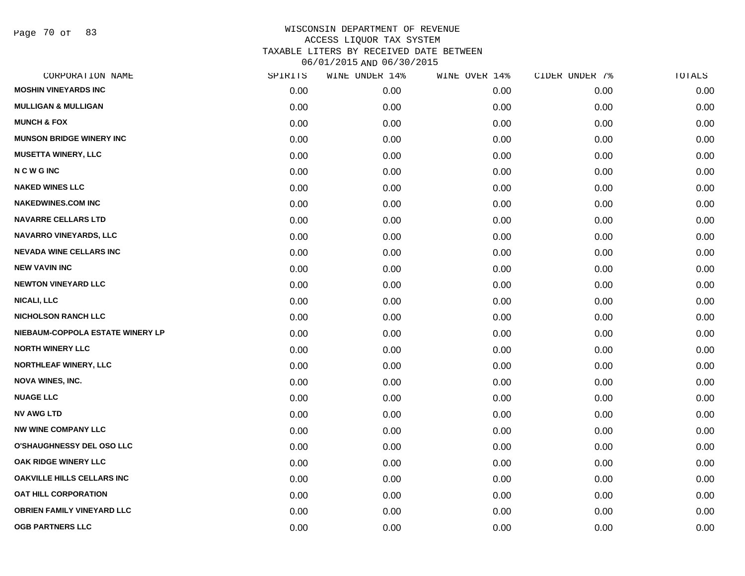Page 70 of 83

| CORPORATION NAME                  | SPIRITS | WINE UNDER 14% | WINE OVER 14% | CIDER UNDER 7% | TOTALS |
|-----------------------------------|---------|----------------|---------------|----------------|--------|
| <b>MOSHIN VINEYARDS INC</b>       | 0.00    | 0.00           | 0.00          | 0.00           | 0.00   |
| <b>MULLIGAN &amp; MULLIGAN</b>    | 0.00    | 0.00           | 0.00          | 0.00           | 0.00   |
| <b>MUNCH &amp; FOX</b>            | 0.00    | 0.00           | 0.00          | 0.00           | 0.00   |
| <b>MUNSON BRIDGE WINERY INC</b>   | 0.00    | 0.00           | 0.00          | 0.00           | 0.00   |
| <b>MUSETTA WINERY, LLC</b>        | 0.00    | 0.00           | 0.00          | 0.00           | 0.00   |
| <b>NCWGINC</b>                    | 0.00    | 0.00           | 0.00          | 0.00           | 0.00   |
| <b>NAKED WINES LLC</b>            | 0.00    | 0.00           | 0.00          | 0.00           | 0.00   |
| <b>NAKEDWINES.COM INC</b>         | 0.00    | 0.00           | 0.00          | 0.00           | 0.00   |
| <b>NAVARRE CELLARS LTD</b>        | 0.00    | 0.00           | 0.00          | 0.00           | 0.00   |
| NAVARRO VINEYARDS, LLC            | 0.00    | 0.00           | 0.00          | 0.00           | 0.00   |
| <b>NEVADA WINE CELLARS INC</b>    | 0.00    | 0.00           | 0.00          | 0.00           | 0.00   |
| <b>NEW VAVIN INC</b>              | 0.00    | 0.00           | 0.00          | 0.00           | 0.00   |
| <b>NEWTON VINEYARD LLC</b>        | 0.00    | 0.00           | 0.00          | 0.00           | 0.00   |
| <b>NICALI, LLC</b>                | 0.00    | 0.00           | 0.00          | 0.00           | 0.00   |
| <b>NICHOLSON RANCH LLC</b>        | 0.00    | 0.00           | 0.00          | 0.00           | 0.00   |
| NIEBAUM-COPPOLA ESTATE WINERY LP  | 0.00    | 0.00           | 0.00          | 0.00           | 0.00   |
| <b>NORTH WINERY LLC</b>           | 0.00    | 0.00           | 0.00          | 0.00           | 0.00   |
| NORTHLEAF WINERY, LLC             | 0.00    | 0.00           | 0.00          | 0.00           | 0.00   |
| <b>NOVA WINES, INC.</b>           | 0.00    | 0.00           | 0.00          | 0.00           | 0.00   |
| <b>NUAGE LLC</b>                  | 0.00    | 0.00           | 0.00          | 0.00           | 0.00   |
| <b>NV AWG LTD</b>                 | 0.00    | 0.00           | 0.00          | 0.00           | 0.00   |
| <b>NW WINE COMPANY LLC</b>        | 0.00    | 0.00           | 0.00          | 0.00           | 0.00   |
| O'SHAUGHNESSY DEL OSO LLC         | 0.00    | 0.00           | 0.00          | 0.00           | 0.00   |
| <b>OAK RIDGE WINERY LLC</b>       | 0.00    | 0.00           | 0.00          | 0.00           | 0.00   |
| OAKVILLE HILLS CELLARS INC        | 0.00    | 0.00           | 0.00          | 0.00           | 0.00   |
| <b>OAT HILL CORPORATION</b>       | 0.00    | 0.00           | 0.00          | 0.00           | 0.00   |
| <b>OBRIEN FAMILY VINEYARD LLC</b> | 0.00    | 0.00           | 0.00          | 0.00           | 0.00   |
| <b>OGB PARTNERS LLC</b>           | 0.00    | 0.00           | 0.00          | 0.00           | 0.00   |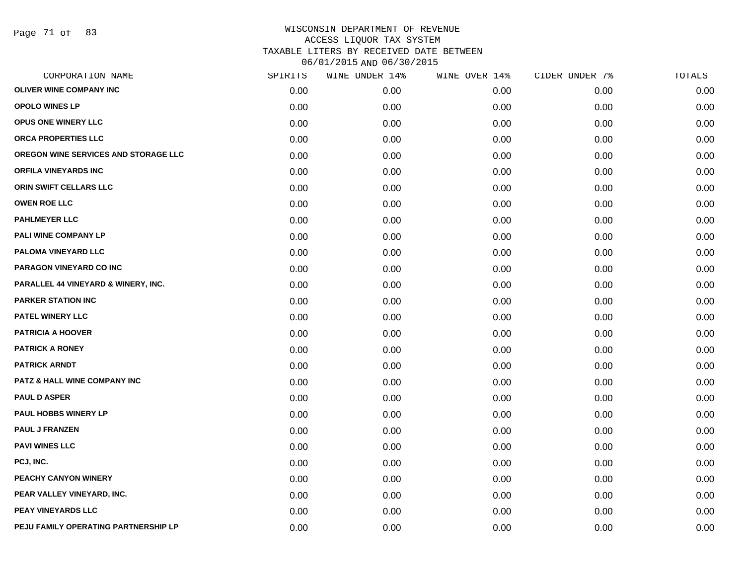Page 71 of 83

| CORPORATION NAME                     | SPIRITS | WINE UNDER 14% | WINE OVER 14% | CIDER UNDER 7% | TOTALS |
|--------------------------------------|---------|----------------|---------------|----------------|--------|
| <b>OLIVER WINE COMPANY INC</b>       | 0.00    | 0.00           | 0.00          | 0.00           | 0.00   |
| <b>OPOLO WINES LP</b>                | 0.00    | 0.00           | 0.00          | 0.00           | 0.00   |
| <b>OPUS ONE WINERY LLC</b>           | 0.00    | 0.00           | 0.00          | 0.00           | 0.00   |
| ORCA PROPERTIES LLC                  | 0.00    | 0.00           | 0.00          | 0.00           | 0.00   |
| OREGON WINE SERVICES AND STORAGE LLC | 0.00    | 0.00           | 0.00          | 0.00           | 0.00   |
| <b>ORFILA VINEYARDS INC</b>          | 0.00    | 0.00           | 0.00          | 0.00           | 0.00   |
| ORIN SWIFT CELLARS LLC               | 0.00    | 0.00           | 0.00          | 0.00           | 0.00   |
| <b>OWEN ROE LLC</b>                  | 0.00    | 0.00           | 0.00          | 0.00           | 0.00   |
| <b>PAHLMEYER LLC</b>                 | 0.00    | 0.00           | 0.00          | 0.00           | 0.00   |
| PALI WINE COMPANY LP                 | 0.00    | 0.00           | 0.00          | 0.00           | 0.00   |
| PALOMA VINEYARD LLC                  | 0.00    | 0.00           | 0.00          | 0.00           | 0.00   |
| PARAGON VINEYARD CO INC              | 0.00    | 0.00           | 0.00          | 0.00           | 0.00   |
| PARALLEL 44 VINEYARD & WINERY, INC.  | 0.00    | 0.00           | 0.00          | 0.00           | 0.00   |
| <b>PARKER STATION INC</b>            | 0.00    | 0.00           | 0.00          | 0.00           | 0.00   |
| <b>PATEL WINERY LLC</b>              | 0.00    | 0.00           | 0.00          | 0.00           | 0.00   |
| <b>PATRICIA A HOOVER</b>             | 0.00    | 0.00           | 0.00          | 0.00           | 0.00   |
| <b>PATRICK A RONEY</b>               | 0.00    | 0.00           | 0.00          | 0.00           | 0.00   |
| <b>PATRICK ARNDT</b>                 | 0.00    | 0.00           | 0.00          | 0.00           | 0.00   |
| PATZ & HALL WINE COMPANY INC         | 0.00    | 0.00           | 0.00          | 0.00           | 0.00   |
| <b>PAUL D ASPER</b>                  | 0.00    | 0.00           | 0.00          | 0.00           | 0.00   |
| PAUL HOBBS WINERY LP                 | 0.00    | 0.00           | 0.00          | 0.00           | 0.00   |
| <b>PAUL J FRANZEN</b>                | 0.00    | 0.00           | 0.00          | 0.00           | 0.00   |
| <b>PAVI WINES LLC</b>                | 0.00    | 0.00           | 0.00          | 0.00           | 0.00   |
| PCJ, INC.                            | 0.00    | 0.00           | 0.00          | 0.00           | 0.00   |
| PEACHY CANYON WINERY                 | 0.00    | 0.00           | 0.00          | 0.00           | 0.00   |
| PEAR VALLEY VINEYARD, INC.           | 0.00    | 0.00           | 0.00          | 0.00           | 0.00   |
| PEAY VINEYARDS LLC                   | 0.00    | 0.00           | 0.00          | 0.00           | 0.00   |
| PEJU FAMILY OPERATING PARTNERSHIP LP | 0.00    | 0.00           | 0.00          | 0.00           | 0.00   |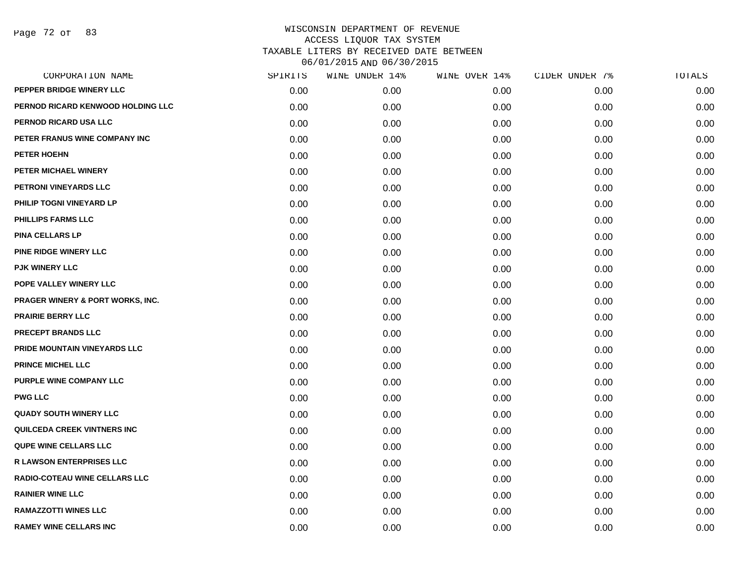Page 72 of 83

| CORPORATION NAME                            | SPIRITS | WINE UNDER 14% | WINE OVER 14% | CIDER UNDER 7% | TOTALS |
|---------------------------------------------|---------|----------------|---------------|----------------|--------|
| PEPPER BRIDGE WINERY LLC                    | 0.00    | 0.00           | 0.00          | 0.00           | 0.00   |
| PERNOD RICARD KENWOOD HOLDING LLC           | 0.00    | 0.00           | 0.00          | 0.00           | 0.00   |
| PERNOD RICARD USA LLC                       | 0.00    | 0.00           | 0.00          | 0.00           | 0.00   |
| PETER FRANUS WINE COMPANY INC               | 0.00    | 0.00           | 0.00          | 0.00           | 0.00   |
| <b>PETER HOEHN</b>                          | 0.00    | 0.00           | 0.00          | 0.00           | 0.00   |
| PETER MICHAEL WINERY                        | 0.00    | 0.00           | 0.00          | 0.00           | 0.00   |
| <b>PETRONI VINEYARDS LLC</b>                | 0.00    | 0.00           | 0.00          | 0.00           | 0.00   |
| PHILIP TOGNI VINEYARD LP                    | 0.00    | 0.00           | 0.00          | 0.00           | 0.00   |
| PHILLIPS FARMS LLC                          | 0.00    | 0.00           | 0.00          | 0.00           | 0.00   |
| <b>PINA CELLARS LP</b>                      | 0.00    | 0.00           | 0.00          | 0.00           | 0.00   |
| PINE RIDGE WINERY LLC                       | 0.00    | 0.00           | 0.00          | 0.00           | 0.00   |
| <b>PJK WINERY LLC</b>                       | 0.00    | 0.00           | 0.00          | 0.00           | 0.00   |
| POPE VALLEY WINERY LLC                      | 0.00    | 0.00           | 0.00          | 0.00           | 0.00   |
| <b>PRAGER WINERY &amp; PORT WORKS, INC.</b> | 0.00    | 0.00           | 0.00          | 0.00           | 0.00   |
| <b>PRAIRIE BERRY LLC</b>                    | 0.00    | 0.00           | 0.00          | 0.00           | 0.00   |
| PRECEPT BRANDS LLC                          | 0.00    | 0.00           | 0.00          | 0.00           | 0.00   |
| PRIDE MOUNTAIN VINEYARDS LLC                | 0.00    | 0.00           | 0.00          | 0.00           | 0.00   |
| PRINCE MICHEL LLC                           | 0.00    | 0.00           | 0.00          | 0.00           | 0.00   |
| PURPLE WINE COMPANY LLC                     | 0.00    | 0.00           | 0.00          | 0.00           | 0.00   |
| <b>PWG LLC</b>                              | 0.00    | 0.00           | 0.00          | 0.00           | 0.00   |
| <b>QUADY SOUTH WINERY LLC</b>               | 0.00    | 0.00           | 0.00          | 0.00           | 0.00   |
| QUILCEDA CREEK VINTNERS INC                 | 0.00    | 0.00           | 0.00          | 0.00           | 0.00   |
| <b>QUPE WINE CELLARS LLC</b>                | 0.00    | 0.00           | 0.00          | 0.00           | 0.00   |
| <b>R LAWSON ENTERPRISES LLC</b>             | 0.00    | 0.00           | 0.00          | 0.00           | 0.00   |
| RADIO-COTEAU WINE CELLARS LLC               | 0.00    | 0.00           | 0.00          | 0.00           | 0.00   |
| <b>RAINIER WINE LLC</b>                     | 0.00    | 0.00           | 0.00          | 0.00           | 0.00   |
| <b>RAMAZZOTTI WINES LLC</b>                 | 0.00    | 0.00           | 0.00          | 0.00           | 0.00   |
| <b>RAMEY WINE CELLARS INC</b>               | 0.00    | 0.00           | 0.00          | 0.00           | 0.00   |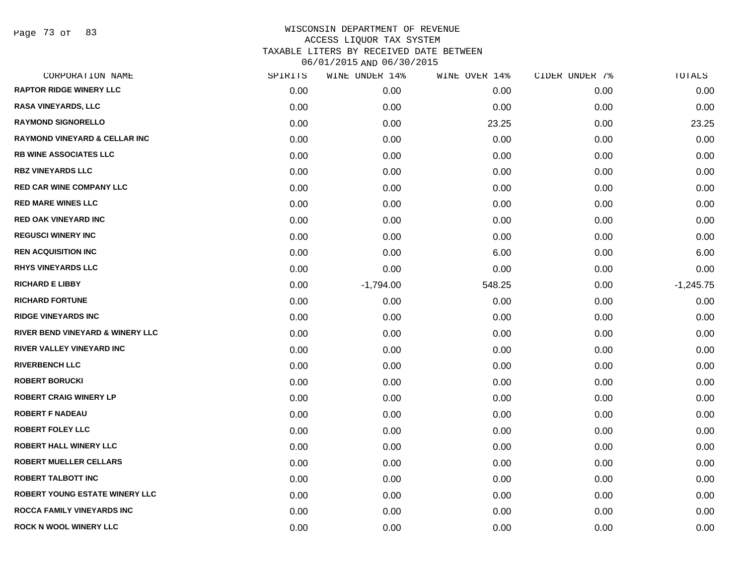Page 73 of 83

| CORPORATION NAME                         | SPIRITS | WINE UNDER 14% | WINE OVER 14% | CIDER UNDER 7% | TOTALS      |
|------------------------------------------|---------|----------------|---------------|----------------|-------------|
| <b>RAPTOR RIDGE WINERY LLC</b>           | 0.00    | 0.00           | 0.00          | 0.00           | 0.00        |
| <b>RASA VINEYARDS, LLC</b>               | 0.00    | 0.00           | 0.00          | 0.00           | 0.00        |
| <b>RAYMOND SIGNORELLO</b>                | 0.00    | 0.00           | 23.25         | 0.00           | 23.25       |
| <b>RAYMOND VINEYARD &amp; CELLAR INC</b> | 0.00    | 0.00           | 0.00          | 0.00           | 0.00        |
| <b>RB WINE ASSOCIATES LLC</b>            | 0.00    | 0.00           | 0.00          | 0.00           | 0.00        |
| <b>RBZ VINEYARDS LLC</b>                 | 0.00    | 0.00           | 0.00          | 0.00           | 0.00        |
| <b>RED CAR WINE COMPANY LLC</b>          | 0.00    | 0.00           | 0.00          | 0.00           | 0.00        |
| <b>RED MARE WINES LLC</b>                | 0.00    | 0.00           | 0.00          | 0.00           | 0.00        |
| <b>RED OAK VINEYARD INC</b>              | 0.00    | 0.00           | 0.00          | 0.00           | 0.00        |
| <b>REGUSCI WINERY INC</b>                | 0.00    | 0.00           | 0.00          | 0.00           | 0.00        |
| <b>REN ACQUISITION INC</b>               | 0.00    | 0.00           | 6.00          | 0.00           | 6.00        |
| <b>RHYS VINEYARDS LLC</b>                | 0.00    | 0.00           | 0.00          | 0.00           | 0.00        |
| <b>RICHARD E LIBBY</b>                   | 0.00    | $-1,794.00$    | 548.25        | 0.00           | $-1,245.75$ |
| <b>RICHARD FORTUNE</b>                   | 0.00    | 0.00           | 0.00          | 0.00           | 0.00        |
| <b>RIDGE VINEYARDS INC</b>               | 0.00    | 0.00           | 0.00          | 0.00           | 0.00        |
| RIVER BEND VINEYARD & WINERY LLC         | 0.00    | 0.00           | 0.00          | 0.00           | 0.00        |
| RIVER VALLEY VINEYARD INC                | 0.00    | 0.00           | 0.00          | 0.00           | 0.00        |
| <b>RIVERBENCH LLC</b>                    | 0.00    | 0.00           | 0.00          | 0.00           | 0.00        |
| <b>ROBERT BORUCKI</b>                    | 0.00    | 0.00           | 0.00          | 0.00           | 0.00        |
| <b>ROBERT CRAIG WINERY LP</b>            | 0.00    | 0.00           | 0.00          | 0.00           | 0.00        |
| <b>ROBERT F NADEAU</b>                   | 0.00    | 0.00           | 0.00          | 0.00           | 0.00        |
| <b>ROBERT FOLEY LLC</b>                  | 0.00    | 0.00           | 0.00          | 0.00           | 0.00        |
| <b>ROBERT HALL WINERY LLC</b>            | 0.00    | 0.00           | 0.00          | 0.00           | 0.00        |
| <b>ROBERT MUELLER CELLARS</b>            | 0.00    | 0.00           | 0.00          | 0.00           | 0.00        |
| <b>ROBERT TALBOTT INC</b>                | 0.00    | 0.00           | 0.00          | 0.00           | 0.00        |
| <b>ROBERT YOUNG ESTATE WINERY LLC</b>    | 0.00    | 0.00           | 0.00          | 0.00           | 0.00        |
| ROCCA FAMILY VINEYARDS INC               | 0.00    | 0.00           | 0.00          | 0.00           | 0.00        |
| <b>ROCK N WOOL WINERY LLC</b>            | 0.00    | 0.00           | 0.00          | 0.00           | 0.00        |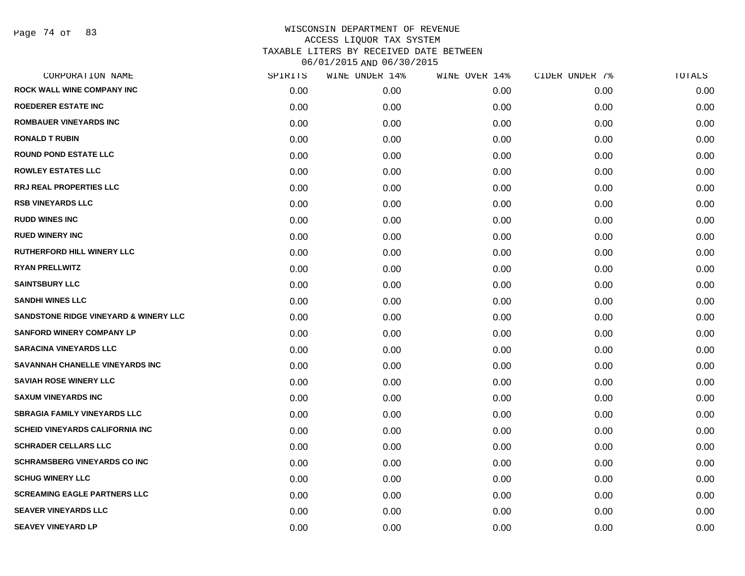Page 74 of 83

| CORPORATION NAME                                 | SPIRITS | WINE UNDER 14% | WINE OVER 14% | CIDER UNDER 7% | TOTALS |
|--------------------------------------------------|---------|----------------|---------------|----------------|--------|
| ROCK WALL WINE COMPANY INC                       | 0.00    | 0.00           | 0.00          | 0.00           | 0.00   |
| <b>ROEDERER ESTATE INC</b>                       | 0.00    | 0.00           | 0.00          | 0.00           | 0.00   |
| <b>ROMBAUER VINEYARDS INC</b>                    | 0.00    | 0.00           | 0.00          | 0.00           | 0.00   |
| <b>RONALD T RUBIN</b>                            | 0.00    | 0.00           | 0.00          | 0.00           | 0.00   |
| <b>ROUND POND ESTATE LLC</b>                     | 0.00    | 0.00           | 0.00          | 0.00           | 0.00   |
| <b>ROWLEY ESTATES LLC</b>                        | 0.00    | 0.00           | 0.00          | 0.00           | 0.00   |
| <b>RRJ REAL PROPERTIES LLC</b>                   | 0.00    | 0.00           | 0.00          | 0.00           | 0.00   |
| <b>RSB VINEYARDS LLC</b>                         | 0.00    | 0.00           | 0.00          | 0.00           | 0.00   |
| <b>RUDD WINES INC</b>                            | 0.00    | 0.00           | 0.00          | 0.00           | 0.00   |
| <b>RUED WINERY INC</b>                           | 0.00    | 0.00           | 0.00          | 0.00           | 0.00   |
| <b>RUTHERFORD HILL WINERY LLC</b>                | 0.00    | 0.00           | 0.00          | 0.00           | 0.00   |
| <b>RYAN PRELLWITZ</b>                            | 0.00    | 0.00           | 0.00          | 0.00           | 0.00   |
| <b>SAINTSBURY LLC</b>                            | 0.00    | 0.00           | 0.00          | 0.00           | 0.00   |
| <b>SANDHI WINES LLC</b>                          | 0.00    | 0.00           | 0.00          | 0.00           | 0.00   |
| <b>SANDSTONE RIDGE VINEYARD &amp; WINERY LLC</b> | 0.00    | 0.00           | 0.00          | 0.00           | 0.00   |
| <b>SANFORD WINERY COMPANY LP</b>                 | 0.00    | 0.00           | 0.00          | 0.00           | 0.00   |
| <b>SARACINA VINEYARDS LLC</b>                    | 0.00    | 0.00           | 0.00          | 0.00           | 0.00   |
| SAVANNAH CHANELLE VINEYARDS INC                  | 0.00    | 0.00           | 0.00          | 0.00           | 0.00   |
| <b>SAVIAH ROSE WINERY LLC</b>                    | 0.00    | 0.00           | 0.00          | 0.00           | 0.00   |
| <b>SAXUM VINEYARDS INC</b>                       | 0.00    | 0.00           | 0.00          | 0.00           | 0.00   |
| <b>SBRAGIA FAMILY VINEYARDS LLC</b>              | 0.00    | 0.00           | 0.00          | 0.00           | 0.00   |
| <b>SCHEID VINEYARDS CALIFORNIA INC</b>           | 0.00    | 0.00           | 0.00          | 0.00           | 0.00   |
| <b>SCHRADER CELLARS LLC</b>                      | 0.00    | 0.00           | 0.00          | 0.00           | 0.00   |
| <b>SCHRAMSBERG VINEYARDS CO INC</b>              | 0.00    | 0.00           | 0.00          | 0.00           | 0.00   |
| <b>SCHUG WINERY LLC</b>                          | 0.00    | 0.00           | 0.00          | 0.00           | 0.00   |
| <b>SCREAMING EAGLE PARTNERS LLC</b>              | 0.00    | 0.00           | 0.00          | 0.00           | 0.00   |
| <b>SEAVER VINEYARDS LLC</b>                      | 0.00    | 0.00           | 0.00          | 0.00           | 0.00   |
| <b>SEAVEY VINEYARD LP</b>                        | 0.00    | 0.00           | 0.00          | 0.00           | 0.00   |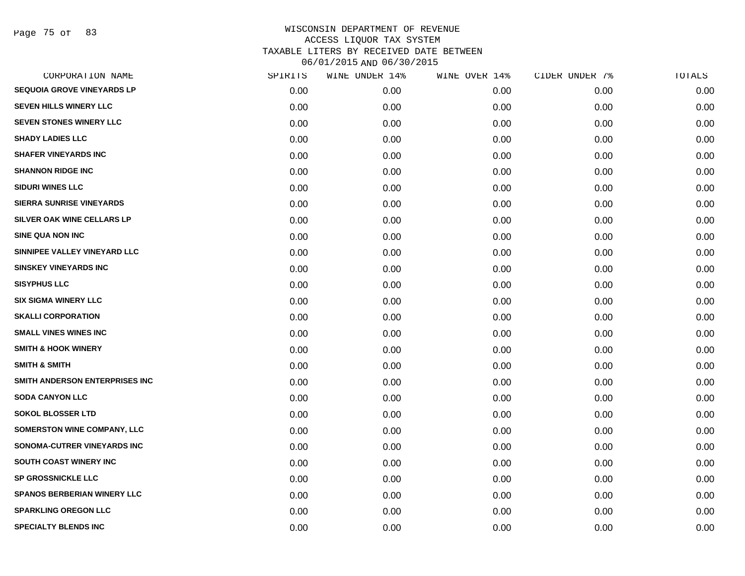Page 75 of 83

| CORPORATION NAME                   | SPIRITS | WINE UNDER 14% | WINE OVER 14% | CIDER UNDER 7% | TOTALS |
|------------------------------------|---------|----------------|---------------|----------------|--------|
| <b>SEQUOIA GROVE VINEYARDS LP</b>  | 0.00    | 0.00           | 0.00          | 0.00           | 0.00   |
| <b>SEVEN HILLS WINERY LLC</b>      | 0.00    | 0.00           | 0.00          | 0.00           | 0.00   |
| <b>SEVEN STONES WINERY LLC</b>     | 0.00    | 0.00           | 0.00          | 0.00           | 0.00   |
| <b>SHADY LADIES LLC</b>            | 0.00    | 0.00           | 0.00          | 0.00           | 0.00   |
| <b>SHAFER VINEYARDS INC</b>        | 0.00    | 0.00           | 0.00          | 0.00           | 0.00   |
| <b>SHANNON RIDGE INC</b>           | 0.00    | 0.00           | 0.00          | 0.00           | 0.00   |
| <b>SIDURI WINES LLC</b>            | 0.00    | 0.00           | 0.00          | 0.00           | 0.00   |
| <b>SIERRA SUNRISE VINEYARDS</b>    | 0.00    | 0.00           | 0.00          | 0.00           | 0.00   |
| SILVER OAK WINE CELLARS LP         | 0.00    | 0.00           | 0.00          | 0.00           | 0.00   |
| <b>SINE QUA NON INC</b>            | 0.00    | 0.00           | 0.00          | 0.00           | 0.00   |
| SINNIPEE VALLEY VINEYARD LLC       | 0.00    | 0.00           | 0.00          | 0.00           | 0.00   |
| <b>SINSKEY VINEYARDS INC</b>       | 0.00    | 0.00           | 0.00          | 0.00           | 0.00   |
| <b>SISYPHUS LLC</b>                | 0.00    | 0.00           | 0.00          | 0.00           | 0.00   |
| <b>SIX SIGMA WINERY LLC</b>        | 0.00    | 0.00           | 0.00          | 0.00           | 0.00   |
| <b>SKALLI CORPORATION</b>          | 0.00    | 0.00           | 0.00          | 0.00           | 0.00   |
| <b>SMALL VINES WINES INC</b>       | 0.00    | 0.00           | 0.00          | 0.00           | 0.00   |
| <b>SMITH &amp; HOOK WINERY</b>     | 0.00    | 0.00           | 0.00          | 0.00           | 0.00   |
| <b>SMITH &amp; SMITH</b>           | 0.00    | 0.00           | 0.00          | 0.00           | 0.00   |
| SMITH ANDERSON ENTERPRISES INC     | 0.00    | 0.00           | 0.00          | 0.00           | 0.00   |
| <b>SODA CANYON LLC</b>             | 0.00    | 0.00           | 0.00          | 0.00           | 0.00   |
| <b>SOKOL BLOSSER LTD</b>           | 0.00    | 0.00           | 0.00          | 0.00           | 0.00   |
| <b>SOMERSTON WINE COMPANY, LLC</b> | 0.00    | 0.00           | 0.00          | 0.00           | 0.00   |
| SONOMA-CUTRER VINEYARDS INC        | 0.00    | 0.00           | 0.00          | 0.00           | 0.00   |
| SOUTH COAST WINERY INC             | 0.00    | 0.00           | 0.00          | 0.00           | 0.00   |
| <b>SP GROSSNICKLE LLC</b>          | 0.00    | 0.00           | 0.00          | 0.00           | 0.00   |
| <b>SPANOS BERBERIAN WINERY LLC</b> | 0.00    | 0.00           | 0.00          | 0.00           | 0.00   |
| <b>SPARKLING OREGON LLC</b>        | 0.00    | 0.00           | 0.00          | 0.00           | 0.00   |
| <b>SPECIALTY BLENDS INC</b>        | 0.00    | 0.00           | 0.00          | 0.00           | 0.00   |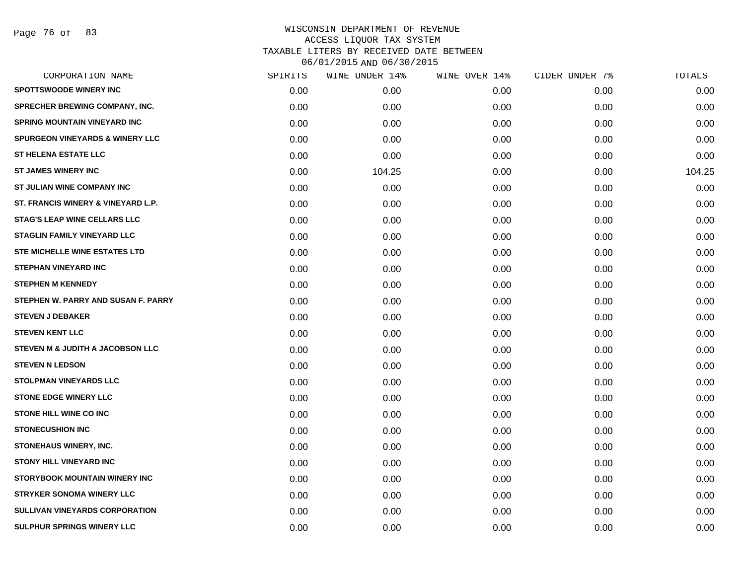Page 76 of 83

| CORPORATION NAME                            | SPIRITS | WINE UNDER 14% | WINE OVER 14% | CIDER UNDER 7% | TOTALS |
|---------------------------------------------|---------|----------------|---------------|----------------|--------|
| <b>SPOTTSWOODE WINERY INC</b>               | 0.00    | 0.00           | 0.00          | 0.00           | 0.00   |
| <b>SPRECHER BREWING COMPANY, INC.</b>       | 0.00    | 0.00           | 0.00          | 0.00           | 0.00   |
| <b>SPRING MOUNTAIN VINEYARD INC</b>         | 0.00    | 0.00           | 0.00          | 0.00           | 0.00   |
| <b>SPURGEON VINEYARDS &amp; WINERY LLC</b>  | 0.00    | 0.00           | 0.00          | 0.00           | 0.00   |
| <b>ST HELENA ESTATE LLC</b>                 | 0.00    | 0.00           | 0.00          | 0.00           | 0.00   |
| <b>ST JAMES WINERY INC</b>                  | 0.00    | 104.25         | 0.00          | 0.00           | 104.25 |
| ST JULIAN WINE COMPANY INC                  | 0.00    | 0.00           | 0.00          | 0.00           | 0.00   |
| ST. FRANCIS WINERY & VINEYARD L.P.          | 0.00    | 0.00           | 0.00          | 0.00           | 0.00   |
| <b>STAG'S LEAP WINE CELLARS LLC</b>         | 0.00    | 0.00           | 0.00          | 0.00           | 0.00   |
| <b>STAGLIN FAMILY VINEYARD LLC</b>          | 0.00    | 0.00           | 0.00          | 0.00           | 0.00   |
| STE MICHELLE WINE ESTATES LTD               | 0.00    | 0.00           | 0.00          | 0.00           | 0.00   |
| <b>STEPHAN VINEYARD INC</b>                 | 0.00    | 0.00           | 0.00          | 0.00           | 0.00   |
| <b>STEPHEN M KENNEDY</b>                    | 0.00    | 0.00           | 0.00          | 0.00           | 0.00   |
| STEPHEN W. PARRY AND SUSAN F. PARRY         | 0.00    | 0.00           | 0.00          | 0.00           | 0.00   |
| <b>STEVEN J DEBAKER</b>                     | 0.00    | 0.00           | 0.00          | 0.00           | 0.00   |
| <b>STEVEN KENT LLC</b>                      | 0.00    | 0.00           | 0.00          | 0.00           | 0.00   |
| <b>STEVEN M &amp; JUDITH A JACOBSON LLC</b> | 0.00    | 0.00           | 0.00          | 0.00           | 0.00   |
| <b>STEVEN N LEDSON</b>                      | 0.00    | 0.00           | 0.00          | 0.00           | 0.00   |
| <b>STOLPMAN VINEYARDS LLC</b>               | 0.00    | 0.00           | 0.00          | 0.00           | 0.00   |
| <b>STONE EDGE WINERY LLC</b>                | 0.00    | 0.00           | 0.00          | 0.00           | 0.00   |
| <b>STONE HILL WINE CO INC</b>               | 0.00    | 0.00           | 0.00          | 0.00           | 0.00   |
| <b>STONECUSHION INC</b>                     | 0.00    | 0.00           | 0.00          | 0.00           | 0.00   |
| <b>STONEHAUS WINERY, INC.</b>               | 0.00    | 0.00           | 0.00          | 0.00           | 0.00   |
| <b>STONY HILL VINEYARD INC</b>              | 0.00    | 0.00           | 0.00          | 0.00           | 0.00   |
| <b>STORYBOOK MOUNTAIN WINERY INC</b>        | 0.00    | 0.00           | 0.00          | 0.00           | 0.00   |
| <b>STRYKER SONOMA WINERY LLC</b>            | 0.00    | 0.00           | 0.00          | 0.00           | 0.00   |
| <b>SULLIVAN VINEYARDS CORPORATION</b>       | 0.00    | 0.00           | 0.00          | 0.00           | 0.00   |
| SULPHUR SPRINGS WINERY LLC                  | 0.00    | 0.00           | 0.00          | 0.00           | 0.00   |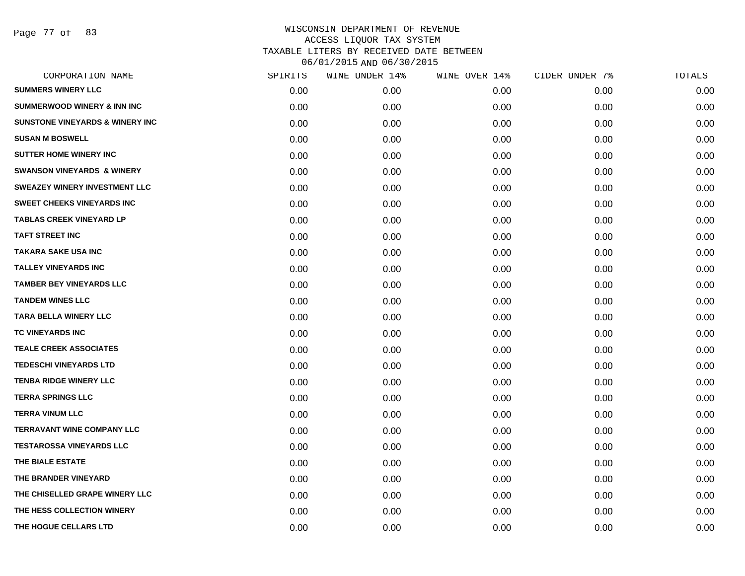Page 77 of 83

| CORPORATION NAME                           | SPIRITS | WINE UNDER 14% | WINE OVER 14% | CIDER UNDER 7% | TOTALS |
|--------------------------------------------|---------|----------------|---------------|----------------|--------|
| <b>SUMMERS WINERY LLC</b>                  | 0.00    | 0.00           | 0.00          | 0.00           | 0.00   |
| <b>SUMMERWOOD WINERY &amp; INN INC</b>     | 0.00    | 0.00           | 0.00          | 0.00           | 0.00   |
| <b>SUNSTONE VINEYARDS &amp; WINERY INC</b> | 0.00    | 0.00           | 0.00          | 0.00           | 0.00   |
| <b>SUSAN M BOSWELL</b>                     | 0.00    | 0.00           | 0.00          | 0.00           | 0.00   |
| <b>SUTTER HOME WINERY INC.</b>             | 0.00    | 0.00           | 0.00          | 0.00           | 0.00   |
| <b>SWANSON VINEYARDS &amp; WINERY</b>      | 0.00    | 0.00           | 0.00          | 0.00           | 0.00   |
| <b>SWEAZEY WINERY INVESTMENT LLC</b>       | 0.00    | 0.00           | 0.00          | 0.00           | 0.00   |
| <b>SWEET CHEEKS VINEYARDS INC</b>          | 0.00    | 0.00           | 0.00          | 0.00           | 0.00   |
| <b>TABLAS CREEK VINEYARD LP</b>            | 0.00    | 0.00           | 0.00          | 0.00           | 0.00   |
| <b>TAFT STREET INC</b>                     | 0.00    | 0.00           | 0.00          | 0.00           | 0.00   |
| <b>TAKARA SAKE USA INC</b>                 | 0.00    | 0.00           | 0.00          | 0.00           | 0.00   |
| <b>TALLEY VINEYARDS INC</b>                | 0.00    | 0.00           | 0.00          | 0.00           | 0.00   |
| <b>TAMBER BEY VINEYARDS LLC</b>            | 0.00    | 0.00           | 0.00          | 0.00           | 0.00   |
| <b>TANDEM WINES LLC</b>                    | 0.00    | 0.00           | 0.00          | 0.00           | 0.00   |
| <b>TARA BELLA WINERY LLC</b>               | 0.00    | 0.00           | 0.00          | 0.00           | 0.00   |
| TC VINEYARDS INC                           | 0.00    | 0.00           | 0.00          | 0.00           | 0.00   |
| <b>TEALE CREEK ASSOCIATES</b>              | 0.00    | 0.00           | 0.00          | 0.00           | 0.00   |
| <b>TEDESCHI VINEYARDS LTD</b>              | 0.00    | 0.00           | 0.00          | 0.00           | 0.00   |
| <b>TENBA RIDGE WINERY LLC</b>              | 0.00    | 0.00           | 0.00          | 0.00           | 0.00   |
| <b>TERRA SPRINGS LLC</b>                   | 0.00    | 0.00           | 0.00          | 0.00           | 0.00   |
| <b>TERRA VINUM LLC</b>                     | 0.00    | 0.00           | 0.00          | 0.00           | 0.00   |
| <b>TERRAVANT WINE COMPANY LLC</b>          | 0.00    | 0.00           | 0.00          | 0.00           | 0.00   |
| <b>TESTAROSSA VINEYARDS LLC</b>            | 0.00    | 0.00           | 0.00          | 0.00           | 0.00   |
| THE BIALE ESTATE                           | 0.00    | 0.00           | 0.00          | 0.00           | 0.00   |
| THE BRANDER VINEYARD                       | 0.00    | 0.00           | 0.00          | 0.00           | 0.00   |
| THE CHISELLED GRAPE WINERY LLC             | 0.00    | 0.00           | 0.00          | 0.00           | 0.00   |
| THE HESS COLLECTION WINERY                 | 0.00    | 0.00           | 0.00          | 0.00           | 0.00   |
| THE HOGUE CELLARS LTD                      | 0.00    | 0.00           | 0.00          | 0.00           | 0.00   |
|                                            |         |                |               |                |        |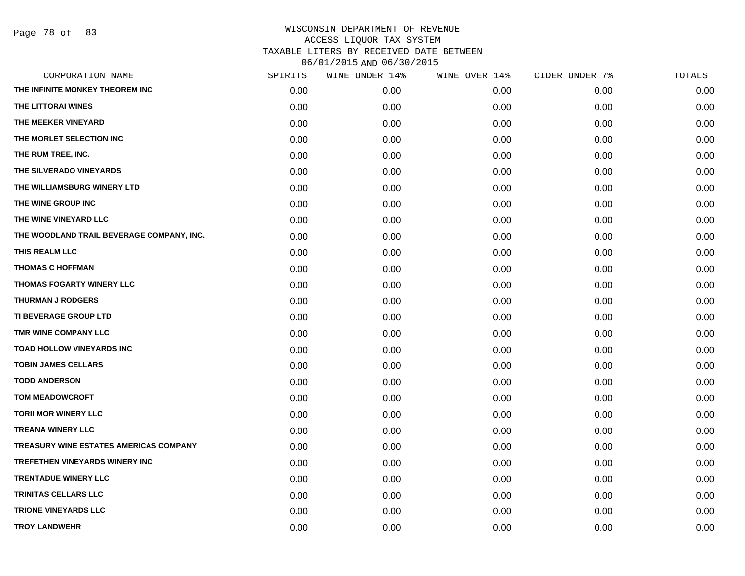Page 78 of 83

| CORPORATION NAME                          | SPIRITS | WINE UNDER 14% | WINE OVER 14% | CIDER UNDER 7% | TOTALS |
|-------------------------------------------|---------|----------------|---------------|----------------|--------|
| THE INFINITE MONKEY THEOREM INC           | 0.00    | 0.00           | 0.00          | 0.00           | 0.00   |
| THE LITTORAI WINES                        | 0.00    | 0.00           | 0.00          | 0.00           | 0.00   |
| THE MEEKER VINEYARD                       | 0.00    | 0.00           | 0.00          | 0.00           | 0.00   |
| THE MORLET SELECTION INC                  | 0.00    | 0.00           | 0.00          | 0.00           | 0.00   |
| THE RUM TREE, INC.                        | 0.00    | 0.00           | 0.00          | 0.00           | 0.00   |
| THE SILVERADO VINEYARDS                   | 0.00    | 0.00           | 0.00          | 0.00           | 0.00   |
| THE WILLIAMSBURG WINERY LTD               | 0.00    | 0.00           | 0.00          | 0.00           | 0.00   |
| THE WINE GROUP INC                        | 0.00    | 0.00           | 0.00          | 0.00           | 0.00   |
| THE WINE VINEYARD LLC                     | 0.00    | 0.00           | 0.00          | 0.00           | 0.00   |
| THE WOODLAND TRAIL BEVERAGE COMPANY, INC. | 0.00    | 0.00           | 0.00          | 0.00           | 0.00   |
| THIS REALM LLC                            | 0.00    | 0.00           | 0.00          | 0.00           | 0.00   |
| <b>THOMAS C HOFFMAN</b>                   | 0.00    | 0.00           | 0.00          | 0.00           | 0.00   |
| THOMAS FOGARTY WINERY LLC                 | 0.00    | 0.00           | 0.00          | 0.00           | 0.00   |
| <b>THURMAN J RODGERS</b>                  | 0.00    | 0.00           | 0.00          | 0.00           | 0.00   |
| TI BEVERAGE GROUP LTD                     | 0.00    | 0.00           | 0.00          | 0.00           | 0.00   |
| TMR WINE COMPANY LLC                      | 0.00    | 0.00           | 0.00          | 0.00           | 0.00   |
| <b>TOAD HOLLOW VINEYARDS INC</b>          | 0.00    | 0.00           | 0.00          | 0.00           | 0.00   |
| <b>TOBIN JAMES CELLARS</b>                | 0.00    | 0.00           | 0.00          | 0.00           | 0.00   |
| <b>TODD ANDERSON</b>                      | 0.00    | 0.00           | 0.00          | 0.00           | 0.00   |
| <b>TOM MEADOWCROFT</b>                    | 0.00    | 0.00           | 0.00          | 0.00           | 0.00   |
| <b>TORII MOR WINERY LLC</b>               | 0.00    | 0.00           | 0.00          | 0.00           | 0.00   |
| <b>TREANA WINERY LLC</b>                  | 0.00    | 0.00           | 0.00          | 0.00           | 0.00   |
| TREASURY WINE ESTATES AMERICAS COMPANY    | 0.00    | 0.00           | 0.00          | 0.00           | 0.00   |
| TREFETHEN VINEYARDS WINERY INC            | 0.00    | 0.00           | 0.00          | 0.00           | 0.00   |
| <b>TRENTADUE WINERY LLC</b>               | 0.00    | 0.00           | 0.00          | 0.00           | 0.00   |
| <b>TRINITAS CELLARS LLC</b>               | 0.00    | 0.00           | 0.00          | 0.00           | 0.00   |
| <b>TRIONE VINEYARDS LLC</b>               | 0.00    | 0.00           | 0.00          | 0.00           | 0.00   |
| <b>TROY LANDWEHR</b>                      | 0.00    | 0.00           | 0.00          | 0.00           | 0.00   |
|                                           |         |                |               |                |        |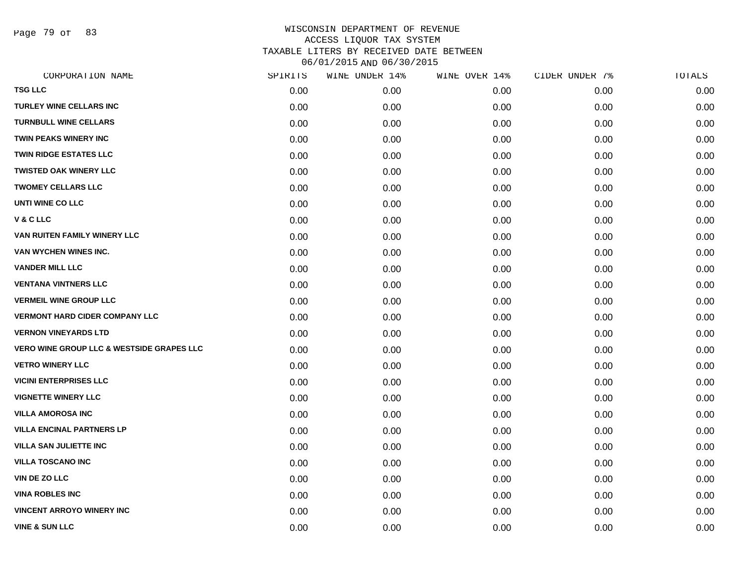Page 79 of 83

|      | WINE UNDER 14% | WINE OVER 14% | CIDER UNDER 7% | TOTALS |
|------|----------------|---------------|----------------|--------|
| 0.00 | 0.00           | 0.00          | 0.00           | 0.00   |
| 0.00 | 0.00           | 0.00          | 0.00           | 0.00   |
| 0.00 | 0.00           | 0.00          | 0.00           | 0.00   |
| 0.00 | 0.00           | 0.00          | 0.00           | 0.00   |
| 0.00 | 0.00           | 0.00          | 0.00           | 0.00   |
| 0.00 | 0.00           | 0.00          | 0.00           | 0.00   |
| 0.00 | 0.00           | 0.00          | 0.00           | 0.00   |
| 0.00 | 0.00           | 0.00          | 0.00           | 0.00   |
| 0.00 | 0.00           | 0.00          | 0.00           | 0.00   |
| 0.00 | 0.00           | 0.00          | 0.00           | 0.00   |
| 0.00 | 0.00           | 0.00          | 0.00           | 0.00   |
| 0.00 | 0.00           | 0.00          | 0.00           | 0.00   |
| 0.00 | 0.00           | 0.00          | 0.00           | 0.00   |
| 0.00 | 0.00           | 0.00          | 0.00           | 0.00   |
| 0.00 | 0.00           | 0.00          | 0.00           | 0.00   |
| 0.00 | 0.00           | 0.00          | 0.00           | 0.00   |
| 0.00 | 0.00           | 0.00          | 0.00           | 0.00   |
| 0.00 | 0.00           | 0.00          | 0.00           | 0.00   |
| 0.00 | 0.00           | 0.00          | 0.00           | 0.00   |
| 0.00 | 0.00           | 0.00          | 0.00           | 0.00   |
| 0.00 | 0.00           | 0.00          | 0.00           | 0.00   |
| 0.00 | 0.00           | 0.00          | 0.00           | 0.00   |
| 0.00 | 0.00           | 0.00          | 0.00           | 0.00   |
| 0.00 | 0.00           | 0.00          | 0.00           | 0.00   |
| 0.00 | 0.00           | 0.00          | 0.00           | 0.00   |
| 0.00 | 0.00           | 0.00          | 0.00           | 0.00   |
| 0.00 | 0.00           | 0.00          | 0.00           | 0.00   |
| 0.00 | 0.00           | 0.00          | 0.00           | 0.00   |
|      | SPIRITS        |               |                |        |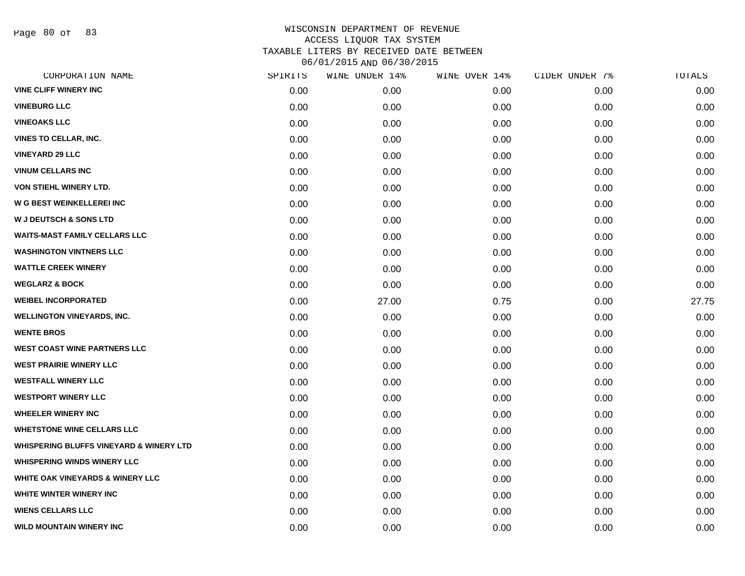Page 80 of 83

| CORPORATION NAME                                   | SPIRITS | WINE UNDER 14% | WINE OVER 14% | CIDER UNDER 7% | TOTALS |
|----------------------------------------------------|---------|----------------|---------------|----------------|--------|
| <b>VINE CLIFF WINERY INC</b>                       | 0.00    | 0.00           | 0.00          | 0.00           | 0.00   |
| <b>VINEBURG LLC</b>                                | 0.00    | 0.00           | 0.00          | 0.00           | 0.00   |
| <b>VINEOAKS LLC</b>                                | 0.00    | 0.00           | 0.00          | 0.00           | 0.00   |
| <b>VINES TO CELLAR, INC.</b>                       | 0.00    | 0.00           | 0.00          | 0.00           | 0.00   |
| <b>VINEYARD 29 LLC</b>                             | 0.00    | 0.00           | 0.00          | 0.00           | 0.00   |
| <b>VINUM CELLARS INC</b>                           | 0.00    | 0.00           | 0.00          | 0.00           | 0.00   |
| VON STIEHL WINERY LTD.                             | 0.00    | 0.00           | 0.00          | 0.00           | 0.00   |
| <b>W G BEST WEINKELLEREI INC</b>                   | 0.00    | 0.00           | 0.00          | 0.00           | 0.00   |
| <b>W J DEUTSCH &amp; SONS LTD</b>                  | 0.00    | 0.00           | 0.00          | 0.00           | 0.00   |
| <b>WAITS-MAST FAMILY CELLARS LLC</b>               | 0.00    | 0.00           | 0.00          | 0.00           | 0.00   |
| <b>WASHINGTON VINTNERS LLC</b>                     | 0.00    | 0.00           | 0.00          | 0.00           | 0.00   |
| <b>WATTLE CREEK WINERY</b>                         | 0.00    | 0.00           | 0.00          | 0.00           | 0.00   |
| <b>WEGLARZ &amp; BOCK</b>                          | 0.00    | 0.00           | 0.00          | 0.00           | 0.00   |
| <b>WEIBEL INCORPORATED</b>                         | 0.00    | 27.00          | 0.75          | 0.00           | 27.75  |
| <b>WELLINGTON VINEYARDS, INC.</b>                  | 0.00    | 0.00           | 0.00          | 0.00           | 0.00   |
| <b>WENTE BROS</b>                                  | 0.00    | 0.00           | 0.00          | 0.00           | 0.00   |
| <b>WEST COAST WINE PARTNERS LLC</b>                | 0.00    | 0.00           | 0.00          | 0.00           | 0.00   |
| <b>WEST PRAIRIE WINERY LLC</b>                     | 0.00    | 0.00           | 0.00          | 0.00           | 0.00   |
| <b>WESTFALL WINERY LLC</b>                         | 0.00    | 0.00           | 0.00          | 0.00           | 0.00   |
| <b>WESTPORT WINERY LLC</b>                         | 0.00    | 0.00           | 0.00          | 0.00           | 0.00   |
| <b>WHEELER WINERY INC</b>                          | 0.00    | 0.00           | 0.00          | 0.00           | 0.00   |
| <b>WHETSTONE WINE CELLARS LLC</b>                  | 0.00    | 0.00           | 0.00          | 0.00           | 0.00   |
| <b>WHISPERING BLUFFS VINEYARD &amp; WINERY LTD</b> | 0.00    | 0.00           | 0.00          | 0.00           | 0.00   |
| <b>WHISPERING WINDS WINERY LLC</b>                 | 0.00    | 0.00           | 0.00          | 0.00           | 0.00   |
| <b>WHITE OAK VINEYARDS &amp; WINERY LLC</b>        | 0.00    | 0.00           | 0.00          | 0.00           | 0.00   |
| WHITE WINTER WINERY INC                            | 0.00    | 0.00           | 0.00          | 0.00           | 0.00   |
| <b>WIENS CELLARS LLC</b>                           | 0.00    | 0.00           | 0.00          | 0.00           | 0.00   |
| WILD MOUNTAIN WINERY INC                           | 0.00    | 0.00           | 0.00          | 0.00           | 0.00   |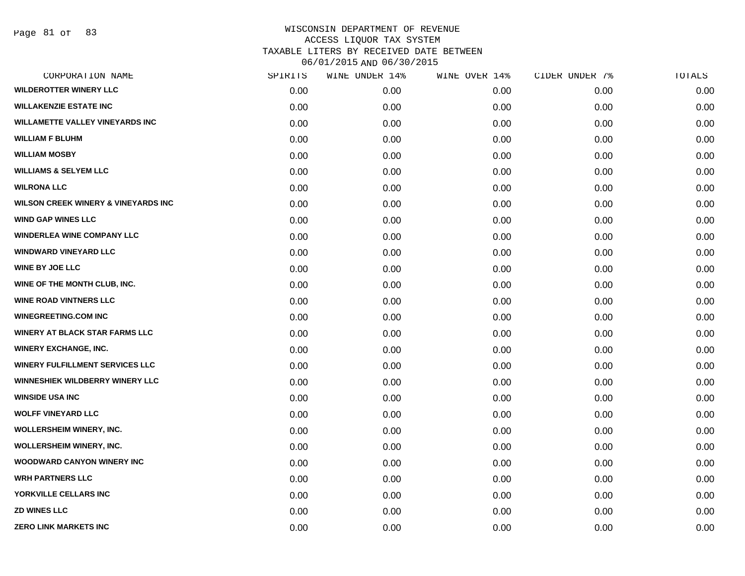| SPIRITS | WINE UNDER 14% | WINE OVER 14% | CIDER UNDER 7% | TOTALS |
|---------|----------------|---------------|----------------|--------|
| 0.00    | 0.00           | 0.00          | 0.00           | 0.00   |
| 0.00    | 0.00           | 0.00          | 0.00           | 0.00   |
| 0.00    | 0.00           | 0.00          | 0.00           | 0.00   |
| 0.00    | 0.00           | 0.00          | 0.00           | 0.00   |
| 0.00    | 0.00           | 0.00          | 0.00           | 0.00   |
| 0.00    | 0.00           | 0.00          | 0.00           | 0.00   |
| 0.00    | 0.00           | 0.00          | 0.00           | 0.00   |
| 0.00    | 0.00           | 0.00          | 0.00           | 0.00   |
| 0.00    | 0.00           | 0.00          | 0.00           | 0.00   |
| 0.00    | 0.00           | 0.00          | 0.00           | 0.00   |
| 0.00    | 0.00           | 0.00          | 0.00           | 0.00   |
| 0.00    | 0.00           | 0.00          | 0.00           | 0.00   |
| 0.00    | 0.00           | 0.00          | 0.00           | 0.00   |
| 0.00    | 0.00           | 0.00          | 0.00           | 0.00   |
| 0.00    | 0.00           | 0.00          | 0.00           | 0.00   |
| 0.00    | 0.00           | 0.00          | 0.00           | 0.00   |
| 0.00    | 0.00           | 0.00          | 0.00           | 0.00   |
| 0.00    | 0.00           | 0.00          | 0.00           | 0.00   |
| 0.00    | 0.00           | 0.00          | 0.00           | 0.00   |
| 0.00    | 0.00           | 0.00          | 0.00           | 0.00   |
| 0.00    | 0.00           | 0.00          | 0.00           | 0.00   |
| 0.00    | 0.00           | 0.00          | 0.00           | 0.00   |
| 0.00    | 0.00           | 0.00          | 0.00           | 0.00   |
| 0.00    | 0.00           | 0.00          | 0.00           | 0.00   |
| 0.00    | 0.00           | 0.00          | 0.00           | 0.00   |
| 0.00    | 0.00           | 0.00          | 0.00           | 0.00   |
| 0.00    | 0.00           | 0.00          | 0.00           | 0.00   |
| 0.00    | 0.00           | 0.00          | 0.00           | 0.00   |
|         |                |               |                |        |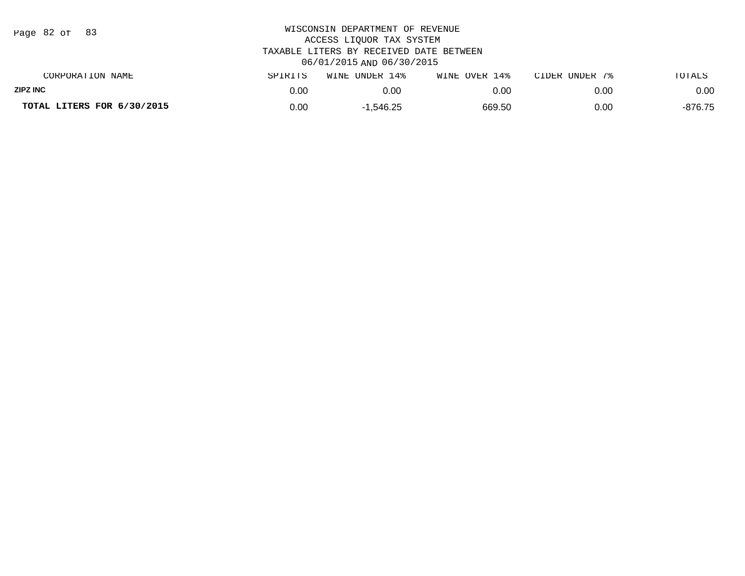| Page $82$ of $83$          |         | WISCONSIN DEPARTMENT OF REVENUE<br>ACCESS LIQUOR TAX SYSTEM<br>TAXABLE LITERS BY RECEIVED DATE BETWEEN |               |                |           |
|----------------------------|---------|--------------------------------------------------------------------------------------------------------|---------------|----------------|-----------|
|                            |         | 06/01/2015 AND 06/30/2015                                                                              |               |                |           |
| CORPORATION NAME           | SPIRITS | WINE UNDER 14%                                                                                         | WINE OVER 14% | CIDER UNDER 7% | TOTALS    |
| <b>ZIPZ INC</b>            | 0.00    | 0.00                                                                                                   | 0.00          | 0.00           | 0.00      |
| TOTAL LITERS FOR 6/30/2015 | 0.00    | $-1.546.25$                                                                                            | 669.50        | 0.00           | $-876.75$ |